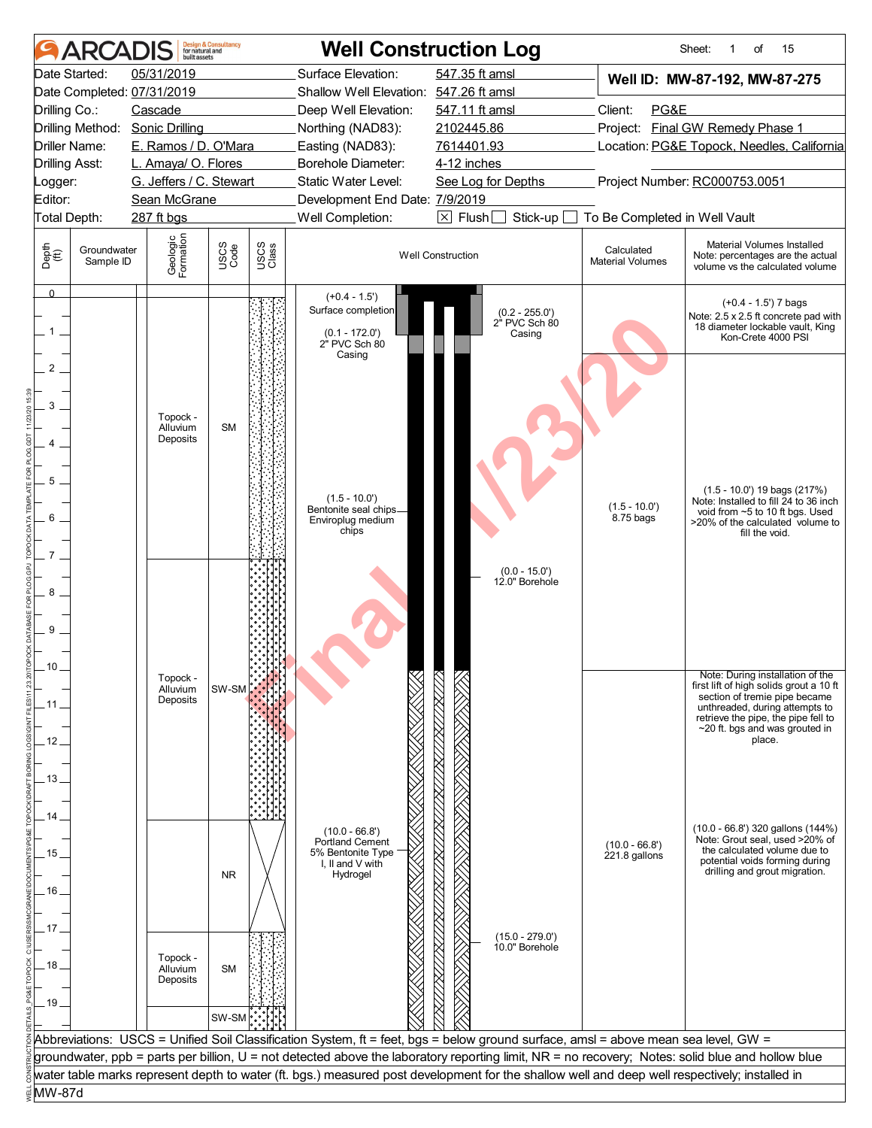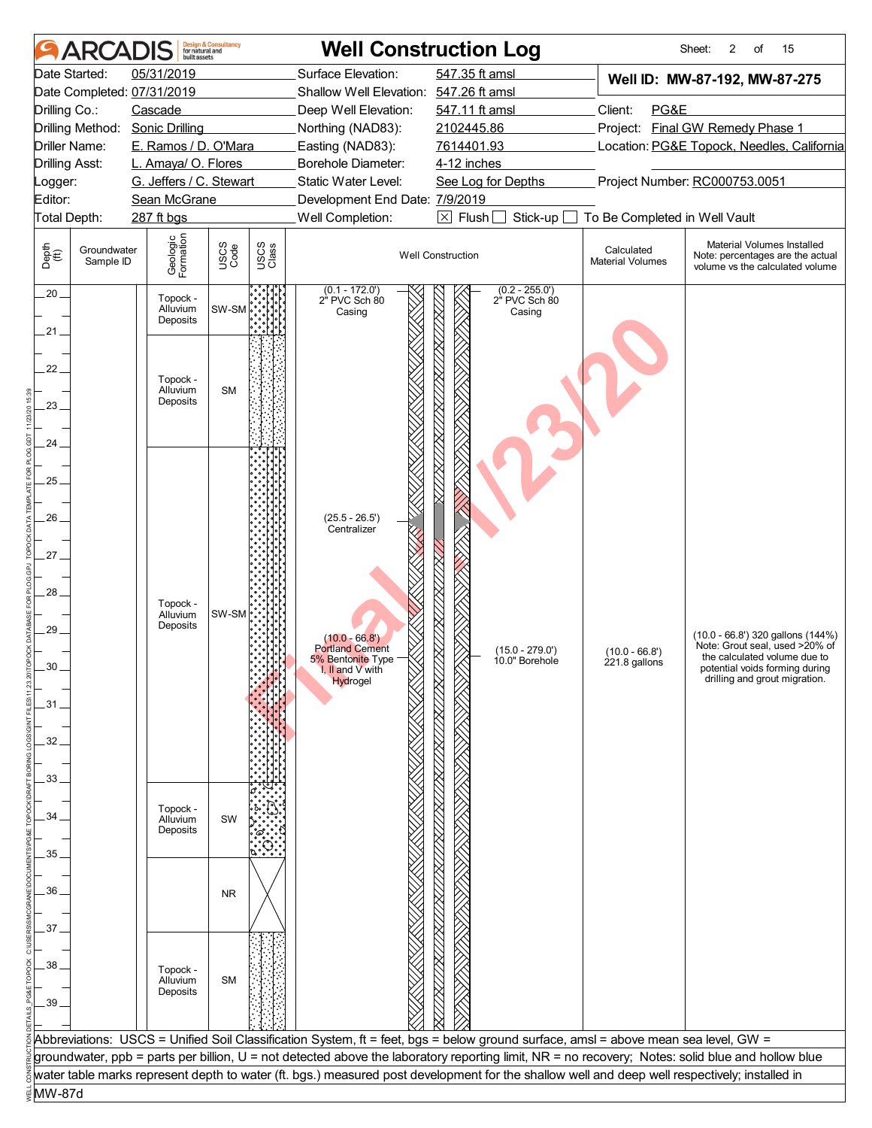|                                | <b>ARCADIS</b>           | built assets                     | <b>Design &amp; Consultancy</b><br>for natural and |               |                                             | <b>Well Construction Log</b>                                                                                                                     |                                       | Sheet:<br>2<br>15<br>of                                                                           |
|--------------------------------|--------------------------|----------------------------------|----------------------------------------------------|---------------|---------------------------------------------|--------------------------------------------------------------------------------------------------------------------------------------------------|---------------------------------------|---------------------------------------------------------------------------------------------------|
|                                | Date Started:            | 05/31/2019                       |                                                    |               | Surface Elevation:                          | 547.35 ft amsl                                                                                                                                   |                                       | Well ID: MW-87-192, MW-87-275                                                                     |
|                                |                          | Date Completed: 07/31/2019       |                                                    |               | Shallow Well Elevation: 547.26 ft amsl      |                                                                                                                                                  |                                       |                                                                                                   |
| Drilling Co.:                  |                          | Cascade                          |                                                    |               | Deep Well Elevation:                        | 547.11 ft amsl                                                                                                                                   | Client:<br>PG&E                       |                                                                                                   |
|                                | Drilling Method:         | <b>Sonic Drilling</b>            |                                                    |               | Northing (NAD83):                           | Project: Final GW Remedy Phase 1<br>2102445.86                                                                                                   |                                       |                                                                                                   |
| Driller Name:                  |                          | E. Ramos / D. O'Mara             |                                                    |               | 7614401.93<br>Easting (NAD83):              |                                                                                                                                                  |                                       | Location: PG&E Topock, Needles, California                                                        |
| <b>Drilling Asst:</b>          |                          | L. Amaya/ O. Flores              |                                                    |               | Borehole Diameter:                          | 4-12 inches                                                                                                                                      |                                       |                                                                                                   |
| _ogger:                        |                          | G. Jeffers / C. Stewart          |                                                    |               | Static Water Level:                         | See Log for Depths                                                                                                                               |                                       | Project Number: RC000753.0051                                                                     |
| Editor:                        |                          | Sean McGrane                     |                                                    |               | Development End Date: 7/9/2019              |                                                                                                                                                  |                                       |                                                                                                   |
| Total Depth:                   |                          | 287 ft bgs                       |                                                    |               | Well Completion:                            | $\boxtimes$ Flush<br>Stick-up                                                                                                                    | To Be Completed in Well Vault         |                                                                                                   |
| Depth<br>$\bigoplus_{i=1}^{n}$ | Groundwater<br>Sample ID | Geologic<br>Formation            | USCS<br>Code                                       | USCS<br>Class |                                             | <b>Well Construction</b>                                                                                                                         | Calculated<br><b>Material Volumes</b> | Material Volumes Installed<br>Note: percentages are the actual<br>volume vs the calculated volume |
| $.20 -$<br>.21.                |                          | Topock -<br>Alluvium<br>Deposits | SW-SM                                              |               | $(0.1 - 172.0')$<br>2" PVC Sch 80<br>Casing | $(0.2 - 255.0')$<br>2" PVC Sch 80<br>Casing                                                                                                      |                                       |                                                                                                   |
| 22.<br>23.                     |                          | Topock -<br>Alluvium<br>Deposits | <b>SM</b>                                          |               |                                             |                                                                                                                                                  |                                       |                                                                                                   |
| 24                             |                          |                                  |                                                    |               |                                             |                                                                                                                                                  |                                       |                                                                                                   |
|                                |                          |                                  |                                                    |               |                                             |                                                                                                                                                  |                                       |                                                                                                   |
| $25 -$                         |                          |                                  |                                                    |               |                                             |                                                                                                                                                  |                                       |                                                                                                   |
|                                |                          |                                  |                                                    |               |                                             |                                                                                                                                                  |                                       |                                                                                                   |
| 26.                            |                          |                                  |                                                    |               | $(25.5 - 26.5')$<br>Centralizer             |                                                                                                                                                  |                                       |                                                                                                   |
|                                |                          |                                  |                                                    |               |                                             |                                                                                                                                                  |                                       |                                                                                                   |
| .27                            |                          |                                  |                                                    |               |                                             |                                                                                                                                                  |                                       |                                                                                                   |
|                                |                          |                                  |                                                    |               |                                             |                                                                                                                                                  |                                       |                                                                                                   |
| 28.                            |                          |                                  |                                                    |               |                                             |                                                                                                                                                  |                                       |                                                                                                   |
|                                |                          | Topock -<br>Alluvium             | SW-SM                                              |               |                                             |                                                                                                                                                  |                                       |                                                                                                   |
| 29.                            |                          | Deposits                         |                                                    |               |                                             |                                                                                                                                                  |                                       | (10.0 - 66.8') 320 gallons (144%)                                                                 |
|                                |                          |                                  |                                                    |               | $(10.0 - 66.8')$<br><b>Portland Cement</b>  | $(15.0 - 279.0')$                                                                                                                                | $(10.0 - 66.8')$                      | Note: Grout seal, used >20% of                                                                    |
| 30                             |                          |                                  |                                                    |               | 5% Bentonite Type<br>I, II and $V$ with     | 10.0" Borehole                                                                                                                                   | 221.8 gallons                         | the calculated volume due to<br>potential voids forming during                                    |
|                                |                          |                                  |                                                    |               | Hydrogel                                    |                                                                                                                                                  |                                       | drilling and grout migration.                                                                     |
| .31.                           |                          |                                  |                                                    |               |                                             |                                                                                                                                                  |                                       |                                                                                                   |
|                                |                          |                                  |                                                    |               |                                             |                                                                                                                                                  |                                       |                                                                                                   |
|                                |                          |                                  |                                                    |               |                                             |                                                                                                                                                  |                                       |                                                                                                   |
| 32                             |                          |                                  |                                                    |               |                                             |                                                                                                                                                  |                                       |                                                                                                   |
|                                |                          |                                  |                                                    |               |                                             |                                                                                                                                                  |                                       |                                                                                                   |
| 33                             |                          |                                  |                                                    |               |                                             |                                                                                                                                                  |                                       |                                                                                                   |
|                                |                          | Topock -                         |                                                    |               |                                             |                                                                                                                                                  |                                       |                                                                                                   |
| 34                             |                          | Alluvium<br>Deposits             | SW                                                 |               |                                             |                                                                                                                                                  |                                       |                                                                                                   |
|                                |                          |                                  |                                                    |               |                                             |                                                                                                                                                  |                                       |                                                                                                   |
| 35                             |                          |                                  |                                                    |               |                                             |                                                                                                                                                  |                                       |                                                                                                   |
|                                |                          |                                  |                                                    |               |                                             |                                                                                                                                                  |                                       |                                                                                                   |
| 36                             |                          |                                  | <b>NR</b>                                          |               |                                             |                                                                                                                                                  |                                       |                                                                                                   |
|                                |                          |                                  |                                                    |               |                                             |                                                                                                                                                  |                                       |                                                                                                   |
| 37                             |                          |                                  |                                                    |               |                                             |                                                                                                                                                  |                                       |                                                                                                   |
|                                |                          |                                  |                                                    |               |                                             |                                                                                                                                                  |                                       |                                                                                                   |
| 38                             |                          | Topock -                         |                                                    |               |                                             |                                                                                                                                                  |                                       |                                                                                                   |
|                                |                          | Alluvium                         | <b>SM</b>                                          |               |                                             |                                                                                                                                                  |                                       |                                                                                                   |
| 39                             |                          | Deposits                         |                                                    |               |                                             |                                                                                                                                                  |                                       |                                                                                                   |
|                                |                          |                                  |                                                    |               |                                             |                                                                                                                                                  |                                       |                                                                                                   |
|                                |                          |                                  |                                                    |               |                                             | Abbreviations: USCS = Unified Soil Classification System, ft = feet, bgs = below ground surface, amsl = above mean sea level, GW =               |                                       |                                                                                                   |
|                                |                          |                                  |                                                    |               |                                             | groundwater, ppb = parts per billion, U = not detected above the laboratory reporting limit, NR = no recovery; Notes: solid blue and hollow blue |                                       |                                                                                                   |
|                                |                          |                                  |                                                    |               |                                             | water table marks represent depth to water (ft. bgs.) measured post development for the shallow well and deep well respectively; installed in    |                                       |                                                                                                   |
| MW-87d                         |                          |                                  |                                                    |               |                                             |                                                                                                                                                  |                                       |                                                                                                   |
|                                |                          |                                  |                                                    |               |                                             |                                                                                                                                                  |                                       |                                                                                                   |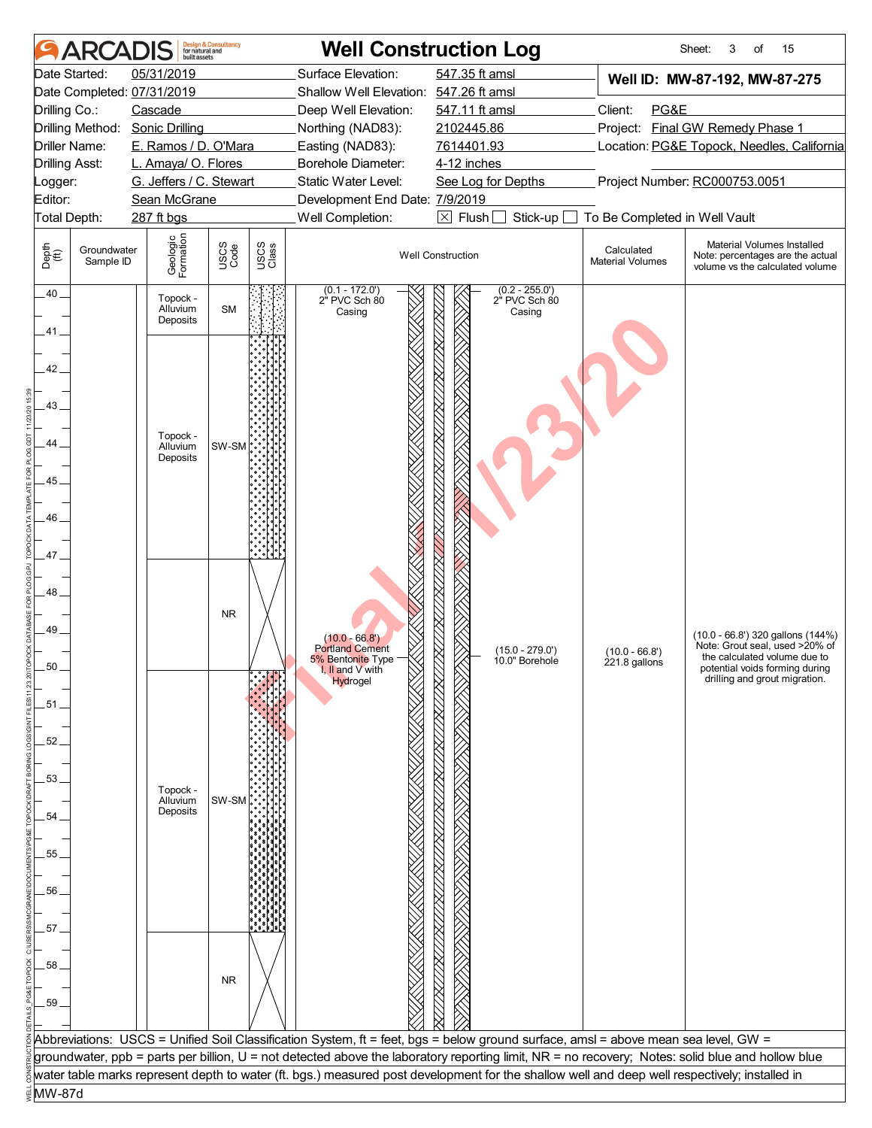|                                             | <b>ARCAI</b>             | huilt assets                     | <b>Design &amp; Consultancy</b><br>for natural and |               |                                                                                                 | <b>Well Construction Log</b>                                                                                                                     |                                            | 15<br>Sheet:<br>3<br>of                                                                                                                                                |
|---------------------------------------------|--------------------------|----------------------------------|----------------------------------------------------|---------------|-------------------------------------------------------------------------------------------------|--------------------------------------------------------------------------------------------------------------------------------------------------|--------------------------------------------|------------------------------------------------------------------------------------------------------------------------------------------------------------------------|
|                                             | Date Started:            | 05/31/2019                       |                                                    |               | Surface Elevation:                                                                              | 547.35 ft amsl                                                                                                                                   |                                            | Well ID: MW-87-192, MW-87-275                                                                                                                                          |
|                                             |                          | Date Completed: 07/31/2019       |                                                    |               | Shallow Well Elevation: 547.26 ft amsl                                                          |                                                                                                                                                  |                                            |                                                                                                                                                                        |
| Drilling Co.:                               |                          | Cascade                          |                                                    |               | Deep Well Elevation:                                                                            | 547.11 ft amsl                                                                                                                                   | Client:<br>PG&E                            |                                                                                                                                                                        |
|                                             | Drilling Method:         | <b>Sonic Drilling</b>            |                                                    |               | Northing (NAD83):                                                                               | 2102445.86                                                                                                                                       |                                            | Project: Final GW Remedy Phase 1                                                                                                                                       |
|                                             | Driller Name:            | E. Ramos / D. O'Mara             |                                                    |               | Easting (NAD83):                                                                                | 7614401.93                                                                                                                                       | Location: PG&E Topock, Needles, California |                                                                                                                                                                        |
| <b>Drilling Asst:</b>                       |                          | L. Amaya/ O. Flores              |                                                    |               | Borehole Diameter:                                                                              | 4-12 inches                                                                                                                                      |                                            |                                                                                                                                                                        |
| _ogger:                                     |                          | G. Jeffers / C. Stewart          |                                                    |               | Static Water Level:                                                                             | See Log for Depths                                                                                                                               |                                            | Project Number: RC000753.0051                                                                                                                                          |
| Editor:                                     |                          | Sean McGrane                     |                                                    |               | Development End Date: 7/9/2019                                                                  |                                                                                                                                                  |                                            |                                                                                                                                                                        |
| Total Depth:                                |                          | 287 ft bgs                       |                                                    |               | Well Completion:                                                                                | $\boxtimes$ Flush<br>Stick-up                                                                                                                    | To Be Completed in Well Vault              |                                                                                                                                                                        |
| Depth<br>(ff)                               | Groundwater<br>Sample ID | Geologic<br>Formation            | USCS<br>Code                                       | USCS<br>Class |                                                                                                 | <b>Well Construction</b>                                                                                                                         | Calculated<br><b>Material Volumes</b>      | Material Volumes Installed<br>Note: percentages are the actual<br>volume vs the calculated volume                                                                      |
| $.40 -$                                     |                          | Topock -<br>Alluvium<br>Deposits | <b>SM</b>                                          |               | $(0.1 - 172.0')$<br>2" PVC Sch 80<br>Casing                                                     | $(0.2 - 255.0')$<br>2 <sup>"</sup> PVC Sch 80<br>Casing                                                                                          |                                            |                                                                                                                                                                        |
| 41.<br>42.<br>43.<br>44<br>45<br>46.<br>47_ |                          | Topock -<br>Alluvium<br>Deposits | SW-SM <sup>P</sup>                                 |               |                                                                                                 |                                                                                                                                                  |                                            |                                                                                                                                                                        |
| 48.<br>49<br>50<br>.51.                     |                          |                                  | <b>NR</b>                                          |               | $(10.0 - 66.8')$<br><b>Portland Cement</b><br>5% Bentonite Type<br>I, II and V with<br>Hydrogel | $(15.0 - 279.0')$<br>10.0" Borehole                                                                                                              | $(10.0 - 66.8)$<br>221.8 gallons           | (10.0 - 66.8') 320 gallons (144%)<br>Note: Grout seal, used >20% of<br>the calculated volume due to<br>potential voids forming during<br>drilling and grout migration. |
| 52                                          |                          |                                  |                                                    |               |                                                                                                 |                                                                                                                                                  |                                            |                                                                                                                                                                        |
| 53.                                         |                          |                                  |                                                    |               |                                                                                                 |                                                                                                                                                  |                                            |                                                                                                                                                                        |
|                                             |                          | Topock -                         |                                                    |               |                                                                                                 |                                                                                                                                                  |                                            |                                                                                                                                                                        |
|                                             |                          | Alluvium<br>Deposits             | SW-SM                                              |               |                                                                                                 |                                                                                                                                                  |                                            |                                                                                                                                                                        |
| 54                                          |                          |                                  |                                                    |               |                                                                                                 |                                                                                                                                                  |                                            |                                                                                                                                                                        |
|                                             |                          |                                  |                                                    |               |                                                                                                 |                                                                                                                                                  |                                            |                                                                                                                                                                        |
| 55                                          |                          |                                  |                                                    |               |                                                                                                 |                                                                                                                                                  |                                            |                                                                                                                                                                        |
|                                             |                          |                                  |                                                    |               |                                                                                                 |                                                                                                                                                  |                                            |                                                                                                                                                                        |
| 56                                          |                          |                                  |                                                    |               |                                                                                                 |                                                                                                                                                  |                                            |                                                                                                                                                                        |
|                                             |                          |                                  |                                                    |               |                                                                                                 |                                                                                                                                                  |                                            |                                                                                                                                                                        |
| 57                                          |                          |                                  |                                                    |               |                                                                                                 |                                                                                                                                                  |                                            |                                                                                                                                                                        |
| 58                                          |                          |                                  | <b>NR</b>                                          |               |                                                                                                 |                                                                                                                                                  |                                            |                                                                                                                                                                        |
| 59.                                         |                          |                                  |                                                    |               |                                                                                                 |                                                                                                                                                  |                                            |                                                                                                                                                                        |
|                                             |                          |                                  |                                                    |               |                                                                                                 |                                                                                                                                                  |                                            |                                                                                                                                                                        |
|                                             |                          |                                  |                                                    |               |                                                                                                 | Abbreviations: USCS = Unified Soil Classification System, ft = feet, bgs = below ground surface, amsl = above mean sea level, GW =               |                                            |                                                                                                                                                                        |
|                                             |                          |                                  |                                                    |               |                                                                                                 | groundwater, ppb = parts per billion, U = not detected above the laboratory reporting limit, NR = no recovery; Notes: solid blue and hollow blue |                                            |                                                                                                                                                                        |
|                                             |                          |                                  |                                                    |               |                                                                                                 | water table marks represent depth to water (ft. bgs.) measured post development for the shallow well and deep well respectively; installed in    |                                            |                                                                                                                                                                        |
| <b>MW-87d</b>                               |                          |                                  |                                                    |               |                                                                                                 |                                                                                                                                                  |                                            |                                                                                                                                                                        |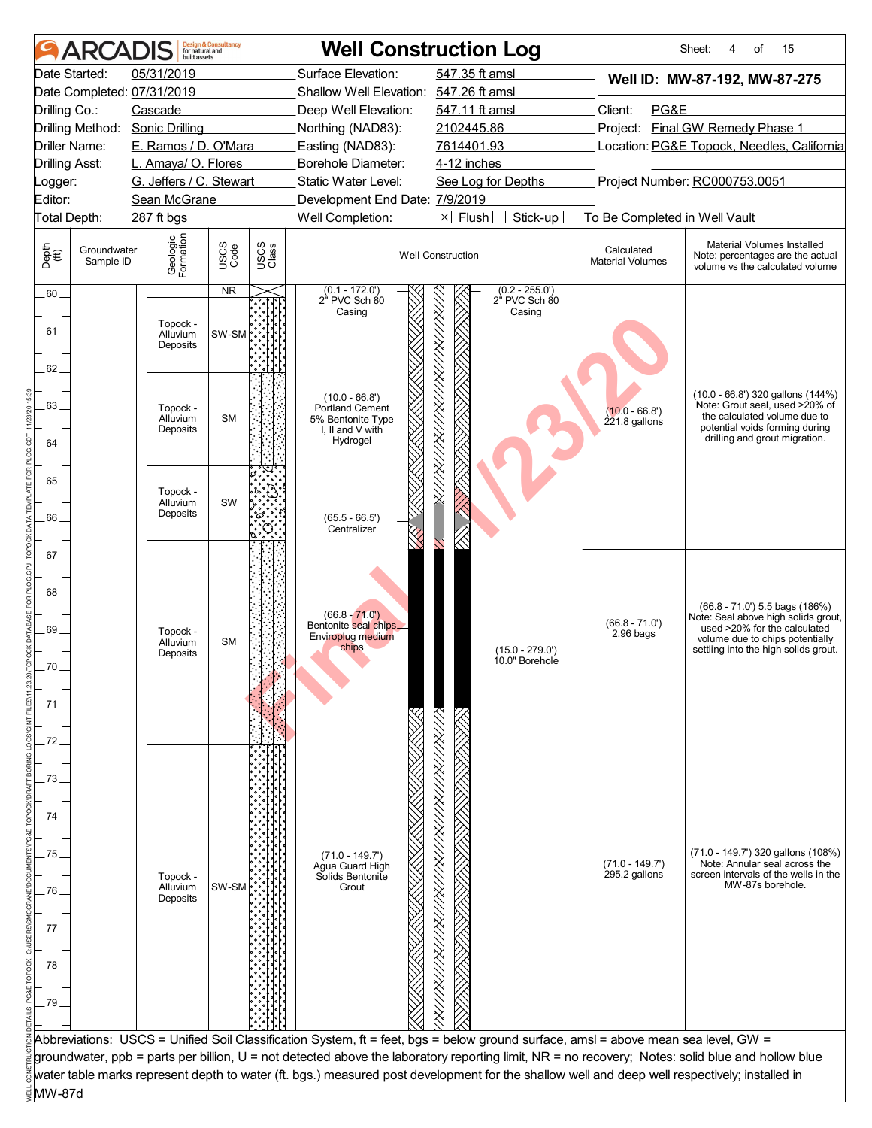|                                | <b>ARCADIS</b>           | built assets                     | <b>Design &amp; Consultancy</b><br>for natural and |                   |                                                                                          | <b>Well Construction Log</b>                                                                                                                     |                                            | Sheet:<br>15<br>οf<br>4                                                                                                                                                             |  |
|--------------------------------|--------------------------|----------------------------------|----------------------------------------------------|-------------------|------------------------------------------------------------------------------------------|--------------------------------------------------------------------------------------------------------------------------------------------------|--------------------------------------------|-------------------------------------------------------------------------------------------------------------------------------------------------------------------------------------|--|
|                                | Date Started:            | 05/31/2019                       |                                                    |                   | Surface Elevation:                                                                       | 547.35 ft amsl                                                                                                                                   |                                            | Well ID: MW-87-192, MW-87-275                                                                                                                                                       |  |
|                                |                          | Date Completed: 07/31/2019       |                                                    |                   | Shallow Well Elevation: 547.26 ft amsl                                                   |                                                                                                                                                  |                                            |                                                                                                                                                                                     |  |
| Drilling Co.:                  |                          | Cascade                          |                                                    |                   | Deep Well Elevation:                                                                     | 547.11 ft amsl                                                                                                                                   | Client:<br>PG&E                            |                                                                                                                                                                                     |  |
|                                | Drilling Method:         | <b>Sonic Drilling</b>            |                                                    | Northing (NAD83): |                                                                                          | 2102445.86                                                                                                                                       | <b>Final GW Remedy Phase 1</b><br>Project: |                                                                                                                                                                                     |  |
| Driller Name:                  |                          | E. Ramos / D. O'Mara             |                                                    |                   | Easting (NAD83):                                                                         | 7614401.93                                                                                                                                       | Location: PG&E Topock, Needles, California |                                                                                                                                                                                     |  |
| <b>Drilling Asst:</b>          |                          | L. Amaya/ O. Flores              |                                                    |                   | <b>Borehole Diameter:</b>                                                                | 4-12 inches                                                                                                                                      |                                            |                                                                                                                                                                                     |  |
| _ogger:                        |                          | G. Jeffers / C. Stewart          |                                                    |                   | Static Water Level:                                                                      | See Log for Depths                                                                                                                               |                                            | Project Number: RC000753.0051                                                                                                                                                       |  |
| Editor:                        |                          | Sean McGrane                     |                                                    |                   | Development End Date: 7/9/2019                                                           |                                                                                                                                                  |                                            |                                                                                                                                                                                     |  |
| Total Depth:                   |                          | 287 ft bgs                       |                                                    |                   | Well Completion:                                                                         | $\boxtimes$ Flush<br>Stick-up                                                                                                                    | To Be Completed in Well Vault              |                                                                                                                                                                                     |  |
| Depth<br>$\bigoplus_{i=1}^{n}$ | Groundwater<br>Sample ID | Geologic<br>Formation            | USCS<br>Code                                       | USCS<br>Class     |                                                                                          | <b>Well Construction</b>                                                                                                                         | Calculated<br><b>Material Volumes</b>      | Material Volumes Installed<br>Note: percentages are the actual<br>volume vs the calculated volume                                                                                   |  |
| $.60 -$<br>.61<br>62.          |                          | Topock -<br>Alluvium<br>Deposits | <b>NR</b><br>SW-SM                                 |                   | $(0.1 - 172.0)$<br>2" PVC Sch 80<br>Casing                                               | $(0.2 - 255.0')$<br>2" PVC Sch 80<br>Casing                                                                                                      |                                            |                                                                                                                                                                                     |  |
| 63.<br>64                      |                          | Topock -<br>Alluvium<br>Deposits | <b>SM</b>                                          |                   | $(10.0 - 66.8')$<br>Portland Cement<br>5% Bentonite Type<br>I, II and V with<br>Hydrogel |                                                                                                                                                  | $(10.0 - 66.8)$<br>$221.8$ gallons         | (10.0 - 66.8') 320 gallons (144%)<br>Note: Grout seal, used >20% of<br>the calculated volume due to<br>potential voids forming during<br>drilling and grout migration.              |  |
| $65 -$<br>.66                  |                          | Topock -<br>Alluvium<br>Deposits | SW                                                 |                   | $(65.5 - 66.5')$<br>Centralizer                                                          |                                                                                                                                                  |                                            |                                                                                                                                                                                     |  |
| 67<br>68.<br>69                |                          | Topock -<br>Alluvium<br>Deposits | <b>SM</b>                                          |                   | $(66.8 - 71.0')$<br>Bentonite seal chips_<br>Enviroplug medium<br>chips                  | $(15.0 - 279.0')$<br>10.0" Borehole                                                                                                              | $(66.8 - 71.0')$<br>$2.96$ bags            | $(66.8 - 71.0)$ 5.5 bags $(186%)$<br>Note: Seal above high solids grout,<br>used >20% for the calculated<br>volume due to chips potentially<br>settling into the high solids grout. |  |
| 72<br>73                       |                          |                                  |                                                    |                   |                                                                                          |                                                                                                                                                  |                                            |                                                                                                                                                                                     |  |
|                                |                          |                                  |                                                    |                   |                                                                                          |                                                                                                                                                  |                                            |                                                                                                                                                                                     |  |
|                                |                          |                                  |                                                    |                   |                                                                                          |                                                                                                                                                  |                                            |                                                                                                                                                                                     |  |
|                                |                          |                                  |                                                    |                   |                                                                                          |                                                                                                                                                  |                                            |                                                                                                                                                                                     |  |
| 75                             |                          |                                  |                                                    |                   | $(71.0 - 149.7)$                                                                         |                                                                                                                                                  |                                            | (71.0 - 149.7') 320 gallons (108%)                                                                                                                                                  |  |
|                                |                          |                                  |                                                    |                   | Agua Guard High<br>Solids Bentonite                                                      |                                                                                                                                                  | $(71.0 - 149.7)$                           | Note: Annular seal across the                                                                                                                                                       |  |
|                                |                          | Topock -<br>Alluvium             | SW-SM                                              |                   | Grout                                                                                    |                                                                                                                                                  | 295.2 gallons                              | screen intervals of the wells in the<br>MW-87s borehole.                                                                                                                            |  |
| 76                             |                          | Deposits                         |                                                    |                   |                                                                                          |                                                                                                                                                  |                                            |                                                                                                                                                                                     |  |
|                                |                          |                                  |                                                    |                   |                                                                                          |                                                                                                                                                  |                                            |                                                                                                                                                                                     |  |
| 77                             |                          |                                  |                                                    |                   |                                                                                          |                                                                                                                                                  |                                            |                                                                                                                                                                                     |  |
| 78                             |                          |                                  |                                                    |                   |                                                                                          |                                                                                                                                                  |                                            |                                                                                                                                                                                     |  |
| 79                             |                          |                                  |                                                    |                   |                                                                                          |                                                                                                                                                  |                                            |                                                                                                                                                                                     |  |
|                                |                          |                                  |                                                    |                   |                                                                                          |                                                                                                                                                  |                                            |                                                                                                                                                                                     |  |
|                                |                          |                                  |                                                    |                   |                                                                                          | Abbreviations: USCS = Unified Soil Classification System, ft = feet, bgs = below ground surface, amsl = above mean sea level, GW =               |                                            |                                                                                                                                                                                     |  |
|                                |                          |                                  |                                                    |                   |                                                                                          | groundwater, ppb = parts per billion, U = not detected above the laboratory reporting limit, NR = no recovery; Notes: solid blue and hollow blue |                                            |                                                                                                                                                                                     |  |
|                                |                          |                                  |                                                    |                   |                                                                                          | water table marks represent depth to water (ft. bgs.) measured post development for the shallow well and deep well respectively; installed in    |                                            |                                                                                                                                                                                     |  |
| MW-87d                         |                          |                                  |                                                    |                   |                                                                                          |                                                                                                                                                  |                                            |                                                                                                                                                                                     |  |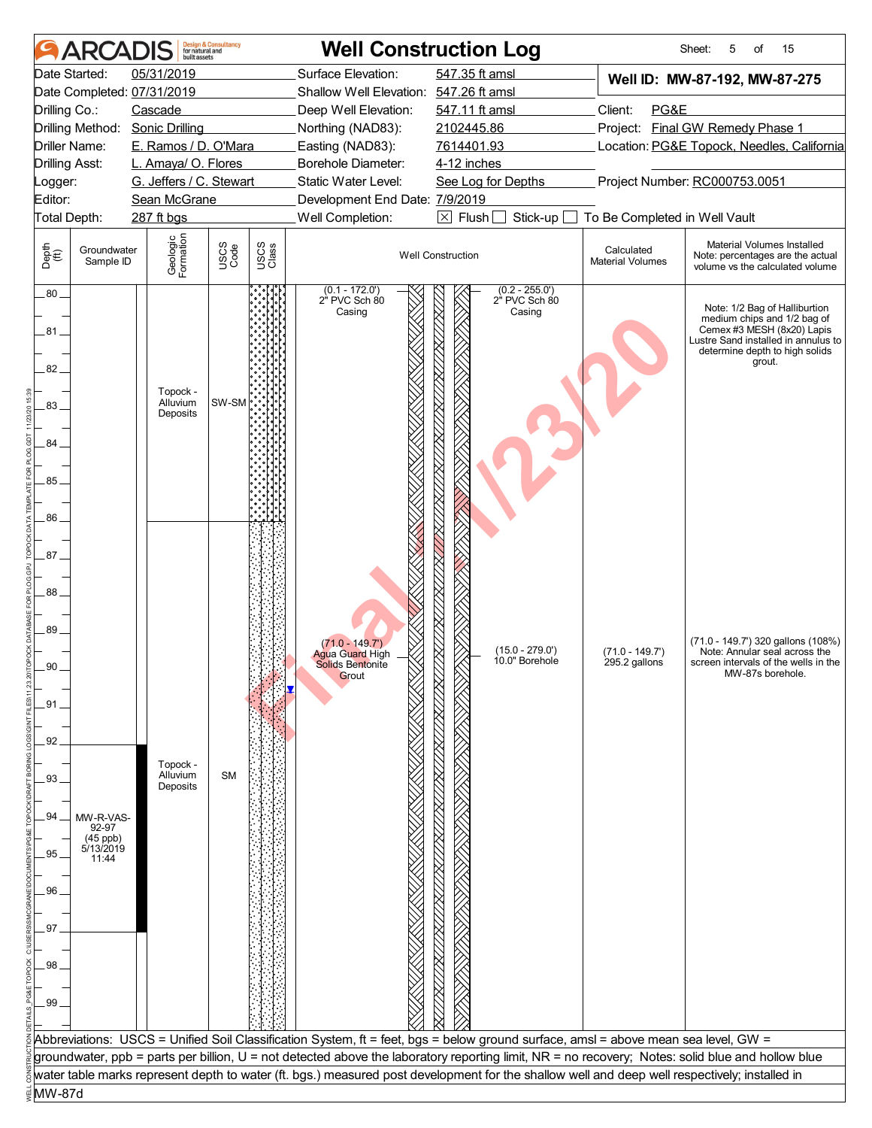|                       | <b>ARCADIS</b>           | built assets                                   | <b>Design &amp; Consultancy</b><br>for natural and |               |                                                      | <b>Well Construction Log</b>                                                                                                                     |                                       | Sheet:<br>5<br>15<br>οf                                                                                                                                                       |  |
|-----------------------|--------------------------|------------------------------------------------|----------------------------------------------------|---------------|------------------------------------------------------|--------------------------------------------------------------------------------------------------------------------------------------------------|---------------------------------------|-------------------------------------------------------------------------------------------------------------------------------------------------------------------------------|--|
|                       | Date Started:            | 05/31/2019                                     |                                                    |               | Surface Elevation:                                   | 547.35 ft amsl                                                                                                                                   |                                       | Well ID: MW-87-192, MW-87-275                                                                                                                                                 |  |
|                       |                          | Date Completed: 07/31/2019                     |                                                    |               | Shallow Well Elevation: 547.26 ft amsl               |                                                                                                                                                  |                                       |                                                                                                                                                                               |  |
| Drilling Co.:         |                          | Cascade                                        |                                                    |               | Deep Well Elevation:                                 | 547.11 ft amsl                                                                                                                                   | Client:<br>PG&E                       |                                                                                                                                                                               |  |
|                       |                          | Drilling Method: Sonic Drilling                |                                                    |               | Northing (NAD83):                                    | 2102445.86                                                                                                                                       |                                       | Project: Final GW Remedy Phase 1                                                                                                                                              |  |
|                       | Driller Name:            | E. Ramos / D. O'Mara                           |                                                    |               | Easting (NAD83):<br>7614401.93<br>Borehole Diameter: |                                                                                                                                                  |                                       | Location: PG&E Topock, Needles, California                                                                                                                                    |  |
| <b>Drilling Asst:</b> |                          | L. Amaya/ O. Flores<br>G. Jeffers / C. Stewart |                                                    |               | Static Water Level:                                  | 4-12 inches<br>See Log for Depths                                                                                                                |                                       | Project Number: RC000753.0051                                                                                                                                                 |  |
| Logger:<br>Editor:    |                          | Sean McGrane                                   |                                                    |               | Development End Date: 7/9/2019                       |                                                                                                                                                  |                                       |                                                                                                                                                                               |  |
| Total Depth:          |                          | 287 ft bgs                                     |                                                    |               | Well Completion:                                     | $\boxtimes$ Flush<br>Stick-up                                                                                                                    |                                       |                                                                                                                                                                               |  |
|                       |                          |                                                |                                                    |               |                                                      |                                                                                                                                                  | To Be Completed in Well Vault         |                                                                                                                                                                               |  |
| Depth<br>(ff)         | Groundwater<br>Sample ID | Geologic<br>Formation                          | USCS<br>Code                                       | USCS<br>Class |                                                      | <b>Well Construction</b>                                                                                                                         | Calculated<br><b>Material Volumes</b> | Material Volumes Installed<br>Note: percentages are the actual<br>volume vs the calculated volume                                                                             |  |
| $.80 -$<br>81<br>82.  |                          |                                                |                                                    |               | $(0.1 - 172.0)$<br>2" PVC Sch 80<br>Casing           | $(0.2 - 255.0')$<br>2" PVC Sch 80<br>Casing                                                                                                      |                                       | Note: 1/2 Bag of Halliburtion<br>medium chips and 1/2 bag of<br>Cemex #3 MESH (8x20) Lapis<br>Lustre Sand installed in annulus to<br>determine depth to high solids<br>grout. |  |
| 83.                   |                          | Topock -<br>Alluvium<br>Deposits               | SW-SM                                              |               |                                                      |                                                                                                                                                  |                                       |                                                                                                                                                                               |  |
| 84                    |                          |                                                |                                                    |               |                                                      |                                                                                                                                                  |                                       |                                                                                                                                                                               |  |
| 85.                   |                          |                                                |                                                    |               |                                                      |                                                                                                                                                  |                                       |                                                                                                                                                                               |  |
|                       |                          |                                                |                                                    |               |                                                      |                                                                                                                                                  |                                       |                                                                                                                                                                               |  |
| 86.                   |                          |                                                |                                                    |               |                                                      |                                                                                                                                                  |                                       |                                                                                                                                                                               |  |
|                       |                          |                                                |                                                    |               |                                                      |                                                                                                                                                  |                                       |                                                                                                                                                                               |  |
| .87.                  |                          |                                                |                                                    |               |                                                      |                                                                                                                                                  |                                       |                                                                                                                                                                               |  |
|                       |                          |                                                |                                                    |               |                                                      |                                                                                                                                                  |                                       |                                                                                                                                                                               |  |
| 88.                   |                          |                                                |                                                    |               |                                                      |                                                                                                                                                  |                                       |                                                                                                                                                                               |  |
|                       |                          |                                                |                                                    |               |                                                      |                                                                                                                                                  |                                       |                                                                                                                                                                               |  |
| 89                    |                          |                                                |                                                    |               | $(71.0 - 149.7)$                                     |                                                                                                                                                  |                                       | (71.0 - 149.7') 320 gallons (108%)                                                                                                                                            |  |
|                       |                          |                                                |                                                    |               | <b>Agua Guard High</b><br>Solids Bentonite           | $(15.0 - 279.0')$<br>10.0" Borehole                                                                                                              | $(71.0 - 149.7')$<br>295.2 gallons    | Note: Annular seal across the<br>screen intervals of the wells in the                                                                                                         |  |
| 90                    |                          |                                                |                                                    |               | Grout                                                |                                                                                                                                                  |                                       | MW-87s borehole.                                                                                                                                                              |  |
|                       |                          |                                                |                                                    |               |                                                      |                                                                                                                                                  |                                       |                                                                                                                                                                               |  |
| .91                   |                          |                                                |                                                    |               |                                                      |                                                                                                                                                  |                                       |                                                                                                                                                                               |  |
| 92                    |                          |                                                |                                                    |               |                                                      |                                                                                                                                                  |                                       |                                                                                                                                                                               |  |
|                       |                          |                                                |                                                    |               |                                                      |                                                                                                                                                  |                                       |                                                                                                                                                                               |  |
| 93                    |                          | Topock -<br>Alluvium                           | <b>SM</b>                                          |               |                                                      |                                                                                                                                                  |                                       |                                                                                                                                                                               |  |
|                       |                          | Deposits                                       |                                                    |               |                                                      |                                                                                                                                                  |                                       |                                                                                                                                                                               |  |
| 94                    | MW-R-VAS-                |                                                |                                                    |               |                                                      |                                                                                                                                                  |                                       |                                                                                                                                                                               |  |
|                       | 92-97                    |                                                |                                                    |               |                                                      |                                                                                                                                                  |                                       |                                                                                                                                                                               |  |
| .95                   | (45 ppb)<br>5/13/2019    |                                                |                                                    |               |                                                      |                                                                                                                                                  |                                       |                                                                                                                                                                               |  |
|                       | 11:44                    |                                                |                                                    |               |                                                      |                                                                                                                                                  |                                       |                                                                                                                                                                               |  |
| 96.                   |                          |                                                |                                                    |               |                                                      |                                                                                                                                                  |                                       |                                                                                                                                                                               |  |
|                       |                          |                                                |                                                    |               |                                                      |                                                                                                                                                  |                                       |                                                                                                                                                                               |  |
| 97                    |                          |                                                |                                                    |               |                                                      |                                                                                                                                                  |                                       |                                                                                                                                                                               |  |
|                       |                          |                                                |                                                    |               |                                                      |                                                                                                                                                  |                                       |                                                                                                                                                                               |  |
| .98                   |                          |                                                |                                                    |               |                                                      |                                                                                                                                                  |                                       |                                                                                                                                                                               |  |
|                       |                          |                                                |                                                    |               |                                                      |                                                                                                                                                  |                                       |                                                                                                                                                                               |  |
| 99                    |                          |                                                |                                                    |               |                                                      |                                                                                                                                                  |                                       |                                                                                                                                                                               |  |
|                       |                          |                                                |                                                    |               |                                                      |                                                                                                                                                  |                                       |                                                                                                                                                                               |  |
|                       |                          |                                                |                                                    |               |                                                      | Abbreviations: USCS = Unified Soil Classification System, ft = feet, bgs = below ground surface, amsl = above mean sea level, GW =               |                                       |                                                                                                                                                                               |  |
|                       |                          |                                                |                                                    |               |                                                      | groundwater, ppb = parts per billion, U = not detected above the laboratory reporting limit, NR = no recovery; Notes: solid blue and hollow blue |                                       |                                                                                                                                                                               |  |
|                       |                          |                                                |                                                    |               |                                                      | water table marks represent depth to water (ft. bgs.) measured post development for the shallow well and deep well respectively; installed in    |                                       |                                                                                                                                                                               |  |
| MW-87d                |                          |                                                |                                                    |               |                                                      |                                                                                                                                                  |                                       |                                                                                                                                                                               |  |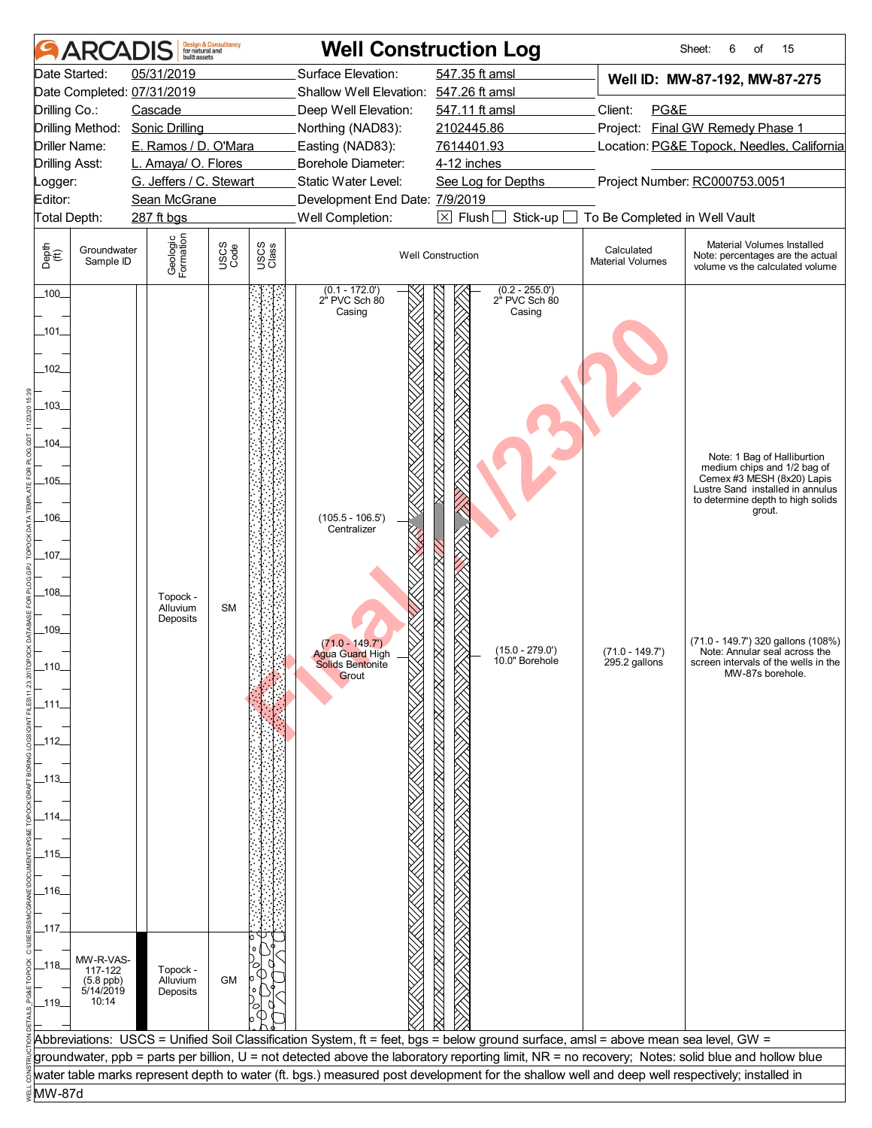|                       | ARCADIS                                                    | built assets                                   | <b>Design &amp; Consultancy</b><br>for natural and |               |                                                     | <b>Well Construction Log</b>                                                                                                                     |                                            | 15<br>Sheet:<br>6<br>of                                                                   |
|-----------------------|------------------------------------------------------------|------------------------------------------------|----------------------------------------------------|---------------|-----------------------------------------------------|--------------------------------------------------------------------------------------------------------------------------------------------------|--------------------------------------------|-------------------------------------------------------------------------------------------|
|                       | Date Started:                                              | 05/31/2019                                     |                                                    |               | Surface Elevation:                                  | 547.35 ft amsl                                                                                                                                   |                                            | Well ID: MW-87-192, MW-87-275                                                             |
|                       |                                                            | Date Completed: 07/31/2019                     |                                                    |               | Shallow Well Elevation: 547.26 ft amsl              |                                                                                                                                                  |                                            |                                                                                           |
| Drilling Co.:         |                                                            | Cascade                                        |                                                    |               | Deep Well Elevation:                                | 547.11 ft amsl                                                                                                                                   | Client:<br>PG&E                            |                                                                                           |
|                       | Drilling Method:                                           | <b>Sonic Drilling</b>                          |                                                    |               | Northing (NAD83):                                   | 2102445.86                                                                                                                                       |                                            | Project: Final GW Remedy Phase 1                                                          |
|                       | <b>Driller Name:</b>                                       | E. Ramos / D. O'Mara                           |                                                    |               | Easting (NAD83):                                    | 7614401.93                                                                                                                                       | Location: PG&E Topock, Needles, California |                                                                                           |
| <b>Drilling Asst:</b> |                                                            | L. Amaya/ O. Flores<br>G. Jeffers / C. Stewart |                                                    |               | <b>Borehole Diameter:</b><br>Static Water Level:    | 4-12 inches                                                                                                                                      |                                            | Project Number: RC000753.0051                                                             |
| Logger:<br>Editor:    |                                                            | Sean McGrane                                   |                                                    |               | Development End Date: 7/9/2019                      | See Log for Depths                                                                                                                               |                                            |                                                                                           |
|                       | Total Depth:                                               | 287 ft bgs                                     |                                                    |               | Well Completion:                                    | $\boxtimes$ Flush [<br>Stick-up                                                                                                                  | To Be Completed in Well Vault              |                                                                                           |
|                       | Groundwater                                                |                                                |                                                    |               |                                                     |                                                                                                                                                  | Calculated                                 | Material Volumes Installed                                                                |
| Depth<br>(ff)         | Sample ID                                                  | Geologic<br>Formation                          | USCS<br>Code                                       | USCS<br>Class | <b>Well Construction</b>                            |                                                                                                                                                  | <b>Material Volumes</b>                    | Note: percentages are the actual<br>volume vs the calculated volume                       |
| 100                   |                                                            |                                                |                                                    |               | (0.1 - 172.0')<br>2" PVC Sch 80                     | $(0.2 - 255.0')$<br>2" PVC Sch 80                                                                                                                |                                            |                                                                                           |
| _101_                 |                                                            |                                                |                                                    |               | Casing                                              | Casing                                                                                                                                           |                                            |                                                                                           |
| $-102$                |                                                            |                                                |                                                    |               |                                                     |                                                                                                                                                  |                                            |                                                                                           |
|                       |                                                            |                                                |                                                    |               |                                                     |                                                                                                                                                  |                                            |                                                                                           |
| $-103$                |                                                            |                                                |                                                    |               |                                                     |                                                                                                                                                  |                                            |                                                                                           |
| $-104$                |                                                            |                                                |                                                    |               |                                                     |                                                                                                                                                  |                                            | Note: 1 Bag of Halliburtion                                                               |
| $-105$                |                                                            |                                                |                                                    |               |                                                     |                                                                                                                                                  |                                            | medium chips and 1/2 bag of<br>Cemex #3 MESH (8x20) Lapis                                 |
|                       |                                                            |                                                |                                                    |               |                                                     |                                                                                                                                                  |                                            | Lustre Sand installed in annulus<br>to determine depth to high solids<br>grout.           |
| _106_                 |                                                            |                                                |                                                    |               | $(105.5 - 106.5')$<br>Centralizer                   |                                                                                                                                                  |                                            |                                                                                           |
| _107_                 |                                                            |                                                |                                                    |               |                                                     |                                                                                                                                                  |                                            |                                                                                           |
| $-108$                |                                                            |                                                |                                                    |               |                                                     |                                                                                                                                                  |                                            |                                                                                           |
|                       |                                                            | Topock -<br>Alluvium<br>Deposits               | <b>SM</b>                                          |               |                                                     |                                                                                                                                                  |                                            |                                                                                           |
| $-109$                |                                                            |                                                |                                                    |               | $(71.0 - 149.7)$                                    | $(15.0 - 279.0')$                                                                                                                                |                                            | (71.0 - 149.7') 320 gallons (108%)                                                        |
|                       |                                                            |                                                |                                                    |               | <b>Agua Guard High</b><br>Solids Bentonite<br>Grout | 10.0" Borehole                                                                                                                                   | $(71.0 - 149.7')$<br>295.2 gallons         | Note: Annular seal across the<br>screen intervals of the wells in the<br>MW-87s borehole. |
| _111_                 |                                                            |                                                |                                                    |               |                                                     |                                                                                                                                                  |                                            |                                                                                           |
|                       |                                                            |                                                |                                                    |               |                                                     |                                                                                                                                                  |                                            |                                                                                           |
| _112_                 |                                                            |                                                |                                                    |               |                                                     |                                                                                                                                                  |                                            |                                                                                           |
| _113_                 |                                                            |                                                |                                                    |               |                                                     |                                                                                                                                                  |                                            |                                                                                           |
|                       |                                                            |                                                |                                                    |               |                                                     |                                                                                                                                                  |                                            |                                                                                           |
| _114_                 |                                                            |                                                |                                                    |               |                                                     |                                                                                                                                                  |                                            |                                                                                           |
|                       |                                                            |                                                |                                                    |               |                                                     |                                                                                                                                                  |                                            |                                                                                           |
| _115_                 |                                                            |                                                |                                                    |               |                                                     |                                                                                                                                                  |                                            |                                                                                           |
| _116_                 |                                                            |                                                |                                                    |               |                                                     |                                                                                                                                                  |                                            |                                                                                           |
|                       |                                                            |                                                |                                                    |               |                                                     |                                                                                                                                                  |                                            |                                                                                           |
| _117.                 |                                                            |                                                |                                                    |               |                                                     |                                                                                                                                                  |                                            |                                                                                           |
| _118_                 | MW-R-VAS-<br>117-122<br>$(5.8 \text{ ppb})$<br>$5/14/2019$ | Topock -<br>Alluvium                           | <b>GM</b>                                          |               |                                                     |                                                                                                                                                  |                                            |                                                                                           |
| $-119$                | 10:14                                                      | Deposits                                       |                                                    |               |                                                     |                                                                                                                                                  |                                            |                                                                                           |
|                       |                                                            |                                                |                                                    |               |                                                     | Abbreviations: USCS = Unified Soil Classification System, ft = feet, bgs = below ground surface, amsl = above mean sea level, GW =               |                                            |                                                                                           |
|                       |                                                            |                                                |                                                    |               |                                                     | groundwater, ppb = parts per billion, U = not detected above the laboratory reporting limit, NR = no recovery; Notes: solid blue and hollow blue |                                            |                                                                                           |
|                       |                                                            |                                                |                                                    |               |                                                     | water table marks represent depth to water (ft. bgs.) measured post development for the shallow well and deep well respectively; installed in    |                                            |                                                                                           |
| MW-87d                |                                                            |                                                |                                                    |               |                                                     |                                                                                                                                                  |                                            |                                                                                           |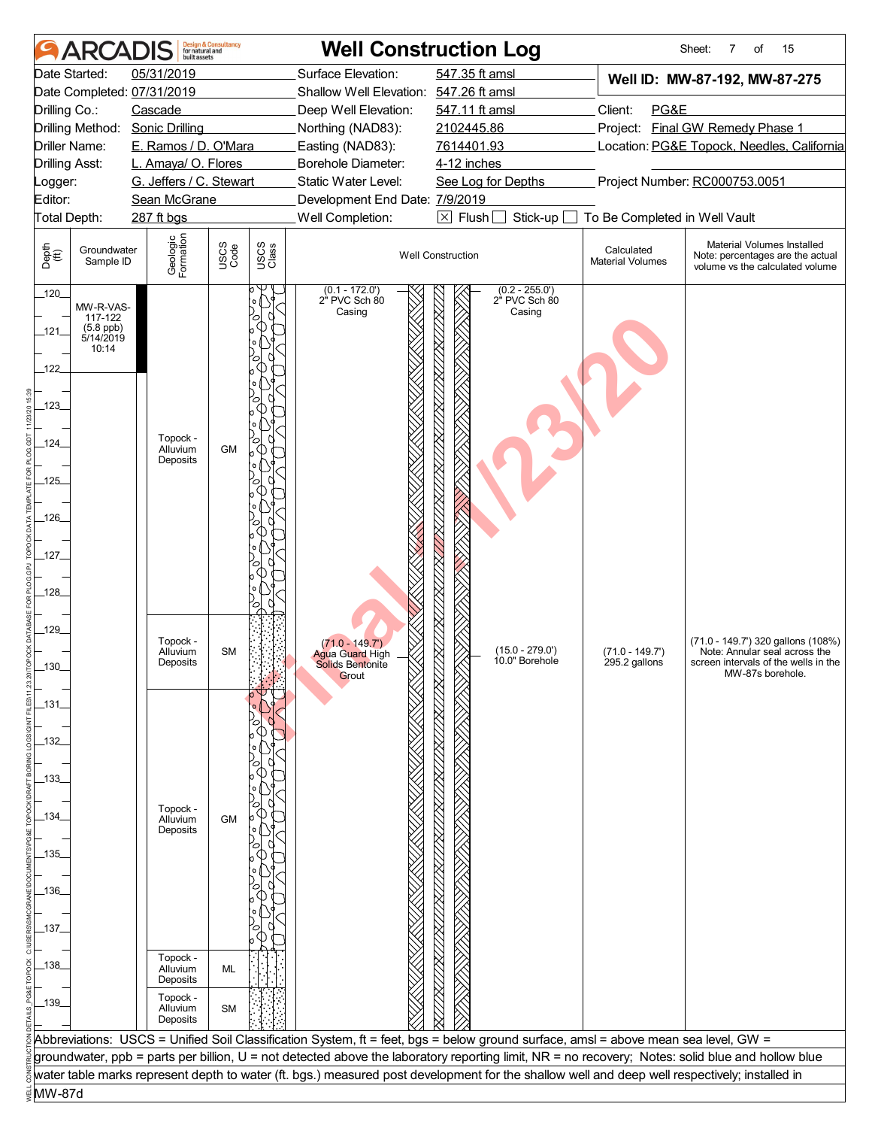|                                | <b>ARCADIS</b>           | built assets                                   | <b>Design &amp; Consultancy</b><br>for natural and |                                                                             |                                        | <b>Well Construction Log</b>                                                                                                                     |                                                          | 15<br>Sheet:<br>7<br>of                                                                           |  |
|--------------------------------|--------------------------|------------------------------------------------|----------------------------------------------------|-----------------------------------------------------------------------------|----------------------------------------|--------------------------------------------------------------------------------------------------------------------------------------------------|----------------------------------------------------------|---------------------------------------------------------------------------------------------------|--|
| Date Started:                  |                          | 05/31/2019                                     |                                                    |                                                                             | Surface Elevation:                     | 547.35 ft amsl                                                                                                                                   |                                                          | Well ID: MW-87-192, MW-87-275                                                                     |  |
|                                |                          | Date Completed: 07/31/2019                     |                                                    |                                                                             | Shallow Well Elevation: 547.26 ft amsl |                                                                                                                                                  |                                                          |                                                                                                   |  |
| Drilling Co.:                  |                          | Cascade                                        |                                                    |                                                                             | Deep Well Elevation:                   | 547.11 ft amsl                                                                                                                                   | Client:<br>PG&E                                          |                                                                                                   |  |
| Drilling Method:               |                          | <b>Sonic Drilling</b>                          |                                                    |                                                                             | Northing (NAD83):                      | 2102445.86                                                                                                                                       | Project: Final GW Remedy Phase 1                         |                                                                                                   |  |
| Driller Name:                  |                          | E. Ramos / D. O'Mara                           |                                                    |                                                                             | Easting (NAD83):                       |                                                                                                                                                  | 7614401.93<br>Location: PG&E Topock, Needles, California |                                                                                                   |  |
| <b>Drilling Asst:</b>          |                          | L. Amaya/ O. Flores<br>G. Jeffers / C. Stewart |                                                    |                                                                             | Borehole Diameter:                     | 4-12 inches<br>Project Number: RC000753.0051                                                                                                     |                                                          |                                                                                                   |  |
| _ogger:<br>Editor:             |                          | Sean McGrane                                   |                                                    | Static Water Level:<br>See Log for Depths<br>Development End Date: 7/9/2019 |                                        |                                                                                                                                                  |                                                          |                                                                                                   |  |
| Total Depth:                   |                          | 287 ft bgs                                     |                                                    | Well Completion:                                                            |                                        | $\boxtimes$ Flush<br>To Be Completed in Well Vault<br>Stick-up                                                                                   |                                                          |                                                                                                   |  |
| Depth<br>$\bigoplus_{i=1}^{n}$ | Groundwater<br>Sample ID | Geologic<br>Formation                          | USCS<br>Code                                       | USCS<br>Class                                                               |                                        | <b>Well Construction</b>                                                                                                                         | Calculated<br><b>Material Volumes</b>                    | Material Volumes Installed<br>Note: percentages are the actual<br>volume vs the calculated volume |  |
| 120                            |                          |                                                |                                                    |                                                                             | $(0.1 - 172.0')$<br>2" PVC Sch 80      | $(0.2 - 255.0')$<br>2" PVC Sch 80                                                                                                                |                                                          |                                                                                                   |  |
|                                | MW-R-VAS-<br>117-122     |                                                |                                                    |                                                                             | Casing                                 | Casing                                                                                                                                           |                                                          |                                                                                                   |  |
| 121                            | $(5.8$ ppb)<br>5/14/2019 |                                                |                                                    |                                                                             |                                        |                                                                                                                                                  |                                                          |                                                                                                   |  |
|                                | 10:14                    |                                                |                                                    |                                                                             |                                        |                                                                                                                                                  |                                                          |                                                                                                   |  |
| _122_                          |                          |                                                |                                                    |                                                                             |                                        |                                                                                                                                                  |                                                          |                                                                                                   |  |
|                                |                          |                                                |                                                    |                                                                             |                                        |                                                                                                                                                  |                                                          |                                                                                                   |  |
| $-123$                         |                          |                                                |                                                    |                                                                             |                                        |                                                                                                                                                  |                                                          |                                                                                                   |  |
|                                |                          |                                                |                                                    |                                                                             |                                        |                                                                                                                                                  |                                                          |                                                                                                   |  |
| _124_                          |                          | Topock -<br>Alluvium                           | <b>GM</b>                                          |                                                                             |                                        |                                                                                                                                                  |                                                          |                                                                                                   |  |
|                                |                          | Deposits                                       |                                                    |                                                                             |                                        |                                                                                                                                                  |                                                          |                                                                                                   |  |
| $-125$                         |                          |                                                |                                                    |                                                                             |                                        |                                                                                                                                                  |                                                          |                                                                                                   |  |
|                                |                          |                                                |                                                    |                                                                             |                                        |                                                                                                                                                  |                                                          |                                                                                                   |  |
| $-126$                         |                          |                                                |                                                    |                                                                             |                                        |                                                                                                                                                  |                                                          |                                                                                                   |  |
|                                |                          |                                                |                                                    |                                                                             |                                        |                                                                                                                                                  |                                                          |                                                                                                   |  |
| $-127$                         |                          |                                                |                                                    |                                                                             |                                        |                                                                                                                                                  |                                                          |                                                                                                   |  |
|                                |                          |                                                |                                                    |                                                                             |                                        |                                                                                                                                                  |                                                          |                                                                                                   |  |
| $-128$                         |                          |                                                |                                                    |                                                                             |                                        |                                                                                                                                                  |                                                          |                                                                                                   |  |
|                                |                          |                                                |                                                    |                                                                             |                                        |                                                                                                                                                  |                                                          |                                                                                                   |  |
| $-129$                         |                          | Topock -                                       |                                                    |                                                                             | $(71.0 - 149.7)$                       |                                                                                                                                                  |                                                          | (71.0 - 149.7') 320 gallons (108%)                                                                |  |
|                                |                          | Alluvium<br>Deposits                           | <b>SM</b>                                          |                                                                             | <b>Agua Guard High</b>                 | $(15.0 - 279.0')$<br>10.0" Borehole                                                                                                              | $(71.0 - 149.7')$<br>295.2 gallons                       | Note: Annular seal across the<br>screen intervals of the wells in the                             |  |
| 130                            |                          |                                                |                                                    |                                                                             | <b>Solids Bentonite</b><br>Grout       |                                                                                                                                                  |                                                          | MW-87s borehole.                                                                                  |  |
|                                |                          |                                                |                                                    |                                                                             |                                        |                                                                                                                                                  |                                                          |                                                                                                   |  |
| _131_                          |                          |                                                |                                                    |                                                                             |                                        |                                                                                                                                                  |                                                          |                                                                                                   |  |
|                                |                          |                                                |                                                    |                                                                             |                                        |                                                                                                                                                  |                                                          |                                                                                                   |  |
| $-132$                         |                          |                                                |                                                    |                                                                             |                                        |                                                                                                                                                  |                                                          |                                                                                                   |  |
|                                |                          |                                                |                                                    |                                                                             |                                        |                                                                                                                                                  |                                                          |                                                                                                   |  |
| -133-                          |                          |                                                |                                                    |                                                                             |                                        |                                                                                                                                                  |                                                          |                                                                                                   |  |
| _134_                          |                          | Topock -                                       |                                                    |                                                                             |                                        |                                                                                                                                                  |                                                          |                                                                                                   |  |
|                                |                          | Alluvium<br>Deposits                           | <b>GM</b>                                          |                                                                             |                                        |                                                                                                                                                  |                                                          |                                                                                                   |  |
| _135_                          |                          |                                                |                                                    |                                                                             |                                        |                                                                                                                                                  |                                                          |                                                                                                   |  |
|                                |                          |                                                |                                                    |                                                                             |                                        |                                                                                                                                                  |                                                          |                                                                                                   |  |
| $-136$                         |                          |                                                |                                                    |                                                                             |                                        |                                                                                                                                                  |                                                          |                                                                                                   |  |
|                                |                          |                                                |                                                    |                                                                             |                                        |                                                                                                                                                  |                                                          |                                                                                                   |  |
| _137_                          |                          |                                                |                                                    |                                                                             |                                        |                                                                                                                                                  |                                                          |                                                                                                   |  |
|                                |                          |                                                |                                                    |                                                                             |                                        |                                                                                                                                                  |                                                          |                                                                                                   |  |
| _138_                          |                          | Topock -                                       |                                                    |                                                                             |                                        |                                                                                                                                                  |                                                          |                                                                                                   |  |
|                                |                          | Alluvium<br>Deposits                           | ML                                                 |                                                                             |                                        |                                                                                                                                                  |                                                          |                                                                                                   |  |
| 139                            |                          | Topock -                                       |                                                    |                                                                             |                                        |                                                                                                                                                  |                                                          |                                                                                                   |  |
|                                |                          | Alluvium<br>Deposits                           | <b>SM</b>                                          |                                                                             |                                        |                                                                                                                                                  |                                                          |                                                                                                   |  |
|                                |                          |                                                |                                                    |                                                                             |                                        | Abbreviations: USCS = Unified Soil Classification System, ft = feet, bgs = below ground surface, amsl = above mean sea level, GW =               |                                                          |                                                                                                   |  |
|                                |                          |                                                |                                                    |                                                                             |                                        | groundwater, ppb = parts per billion, U = not detected above the laboratory reporting limit, NR = no recovery; Notes: solid blue and hollow blue |                                                          |                                                                                                   |  |
|                                |                          |                                                |                                                    |                                                                             |                                        | water table marks represent depth to water (ft. bgs.) measured post development for the shallow well and deep well respectively; installed in    |                                                          |                                                                                                   |  |
| MW-87d                         |                          |                                                |                                                    |                                                                             |                                        |                                                                                                                                                  |                                                          |                                                                                                   |  |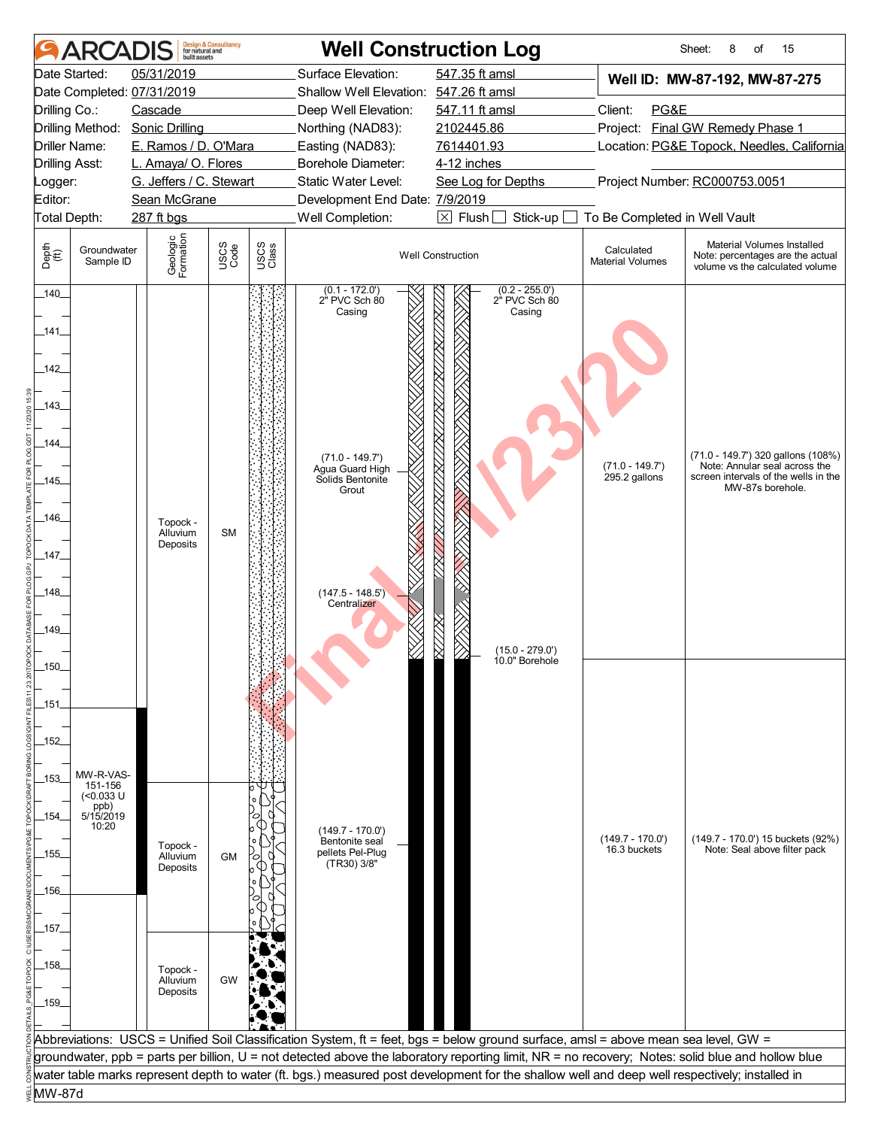|                       | <b>ARCAI</b>                  | huilt assets               | <b>Design &amp; Consultancy</b><br>for natural and |               |                                             | <b>Well Construction Log</b>                                                                                                                     |                                       | 15<br>Sheet:<br>8<br>of                                                                           |  |
|-----------------------|-------------------------------|----------------------------|----------------------------------------------------|---------------|---------------------------------------------|--------------------------------------------------------------------------------------------------------------------------------------------------|---------------------------------------|---------------------------------------------------------------------------------------------------|--|
|                       | Date Started:                 | 05/31/2019                 |                                                    |               | Surface Elevation:                          | 547.35 ft amsl                                                                                                                                   |                                       | Well ID: MW-87-192, MW-87-275                                                                     |  |
|                       |                               | Date Completed: 07/31/2019 |                                                    |               | Shallow Well Elevation: 547.26 ft amsl      |                                                                                                                                                  |                                       |                                                                                                   |  |
| Drilling Co.:         |                               | Cascade                    |                                                    |               | Deep Well Elevation:                        | 547.11 ft amsl                                                                                                                                   | Client:<br>PG&E                       |                                                                                                   |  |
|                       | Drilling Method:              | <b>Sonic Drilling</b>      |                                                    |               | Northing (NAD83):                           | 2102445.86                                                                                                                                       |                                       | Project: Final GW Remedy Phase 1                                                                  |  |
|                       | Driller Name:                 | E. Ramos / D. O'Mara       |                                                    |               | Easting (NAD83):                            | 7614401.93<br>Location: PG&E Topock, Needles, California                                                                                         |                                       |                                                                                                   |  |
| <b>Drilling Asst:</b> |                               | L. Amaya/ O. Flores        |                                                    |               | Borehole Diameter:                          | 4-12 inches                                                                                                                                      |                                       |                                                                                                   |  |
| Logger:               |                               | G. Jeffers / C. Stewart    |                                                    |               | Static Water Level:                         | Project Number: RC000753.0051<br>See Log for Depths                                                                                              |                                       |                                                                                                   |  |
| Editor:               |                               | Sean McGrane               |                                                    |               | Development End Date: 7/9/2019              |                                                                                                                                                  |                                       |                                                                                                   |  |
| Total Depth:          |                               | 287 ft bgs                 |                                                    |               | Well Completion:                            | $\boxed{\times}$ Flush<br>Stick-up                                                                                                               | To Be Completed in Well Vault         |                                                                                                   |  |
| Depth<br>(ff)         | Groundwater<br>Sample ID      | Geologic<br>Formation      | USCS<br>Code                                       | USCS<br>Class |                                             | <b>Well Construction</b>                                                                                                                         | Calculated<br><b>Material Volumes</b> | Material Volumes Installed<br>Note: percentages are the actual<br>volume vs the calculated volume |  |
| 140                   |                               |                            |                                                    |               | $(0.1 - 172.0')$<br>2" PVC Sch 80<br>Casing | $(0.2 - 255.0')$<br>2" PVC Sch 80<br>Casing                                                                                                      |                                       |                                                                                                   |  |
| _141_                 |                               |                            |                                                    |               |                                             |                                                                                                                                                  |                                       |                                                                                                   |  |
| 142                   |                               |                            |                                                    |               |                                             |                                                                                                                                                  |                                       |                                                                                                   |  |
| _143_                 |                               |                            |                                                    |               |                                             |                                                                                                                                                  |                                       |                                                                                                   |  |
| _144_                 |                               |                            |                                                    |               | $(71.0 - 149.7')$                           |                                                                                                                                                  |                                       | (71.0 - 149.7') 320 gallons (108%)                                                                |  |
| $-145$                |                               |                            |                                                    |               | Agua Guard High<br>Solids Bentonite         |                                                                                                                                                  | $(71.0 - 149.7')$<br>295.2 gallons    | Note: Annular seal across the<br>screen intervals of the wells in the                             |  |
|                       |                               |                            |                                                    |               | Grout                                       |                                                                                                                                                  |                                       | MW-87s borehole.                                                                                  |  |
| _146_                 |                               |                            |                                                    |               |                                             |                                                                                                                                                  |                                       |                                                                                                   |  |
|                       |                               | Topock -<br>Alluvium       | <b>SM</b>                                          |               |                                             |                                                                                                                                                  |                                       |                                                                                                   |  |
| $-147$                |                               | Deposits                   |                                                    |               |                                             |                                                                                                                                                  |                                       |                                                                                                   |  |
|                       |                               |                            |                                                    |               |                                             |                                                                                                                                                  |                                       |                                                                                                   |  |
| $-148$                |                               |                            |                                                    |               | $(147.5 - 148.5')$                          |                                                                                                                                                  |                                       |                                                                                                   |  |
|                       |                               |                            |                                                    |               | Centralizer                                 |                                                                                                                                                  |                                       |                                                                                                   |  |
| 149.                  |                               |                            |                                                    |               |                                             |                                                                                                                                                  |                                       |                                                                                                   |  |
|                       |                               |                            |                                                    |               |                                             |                                                                                                                                                  |                                       |                                                                                                   |  |
| 150                   |                               |                            |                                                    |               |                                             | $(15.0 - 279.0')$<br>10.0" Borehole                                                                                                              |                                       |                                                                                                   |  |
|                       |                               |                            |                                                    |               |                                             |                                                                                                                                                  |                                       |                                                                                                   |  |
| _151_                 |                               |                            |                                                    |               |                                             |                                                                                                                                                  |                                       |                                                                                                   |  |
|                       |                               |                            |                                                    |               |                                             |                                                                                                                                                  |                                       |                                                                                                   |  |
| $-152$                |                               |                            |                                                    |               |                                             |                                                                                                                                                  |                                       |                                                                                                   |  |
|                       |                               |                            |                                                    |               |                                             |                                                                                                                                                  |                                       |                                                                                                   |  |
|                       | MW-R-VAS-                     |                            |                                                    |               |                                             |                                                                                                                                                  |                                       |                                                                                                   |  |
| $-153-$               | 151-156<br>$(0.033 \text{ U}$ |                            |                                                    |               |                                             |                                                                                                                                                  |                                       |                                                                                                   |  |
|                       | ppb)                          |                            |                                                    |               |                                             |                                                                                                                                                  |                                       |                                                                                                   |  |
| _154_                 | 5/15/2019<br>10:20            |                            |                                                    |               | $(149.7 - 170.0')$                          |                                                                                                                                                  |                                       |                                                                                                   |  |
|                       |                               | Topock -                   |                                                    |               | Bentonite seal                              |                                                                                                                                                  | $(149.7 - 170.0')$<br>16.3 buckets    | (149.7 - 170.0') 15 buckets (92%)<br>Note: Seal above filter pack                                 |  |
| _155_                 |                               | Alluvium<br>Deposits       | GM                                                 |               | pellets Pel-Plug<br>(TR30) 3/8"             |                                                                                                                                                  |                                       |                                                                                                   |  |
|                       |                               |                            |                                                    |               |                                             |                                                                                                                                                  |                                       |                                                                                                   |  |
| _156_                 |                               |                            |                                                    |               |                                             |                                                                                                                                                  |                                       |                                                                                                   |  |
|                       |                               |                            |                                                    |               |                                             |                                                                                                                                                  |                                       |                                                                                                   |  |
| _157_                 |                               |                            |                                                    |               |                                             |                                                                                                                                                  |                                       |                                                                                                   |  |
|                       |                               |                            |                                                    |               |                                             |                                                                                                                                                  |                                       |                                                                                                   |  |
| _158_                 |                               | Topock -                   |                                                    |               |                                             |                                                                                                                                                  |                                       |                                                                                                   |  |
|                       |                               | Alluvium<br>Deposits       | <b>GW</b>                                          |               |                                             |                                                                                                                                                  |                                       |                                                                                                   |  |
| $-159$                |                               |                            |                                                    |               |                                             |                                                                                                                                                  |                                       |                                                                                                   |  |
|                       |                               |                            |                                                    |               |                                             |                                                                                                                                                  |                                       |                                                                                                   |  |
|                       |                               |                            |                                                    |               |                                             | Abbreviations: USCS = Unified Soil Classification System, ft = feet, bgs = below ground surface, amsl = above mean sea level, GW =               |                                       |                                                                                                   |  |
|                       |                               |                            |                                                    |               |                                             | groundwater, ppb = parts per billion, U = not detected above the laboratory reporting limit, NR = no recovery; Notes: solid blue and hollow blue |                                       |                                                                                                   |  |
|                       |                               |                            |                                                    |               |                                             | water table marks represent depth to water (ft. bgs.) measured post development for the shallow well and deep well respectively; installed in    |                                       |                                                                                                   |  |
| MW-87d                |                               |                            |                                                    |               |                                             |                                                                                                                                                  |                                       |                                                                                                   |  |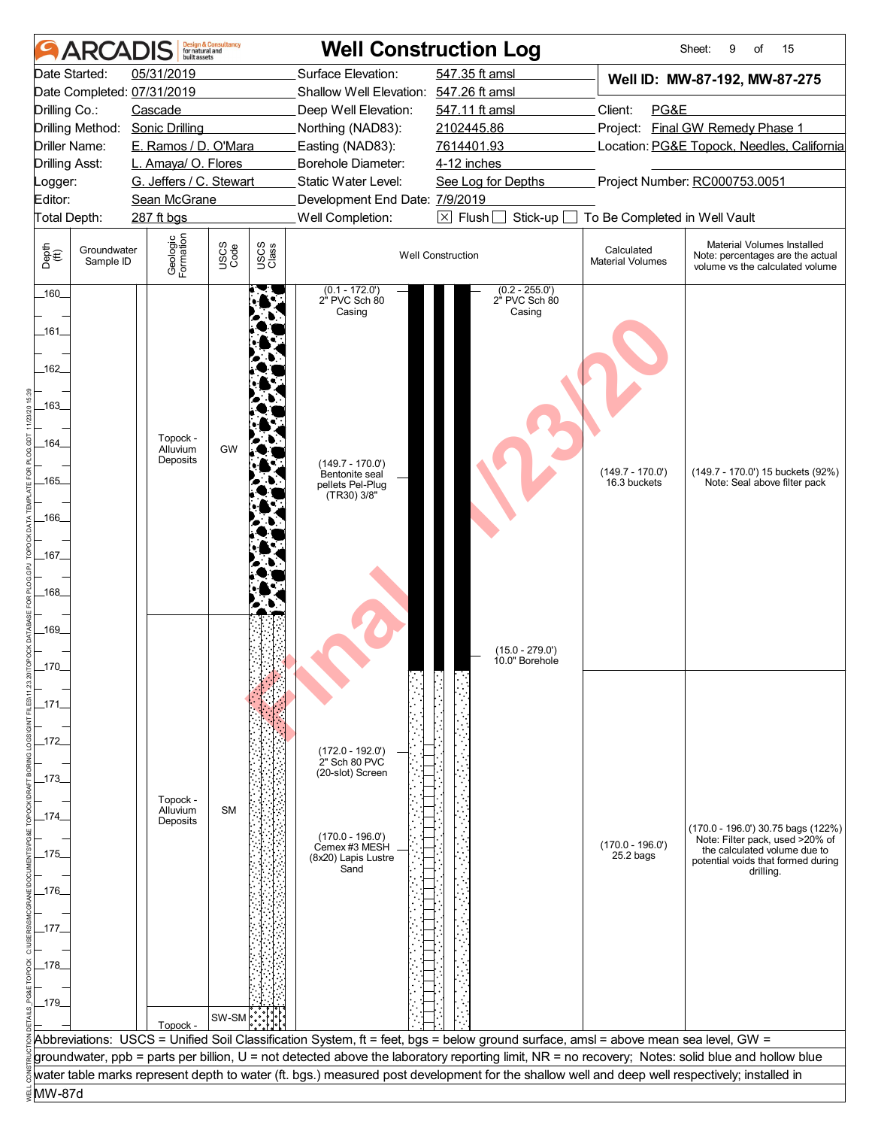| Date Started:<br>05/31/2019<br>Surface Elevation:<br>547.35 ft amsl<br>Well ID: MW-87-192, MW-87-275<br>Date Completed: 07/31/2019<br>Shallow Well Elevation: 547.26 ft amsl<br>Client:<br>PG&E<br>Drilling Co.:<br>Cascade<br>Deep Well Elevation:<br>547.11 ft amsl<br><b>Final GW Remedy Phase 1</b><br>Drilling Method:<br><b>Sonic Drilling</b><br>Northing (NAD83):<br>2102445.86<br>Project:<br>E. Ramos / D. O'Mara<br>7614401.93<br>Driller Name:<br>Easting (NAD83):<br>Borehole Diameter:<br><b>Drilling Asst:</b><br>L. Amaya/ O. Flores<br>4-12 inches<br>Project Number: RC000753.0051<br>G. Jeffers / C. Stewart<br>Static Water Level:<br>See Log for Depths<br>Logger:<br>Editor:<br>Sean McGrane<br>Development End Date: 7/9/2019<br>$\boxtimes$ Flush<br>Well Completion:<br>To Be Completed in Well Vault<br>Total Depth:<br>287 ft bgs<br>Stick-up<br>Geologic<br>Formation<br>Material Volumes Installed<br>USCS<br>Code<br>USCS<br>Class<br>Depth<br>(ff)<br>Groundwater<br>Calculated<br><b>Well Construction</b><br>Sample ID<br><b>Material Volumes</b><br>$(0.2 - 255.0')$<br>$(0.1 - 172.0')$<br>2" PVC Sch 80<br>160<br>2" PVC Sch 80<br>Casing<br>Casing<br>_161_<br>_162_<br>_163_<br>Topock -<br>_164_<br>GW<br>Alluvium<br>Deposits<br>$(149.7 - 170.0')$<br>$(149.7 - 170.0')$<br>Bentonite seal<br>$-165$<br>16.3 buckets<br>Note: Seal above filter pack<br>pellets Pel-Plug<br>(TR30) 3/8"<br>_166_<br>$\_167\_$<br>$-168$<br>-169<br>$(15.0 - 279.0')$<br>10.0" Borehole<br>170 | <b>ARCADIS</b> | huilt assets | <b>Design &amp; Consultancy</b><br>for natural and |  | <b>Well Construction Log</b>               |  | Sheet:<br>15<br>9<br>of                                                                                     |  |
|------------------------------------------------------------------------------------------------------------------------------------------------------------------------------------------------------------------------------------------------------------------------------------------------------------------------------------------------------------------------------------------------------------------------------------------------------------------------------------------------------------------------------------------------------------------------------------------------------------------------------------------------------------------------------------------------------------------------------------------------------------------------------------------------------------------------------------------------------------------------------------------------------------------------------------------------------------------------------------------------------------------------------------------------------------------------------------------------------------------------------------------------------------------------------------------------------------------------------------------------------------------------------------------------------------------------------------------------------------------------------------------------------------------------------------------------------------------------------------------------------------------------|----------------|--------------|----------------------------------------------------|--|--------------------------------------------|--|-------------------------------------------------------------------------------------------------------------|--|
|                                                                                                                                                                                                                                                                                                                                                                                                                                                                                                                                                                                                                                                                                                                                                                                                                                                                                                                                                                                                                                                                                                                                                                                                                                                                                                                                                                                                                                                                                                                        |                |              |                                                    |  |                                            |  |                                                                                                             |  |
|                                                                                                                                                                                                                                                                                                                                                                                                                                                                                                                                                                                                                                                                                                                                                                                                                                                                                                                                                                                                                                                                                                                                                                                                                                                                                                                                                                                                                                                                                                                        |                |              |                                                    |  |                                            |  |                                                                                                             |  |
|                                                                                                                                                                                                                                                                                                                                                                                                                                                                                                                                                                                                                                                                                                                                                                                                                                                                                                                                                                                                                                                                                                                                                                                                                                                                                                                                                                                                                                                                                                                        |                |              |                                                    |  |                                            |  |                                                                                                             |  |
|                                                                                                                                                                                                                                                                                                                                                                                                                                                                                                                                                                                                                                                                                                                                                                                                                                                                                                                                                                                                                                                                                                                                                                                                                                                                                                                                                                                                                                                                                                                        |                |              |                                                    |  | Location: PG&E Topock, Needles, California |  |                                                                                                             |  |
|                                                                                                                                                                                                                                                                                                                                                                                                                                                                                                                                                                                                                                                                                                                                                                                                                                                                                                                                                                                                                                                                                                                                                                                                                                                                                                                                                                                                                                                                                                                        |                |              |                                                    |  |                                            |  |                                                                                                             |  |
|                                                                                                                                                                                                                                                                                                                                                                                                                                                                                                                                                                                                                                                                                                                                                                                                                                                                                                                                                                                                                                                                                                                                                                                                                                                                                                                                                                                                                                                                                                                        |                |              |                                                    |  |                                            |  |                                                                                                             |  |
|                                                                                                                                                                                                                                                                                                                                                                                                                                                                                                                                                                                                                                                                                                                                                                                                                                                                                                                                                                                                                                                                                                                                                                                                                                                                                                                                                                                                                                                                                                                        |                |              |                                                    |  |                                            |  |                                                                                                             |  |
|                                                                                                                                                                                                                                                                                                                                                                                                                                                                                                                                                                                                                                                                                                                                                                                                                                                                                                                                                                                                                                                                                                                                                                                                                                                                                                                                                                                                                                                                                                                        |                |              |                                                    |  |                                            |  |                                                                                                             |  |
|                                                                                                                                                                                                                                                                                                                                                                                                                                                                                                                                                                                                                                                                                                                                                                                                                                                                                                                                                                                                                                                                                                                                                                                                                                                                                                                                                                                                                                                                                                                        |                |              |                                                    |  |                                            |  | Note: percentages are the actual<br>volume vs the calculated volume                                         |  |
|                                                                                                                                                                                                                                                                                                                                                                                                                                                                                                                                                                                                                                                                                                                                                                                                                                                                                                                                                                                                                                                                                                                                                                                                                                                                                                                                                                                                                                                                                                                        |                |              |                                                    |  |                                            |  | (149.7 - 170.0') 15 buckets (92%)                                                                           |  |
| _171_<br>_172_<br>$(172.0 - 192.0)$<br>2" Sch 80 PVC<br>(20-slot) Screen<br>_173_<br>Topock -<br>Alluvium<br><b>SM</b><br>_174_<br>Deposits<br>$(170.0 - 196.0')$<br>$(170.0 - 196.0')$<br>Cemex #3 MESH<br>the calculated volume due to<br>_175_<br>$25.2$ bags<br>(8x20) Lapis Lustre<br>Sand<br>drilling.<br>_176_<br>_177_<br>_178_<br>179<br>SW-SM <sup></sup>                                                                                                                                                                                                                                                                                                                                                                                                                                                                                                                                                                                                                                                                                                                                                                                                                                                                                                                                                                                                                                                                                                                                                    |                |              |                                                    |  |                                            |  | (170.0 - 196.0') 30.75 bags (122%)<br>Note: Filter pack, used >20% of<br>potential voids that formed during |  |
| Topock -<br>Abbreviations: USCS = Unified Soil Classification System, ft = feet, bgs = below ground surface, amsl = above mean sea level, GW =                                                                                                                                                                                                                                                                                                                                                                                                                                                                                                                                                                                                                                                                                                                                                                                                                                                                                                                                                                                                                                                                                                                                                                                                                                                                                                                                                                         |                |              |                                                    |  |                                            |  |                                                                                                             |  |
| groundwater, ppb = parts per billion, U = not detected above the laboratory reporting limit, NR = no recovery; Notes: solid blue and hollow blue                                                                                                                                                                                                                                                                                                                                                                                                                                                                                                                                                                                                                                                                                                                                                                                                                                                                                                                                                                                                                                                                                                                                                                                                                                                                                                                                                                       |                |              |                                                    |  |                                            |  |                                                                                                             |  |
| water table marks represent depth to water (ft. bgs.) measured post development for the shallow well and deep well respectively; installed in                                                                                                                                                                                                                                                                                                                                                                                                                                                                                                                                                                                                                                                                                                                                                                                                                                                                                                                                                                                                                                                                                                                                                                                                                                                                                                                                                                          |                |              |                                                    |  |                                            |  |                                                                                                             |  |
| MW-87d                                                                                                                                                                                                                                                                                                                                                                                                                                                                                                                                                                                                                                                                                                                                                                                                                                                                                                                                                                                                                                                                                                                                                                                                                                                                                                                                                                                                                                                                                                                 |                |              |                                                    |  |                                            |  |                                                                                                             |  |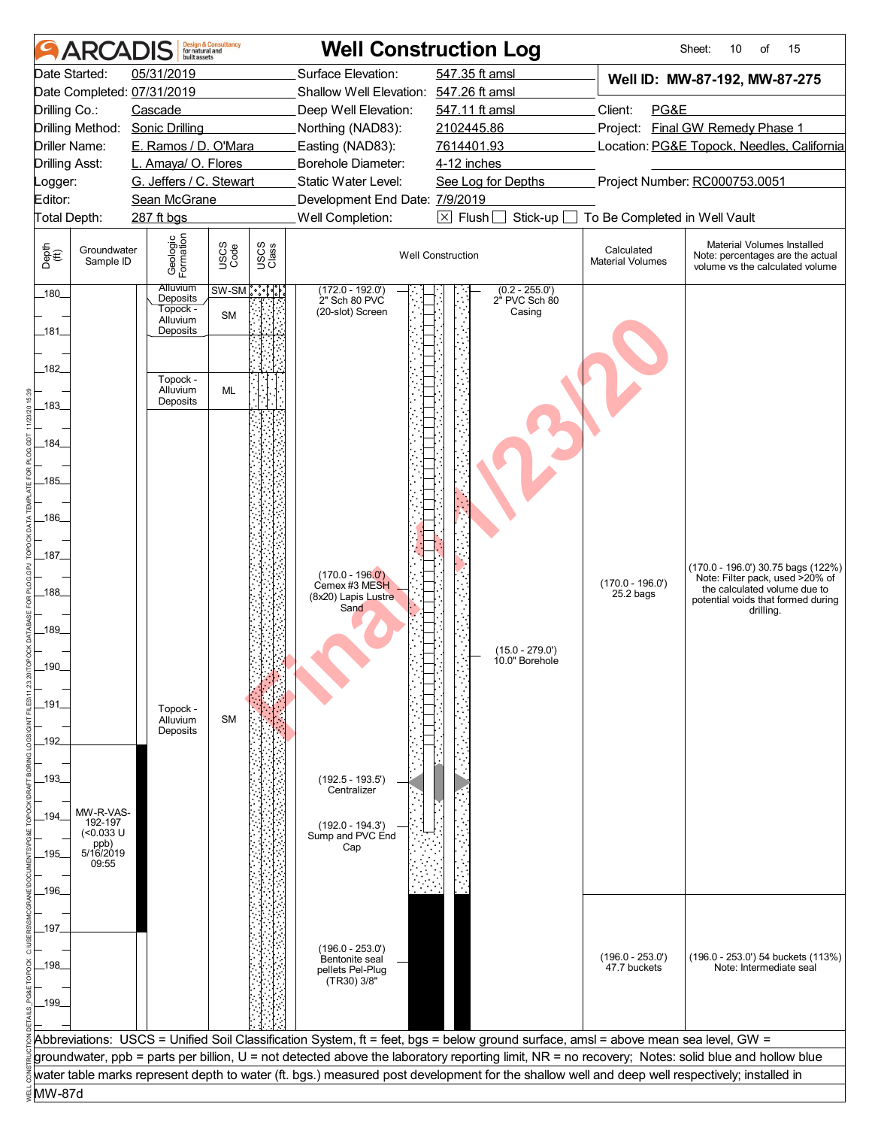|                       | <b>ARCADIS</b>             | built assets                            | <b>Design &amp; Consultancy</b><br>for natural and |               |                                                       | <b>Well Construction Log</b>                                                                                                                                                                                                                                                                      |                                       | 15<br>Sheet:<br>10<br>of                                                                          |
|-----------------------|----------------------------|-----------------------------------------|----------------------------------------------------|---------------|-------------------------------------------------------|---------------------------------------------------------------------------------------------------------------------------------------------------------------------------------------------------------------------------------------------------------------------------------------------------|---------------------------------------|---------------------------------------------------------------------------------------------------|
|                       | Date Started:              | 05/31/2019                              |                                                    |               | Surface Elevation:                                    | 547.35 ft amsl                                                                                                                                                                                                                                                                                    |                                       | Well ID: MW-87-192, MW-87-275                                                                     |
|                       |                            | Date Completed: 07/31/2019              |                                                    |               | Shallow Well Elevation: 547.26 ft amsl                |                                                                                                                                                                                                                                                                                                   |                                       |                                                                                                   |
| Drilling Co.:         |                            | Cascade                                 |                                                    |               | Deep Well Elevation:                                  | 547.11 ft amsl                                                                                                                                                                                                                                                                                    | Client:<br>PG&E                       |                                                                                                   |
|                       | Drilling Method:           | <b>Sonic Drilling</b>                   |                                                    |               | Northing (NAD83):                                     | 2102445.86                                                                                                                                                                                                                                                                                        | Project: Final GW Remedy Phase 1      |                                                                                                   |
|                       | Driller Name:              | E. Ramos / D. O'Mara                    |                                                    |               | Easting (NAD83):                                      | 7614401.93                                                                                                                                                                                                                                                                                        |                                       | Location: PG&E Topock, Needles, California                                                        |
| <b>Drilling Asst:</b> |                            | L. Amaya/ O. Flores                     |                                                    |               | Borehole Diameter:                                    | 4-12 inches                                                                                                                                                                                                                                                                                       |                                       |                                                                                                   |
| _ogger:<br>Editor:    |                            | G. Jeffers / C. Stewart<br>Sean McGrane |                                                    |               | Static Water Level:<br>Development End Date: 7/9/2019 | See Log for Depths                                                                                                                                                                                                                                                                                |                                       | Project Number: RC000753.0051                                                                     |
| Total Depth:          |                            | 287 ft bgs                              |                                                    |               | Well Completion:                                      | $\boxtimes$ Flush<br>Stick-up                                                                                                                                                                                                                                                                     | To Be Completed in Well Vault         |                                                                                                   |
|                       |                            |                                         |                                                    |               |                                                       |                                                                                                                                                                                                                                                                                                   |                                       |                                                                                                   |
| Depth<br>(ff)         | Groundwater<br>Sample ID   | Geologic<br>Formation                   | USCS<br>Code                                       | USCS<br>Class |                                                       | <b>Well Construction</b>                                                                                                                                                                                                                                                                          | Calculated<br><b>Material Volumes</b> | Material Volumes Installed<br>Note: percentages are the actual<br>volume vs the calculated volume |
| 180                   |                            | <b>Alluvium</b><br>Deposits             | $SW-SM$ ိုးႏိုး                                    |               | $(172.0 - 192.0)$<br>2" Sch 80 PVC                    | $(0.2 - 255.0')$<br>2" PVC Sch 80                                                                                                                                                                                                                                                                 |                                       |                                                                                                   |
|                       |                            | Topock -<br>Alluvium                    | <b>SM</b>                                          |               | (20-slot) Screen                                      | Casing                                                                                                                                                                                                                                                                                            |                                       |                                                                                                   |
| _181_                 |                            | Deposits                                |                                                    |               |                                                       |                                                                                                                                                                                                                                                                                                   |                                       |                                                                                                   |
|                       |                            |                                         |                                                    |               |                                                       |                                                                                                                                                                                                                                                                                                   |                                       |                                                                                                   |
| .182_                 |                            | Topock -                                |                                                    |               |                                                       |                                                                                                                                                                                                                                                                                                   |                                       |                                                                                                   |
|                       |                            | Alluvium                                | ML                                                 |               |                                                       |                                                                                                                                                                                                                                                                                                   |                                       |                                                                                                   |
| $-183$                |                            | Deposits                                |                                                    |               |                                                       |                                                                                                                                                                                                                                                                                                   |                                       |                                                                                                   |
|                       |                            |                                         |                                                    |               |                                                       |                                                                                                                                                                                                                                                                                                   |                                       |                                                                                                   |
| _184_                 |                            |                                         |                                                    |               |                                                       |                                                                                                                                                                                                                                                                                                   |                                       |                                                                                                   |
|                       |                            |                                         |                                                    |               |                                                       |                                                                                                                                                                                                                                                                                                   |                                       |                                                                                                   |
| $.185-$               |                            |                                         |                                                    |               |                                                       |                                                                                                                                                                                                                                                                                                   |                                       |                                                                                                   |
|                       |                            |                                         |                                                    |               |                                                       |                                                                                                                                                                                                                                                                                                   |                                       |                                                                                                   |
| _186_                 |                            |                                         |                                                    |               |                                                       |                                                                                                                                                                                                                                                                                                   |                                       |                                                                                                   |
|                       |                            |                                         |                                                    |               |                                                       |                                                                                                                                                                                                                                                                                                   |                                       |                                                                                                   |
| $\_187\_$             |                            |                                         |                                                    |               |                                                       |                                                                                                                                                                                                                                                                                                   |                                       | $(170.0 - 196.0)$ 30.75 bags $(122%)$                                                             |
| 188                   |                            |                                         |                                                    |               | $(170.0 - 196.0')$<br>Cemex #3 MESH                   |                                                                                                                                                                                                                                                                                                   | $(170.0 - 196.0')$                    | Note: Filter pack, used >20% of<br>the calculated volume due to                                   |
|                       |                            |                                         |                                                    |               | (8x20) Lapis Lustre<br>Sand                           |                                                                                                                                                                                                                                                                                                   | $25.2$ bags                           | potential voids that formed during<br>drilling.                                                   |
| $-189$                |                            |                                         |                                                    |               |                                                       |                                                                                                                                                                                                                                                                                                   |                                       |                                                                                                   |
|                       |                            |                                         |                                                    |               |                                                       | $(15.0 - 279.0')$                                                                                                                                                                                                                                                                                 |                                       |                                                                                                   |
| 190                   |                            |                                         |                                                    |               |                                                       | 10.0" Borehole                                                                                                                                                                                                                                                                                    |                                       |                                                                                                   |
|                       |                            |                                         |                                                    |               |                                                       |                                                                                                                                                                                                                                                                                                   |                                       |                                                                                                   |
| _191_                 |                            | Topock -                                |                                                    |               |                                                       |                                                                                                                                                                                                                                                                                                   |                                       |                                                                                                   |
|                       |                            | Alluvium                                | <b>SM</b>                                          |               |                                                       |                                                                                                                                                                                                                                                                                                   |                                       |                                                                                                   |
| 192                   |                            | Deposits                                |                                                    |               |                                                       |                                                                                                                                                                                                                                                                                                   |                                       |                                                                                                   |
|                       |                            |                                         |                                                    |               |                                                       |                                                                                                                                                                                                                                                                                                   |                                       |                                                                                                   |
| -193-                 |                            |                                         |                                                    |               | $(192.5 - 193.5)$                                     |                                                                                                                                                                                                                                                                                                   |                                       |                                                                                                   |
|                       |                            |                                         |                                                    |               | Centralizer                                           |                                                                                                                                                                                                                                                                                                   |                                       |                                                                                                   |
| 194                   | MW-R-VAS-<br>192-197       |                                         |                                                    |               | $(192.0 - 194.3')$                                    |                                                                                                                                                                                                                                                                                                   |                                       |                                                                                                   |
|                       | (<0.033 U                  |                                         |                                                    |               | Sump and PVC End                                      |                                                                                                                                                                                                                                                                                                   |                                       |                                                                                                   |
| 195                   | ppb)<br>5/16/2019<br>09:55 |                                         |                                                    |               | Cap                                                   |                                                                                                                                                                                                                                                                                                   |                                       |                                                                                                   |
|                       |                            |                                         |                                                    |               |                                                       |                                                                                                                                                                                                                                                                                                   |                                       |                                                                                                   |
| _196_                 |                            |                                         |                                                    |               |                                                       |                                                                                                                                                                                                                                                                                                   |                                       |                                                                                                   |
|                       |                            |                                         |                                                    |               |                                                       |                                                                                                                                                                                                                                                                                                   |                                       |                                                                                                   |
| _197_                 |                            |                                         |                                                    |               |                                                       |                                                                                                                                                                                                                                                                                                   |                                       |                                                                                                   |
|                       |                            |                                         |                                                    |               | $(196.0 - 253.0')$<br>Bentonite seal                  |                                                                                                                                                                                                                                                                                                   | $(196.0 - 253.0')$                    | (196.0 - 253.0') 54 buckets (113%)                                                                |
| _198_                 |                            |                                         |                                                    |               | pellets Pel-Plug                                      |                                                                                                                                                                                                                                                                                                   | 47.7 buckets                          | Note: Intermediate seal                                                                           |
|                       |                            |                                         |                                                    |               | (TR30) 3/8"                                           |                                                                                                                                                                                                                                                                                                   |                                       |                                                                                                   |
| _199_                 |                            |                                         |                                                    |               |                                                       |                                                                                                                                                                                                                                                                                                   |                                       |                                                                                                   |
|                       |                            |                                         |                                                    |               |                                                       |                                                                                                                                                                                                                                                                                                   |                                       |                                                                                                   |
|                       |                            |                                         |                                                    |               |                                                       | Abbreviations: USCS = Unified Soil Classification System, ft = feet, bgs = below ground surface, amsl = above mean sea level, GW =                                                                                                                                                                |                                       |                                                                                                   |
|                       |                            |                                         |                                                    |               |                                                       | groundwater, ppb = parts per billion, U = not detected above the laboratory reporting limit, NR = no recovery; Notes: solid blue and hollow blue<br>water table marks represent depth to water (ft. bgs.) measured post development for the shallow well and deep well respectively; installed in |                                       |                                                                                                   |
| MW-87d                |                            |                                         |                                                    |               |                                                       |                                                                                                                                                                                                                                                                                                   |                                       |                                                                                                   |
|                       |                            |                                         |                                                    |               |                                                       |                                                                                                                                                                                                                                                                                                   |                                       |                                                                                                   |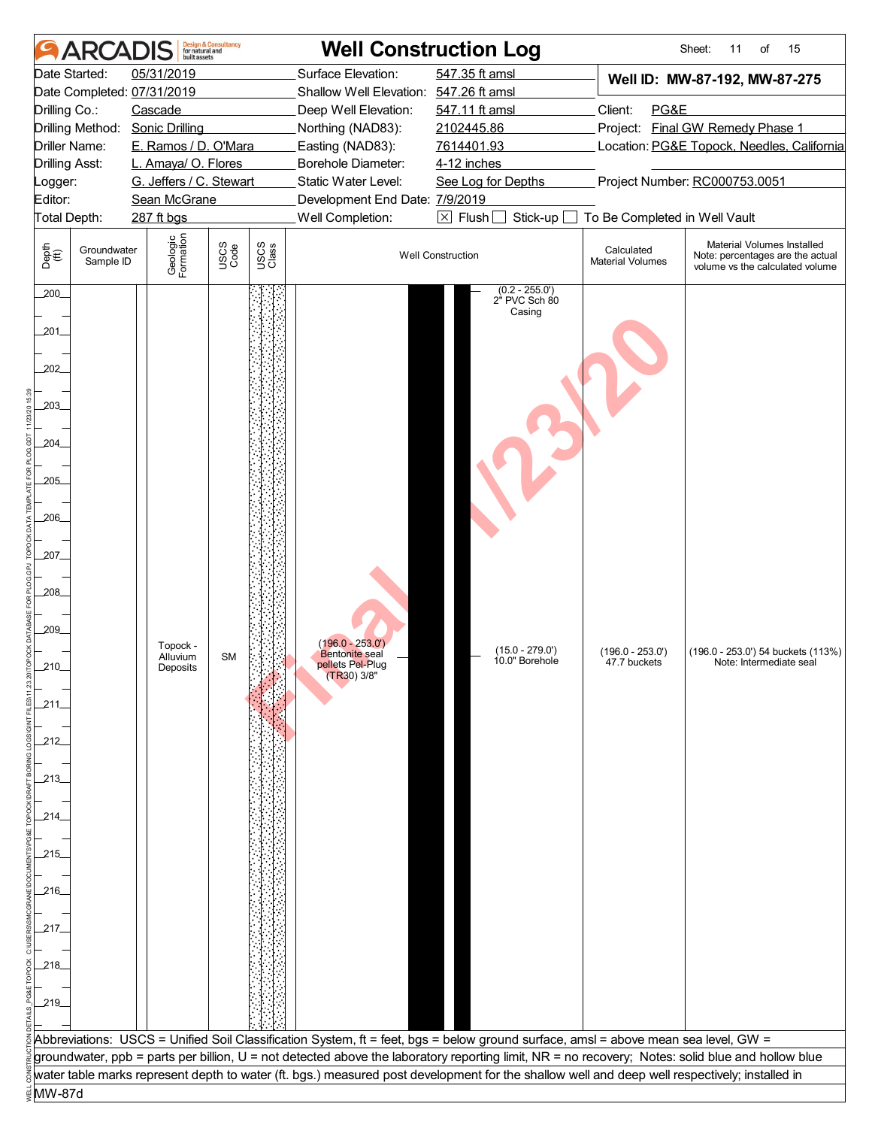|                                                                                                                                                                                         | <b>ARCAI</b>                                                                                                                                                                                                                                    | built assets                     | <b>Design &amp; Consultancy</b><br>for natural and                                                                                                  |               |                                                                                    | <b>Well Construction Log</b>                                                                                                                                                                                             |                                       | Sheet:<br>15<br>11<br>of                                                                          |  |  |
|-----------------------------------------------------------------------------------------------------------------------------------------------------------------------------------------|-------------------------------------------------------------------------------------------------------------------------------------------------------------------------------------------------------------------------------------------------|----------------------------------|-----------------------------------------------------------------------------------------------------------------------------------------------------|---------------|------------------------------------------------------------------------------------|--------------------------------------------------------------------------------------------------------------------------------------------------------------------------------------------------------------------------|---------------------------------------|---------------------------------------------------------------------------------------------------|--|--|
|                                                                                                                                                                                         | Date Started:<br>05/31/2019<br>Date Completed: 07/31/2019<br>Drilling Co.:<br>Cascade<br>Drilling Method:<br><b>Sonic Drilling</b><br>Driller Name:<br>E. Ramos / D. O'Mara<br>L. Amaya/ O. Flores<br>Drilling Asst:<br>G. Jeffers / C. Stewart |                                  | Surface Elevation:<br>Shallow Well Elevation: 547.26 ft amsl<br>Deep Well Elevation:<br>Northing (NAD83):<br>Easting (NAD83):<br>Borehole Diameter: |               | 547.35 ft amsl<br>547.11 ft amsl<br>2102445.86<br>7614401.93<br>4-12 inches        | Well ID: MW-87-192, MW-87-275<br>Client:<br>PG&E<br>Project: Final GW Remedy Phase 1<br>Location: PG&E Topock, Needles, California                                                                                       |                                       |                                                                                                   |  |  |
| _ogger:                                                                                                                                                                                 |                                                                                                                                                                                                                                                 |                                  |                                                                                                                                                     |               | Static Water Level:                                                                | See Log for Depths                                                                                                                                                                                                       | Project Number: RC000753.0051         |                                                                                                   |  |  |
| Editor:<br>Total Depth:                                                                                                                                                                 |                                                                                                                                                                                                                                                 | Sean McGrane<br>287 ft bgs       |                                                                                                                                                     |               | Development End Date: 7/9/2019<br>Well Completion:                                 | $\boxtimes$ Flush<br>Stick-up                                                                                                                                                                                            | To Be Completed in Well Vault         |                                                                                                   |  |  |
| Depth<br>(ff)                                                                                                                                                                           | Groundwater<br>Sample ID                                                                                                                                                                                                                        | Geologic<br>Formation            | USCS<br>Code                                                                                                                                        | USCS<br>Class |                                                                                    | <b>Well Construction</b>                                                                                                                                                                                                 | Calculated<br><b>Material Volumes</b> | Material Volumes Installed<br>Note: percentages are the actual<br>volume vs the calculated volume |  |  |
| 200<br>.201<br>202_<br>203<br>.204<br>$205$ <sub>-</sub><br>.206<br>$207$ <sub>-</sub><br>208_<br>209_<br>210<br>.211<br>212<br>-213-<br>214_<br>_215_<br>_216_<br>217.<br>_218_<br>219 |                                                                                                                                                                                                                                                 | Topock -<br>Alluvium<br>Deposits | <b>SM</b>                                                                                                                                           |               | $(196.0 - 253.0')$<br><b>Bentonite</b> seal<br>pellets Pel-Plug<br>$(TR30)$ $3/8"$ | $(0.2 - 255.0')$<br>2" PVC Sch 80<br>Casing<br>$(15.0 - 279.0')$<br>10.0" Borehole<br>Abbreviations: USCS = Unified Soil Classification System, ft = feet, bgs = below ground surface, amsl = above mean sea level, GW = | $(196.0 - 253.0')$<br>47.7 buckets    | (196.0 - 253.0') 54 buckets (113%)<br>Note: Intermediate seal                                     |  |  |
|                                                                                                                                                                                         |                                                                                                                                                                                                                                                 |                                  |                                                                                                                                                     |               |                                                                                    | groundwater, ppb = parts per billion, U = not detected above the laboratory reporting limit, NR = no recovery; Notes: solid blue and hollow blue                                                                         |                                       |                                                                                                   |  |  |
|                                                                                                                                                                                         |                                                                                                                                                                                                                                                 |                                  |                                                                                                                                                     |               |                                                                                    | water table marks represent depth to water (ft. bgs.) measured post development for the shallow well and deep well respectively; installed in                                                                            |                                       |                                                                                                   |  |  |
| MW-87d                                                                                                                                                                                  |                                                                                                                                                                                                                                                 |                                  |                                                                                                                                                     |               |                                                                                    |                                                                                                                                                                                                                          |                                       |                                                                                                   |  |  |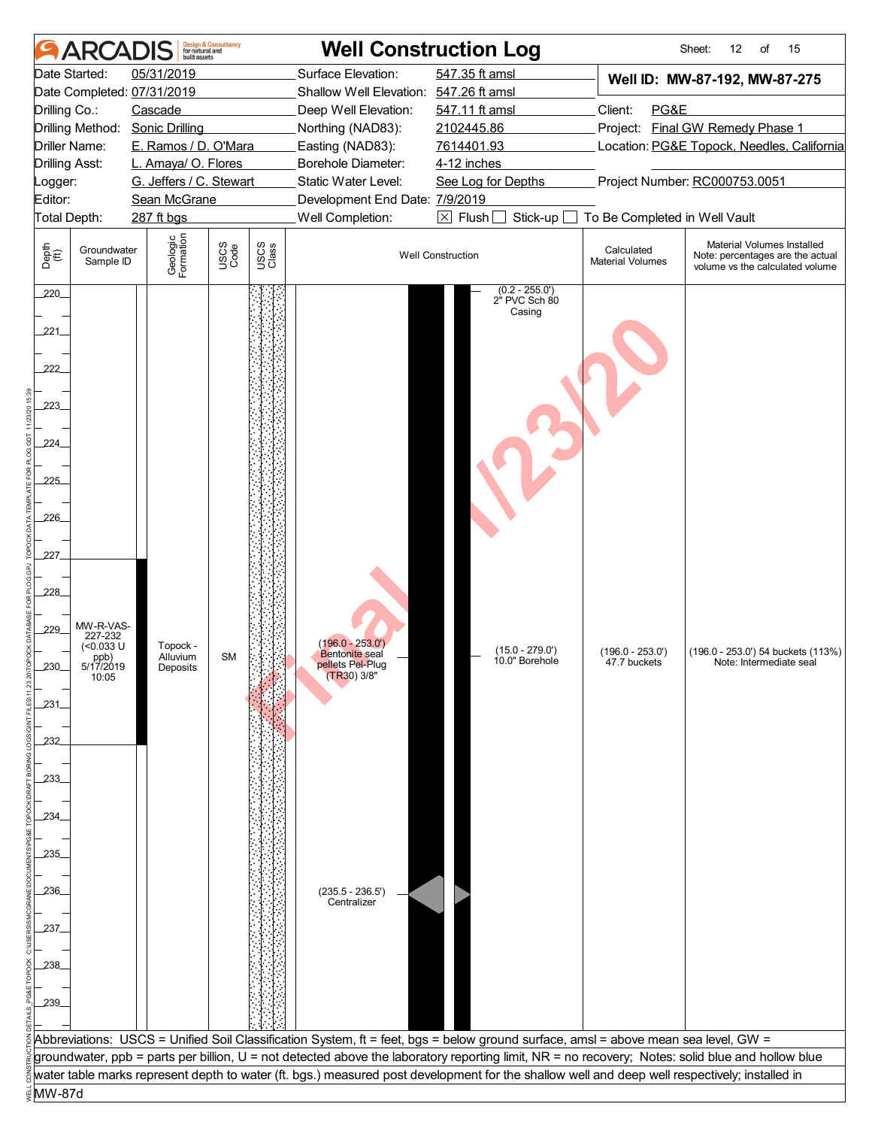|                       | ARCAD                    | built assets               | <b>Design &amp; Consultancy</b><br>for natural and |                           |                                             | <b>Well Construction Log</b>                                                                                                                     |                                            | 15<br>Sheet:<br>12<br>of                                                                          |  |
|-----------------------|--------------------------|----------------------------|----------------------------------------------------|---------------------------|---------------------------------------------|--------------------------------------------------------------------------------------------------------------------------------------------------|--------------------------------------------|---------------------------------------------------------------------------------------------------|--|
|                       | Date Started:            | 05/31/2019                 |                                                    |                           | Surface Elevation:                          | 547.35 ft amsl                                                                                                                                   |                                            | Well ID: MW-87-192, MW-87-275                                                                     |  |
|                       |                          | Date Completed: 07/31/2019 |                                                    |                           | Shallow Well Elevation: 547.26 ft amsl      |                                                                                                                                                  |                                            |                                                                                                   |  |
| Drilling Co.:         |                          | Cascade                    |                                                    |                           | Deep Well Elevation:                        | 547.11 ft amsl                                                                                                                                   | Client:<br>PG&E                            |                                                                                                   |  |
|                       | Drilling Method:         | <b>Sonic Drilling</b>      |                                                    |                           | Northing (NAD83):                           | 2102445.86                                                                                                                                       |                                            | Project: Final GW Remedy Phase 1                                                                  |  |
|                       | Driller Name:            | E. Ramos / D. O'Mara       |                                                    |                           | Easting (NAD83):                            | 7614401.93                                                                                                                                       | Location: PG&E Topock, Needles, California |                                                                                                   |  |
| <b>Drilling Asst:</b> |                          | L. Amaya/ O. Flores        |                                                    | <b>Borehole Diameter:</b> |                                             | 4-12 inches                                                                                                                                      |                                            |                                                                                                   |  |
| Logger:               |                          | G. Jeffers / C. Stewart    |                                                    |                           | Static Water Level:                         | See Log for Depths                                                                                                                               |                                            | Project Number: RC000753.0051                                                                     |  |
| Editor:               |                          | Sean McGrane               |                                                    |                           | Development End Date: 7/9/2019              |                                                                                                                                                  |                                            |                                                                                                   |  |
| Total Depth:          |                          | 287 ft bgs                 |                                                    |                           | Well Completion:                            | $\boxtimes$ Flush [<br>Stick-up                                                                                                                  | To Be Completed in Well Vault              |                                                                                                   |  |
| Depth<br>(ff)         | Groundwater<br>Sample ID | Geologic<br>Formation      | USCS<br>Code                                       | USCS<br>Class             |                                             | <b>Well Construction</b>                                                                                                                         | Calculated<br><b>Material Volumes</b>      | Material Volumes Installed<br>Note: percentages are the actual<br>volume vs the calculated volume |  |
| 220<br>.221           |                          |                            |                                                    |                           |                                             | $(0.2 - 255.0')$<br>2" PVC Sch 80<br>Casing                                                                                                      |                                            |                                                                                                   |  |
| 222<br>223            |                          |                            |                                                    |                           |                                             |                                                                                                                                                  |                                            |                                                                                                   |  |
| 224                   |                          |                            |                                                    |                           |                                             |                                                                                                                                                  |                                            |                                                                                                   |  |
|                       |                          |                            |                                                    |                           |                                             |                                                                                                                                                  |                                            |                                                                                                   |  |
| 225                   |                          |                            |                                                    |                           |                                             |                                                                                                                                                  |                                            |                                                                                                   |  |
|                       |                          |                            |                                                    |                           |                                             |                                                                                                                                                  |                                            |                                                                                                   |  |
| 226                   |                          |                            |                                                    |                           |                                             |                                                                                                                                                  |                                            |                                                                                                   |  |
|                       |                          |                            |                                                    |                           |                                             |                                                                                                                                                  |                                            |                                                                                                   |  |
| 227.                  |                          |                            |                                                    |                           |                                             |                                                                                                                                                  |                                            |                                                                                                   |  |
|                       |                          |                            |                                                    |                           |                                             |                                                                                                                                                  |                                            |                                                                                                   |  |
| 228                   |                          |                            |                                                    |                           |                                             |                                                                                                                                                  |                                            |                                                                                                   |  |
|                       |                          |                            |                                                    |                           |                                             |                                                                                                                                                  |                                            |                                                                                                   |  |
| 229                   | MW-R-VAS-<br>227-232     |                            |                                                    |                           |                                             |                                                                                                                                                  |                                            |                                                                                                   |  |
|                       | $($ <0.033 U<br>ppb)     | Topock -<br>Alluvium       | <b>SM</b>                                          |                           | $(196.0 - 253.0')$<br><b>Bentonite</b> seal | $(15.0 - 279.0')$<br>10.0" Borehole                                                                                                              | $(196.0 - 253.0')$                         | (196.0 - 253.0') 54 buckets (113%)                                                                |  |
|                       | 5/17/2019<br>10:05       | Deposits                   |                                                    |                           | pellets Pel-Plug<br>$(TR30)$ 3/8"           |                                                                                                                                                  | 47.7 buckets                               | Note: Intermediate seal                                                                           |  |
|                       |                          |                            |                                                    |                           |                                             |                                                                                                                                                  |                                            |                                                                                                   |  |
| 231                   |                          |                            |                                                    |                           |                                             |                                                                                                                                                  |                                            |                                                                                                   |  |
|                       |                          |                            |                                                    |                           |                                             |                                                                                                                                                  |                                            |                                                                                                   |  |
| 232                   |                          |                            |                                                    |                           |                                             |                                                                                                                                                  |                                            |                                                                                                   |  |
|                       |                          |                            |                                                    |                           |                                             |                                                                                                                                                  |                                            |                                                                                                   |  |
| 233.                  |                          |                            |                                                    |                           |                                             |                                                                                                                                                  |                                            |                                                                                                   |  |
|                       |                          |                            |                                                    |                           |                                             |                                                                                                                                                  |                                            |                                                                                                   |  |
| 234                   |                          |                            |                                                    |                           |                                             |                                                                                                                                                  |                                            |                                                                                                   |  |
|                       |                          |                            |                                                    |                           |                                             |                                                                                                                                                  |                                            |                                                                                                   |  |
| 235.                  |                          |                            |                                                    |                           |                                             |                                                                                                                                                  |                                            |                                                                                                   |  |
|                       |                          |                            |                                                    |                           |                                             |                                                                                                                                                  |                                            |                                                                                                   |  |
| 236.                  |                          |                            |                                                    |                           | $(235.5 - 236.5')$                          |                                                                                                                                                  |                                            |                                                                                                   |  |
|                       |                          |                            |                                                    |                           | Centralizer                                 |                                                                                                                                                  |                                            |                                                                                                   |  |
| 237.                  |                          |                            |                                                    |                           |                                             |                                                                                                                                                  |                                            |                                                                                                   |  |
|                       |                          |                            |                                                    |                           |                                             |                                                                                                                                                  |                                            |                                                                                                   |  |
| .238.                 |                          |                            |                                                    |                           |                                             |                                                                                                                                                  |                                            |                                                                                                   |  |
|                       |                          |                            |                                                    |                           |                                             |                                                                                                                                                  |                                            |                                                                                                   |  |
| 239                   |                          |                            |                                                    |                           |                                             |                                                                                                                                                  |                                            |                                                                                                   |  |
|                       |                          |                            |                                                    |                           |                                             |                                                                                                                                                  |                                            |                                                                                                   |  |
|                       |                          |                            |                                                    |                           |                                             | Abbreviations: USCS = Unified Soil Classification System, ft = feet, bgs = below ground surface, amsl = above mean sea level, GW =               |                                            |                                                                                                   |  |
|                       |                          |                            |                                                    |                           |                                             | groundwater, ppb = parts per billion, U = not detected above the laboratory reporting limit, NR = no recovery; Notes: solid blue and hollow blue |                                            |                                                                                                   |  |
|                       |                          |                            |                                                    |                           |                                             | water table marks represent depth to water (ft. bgs.) measured post development for the shallow well and deep well respectively; installed in    |                                            |                                                                                                   |  |
| MW-87d                |                          |                            |                                                    |                           |                                             |                                                                                                                                                  |                                            |                                                                                                   |  |
|                       |                          |                            |                                                    |                           |                                             |                                                                                                                                                  |                                            |                                                                                                   |  |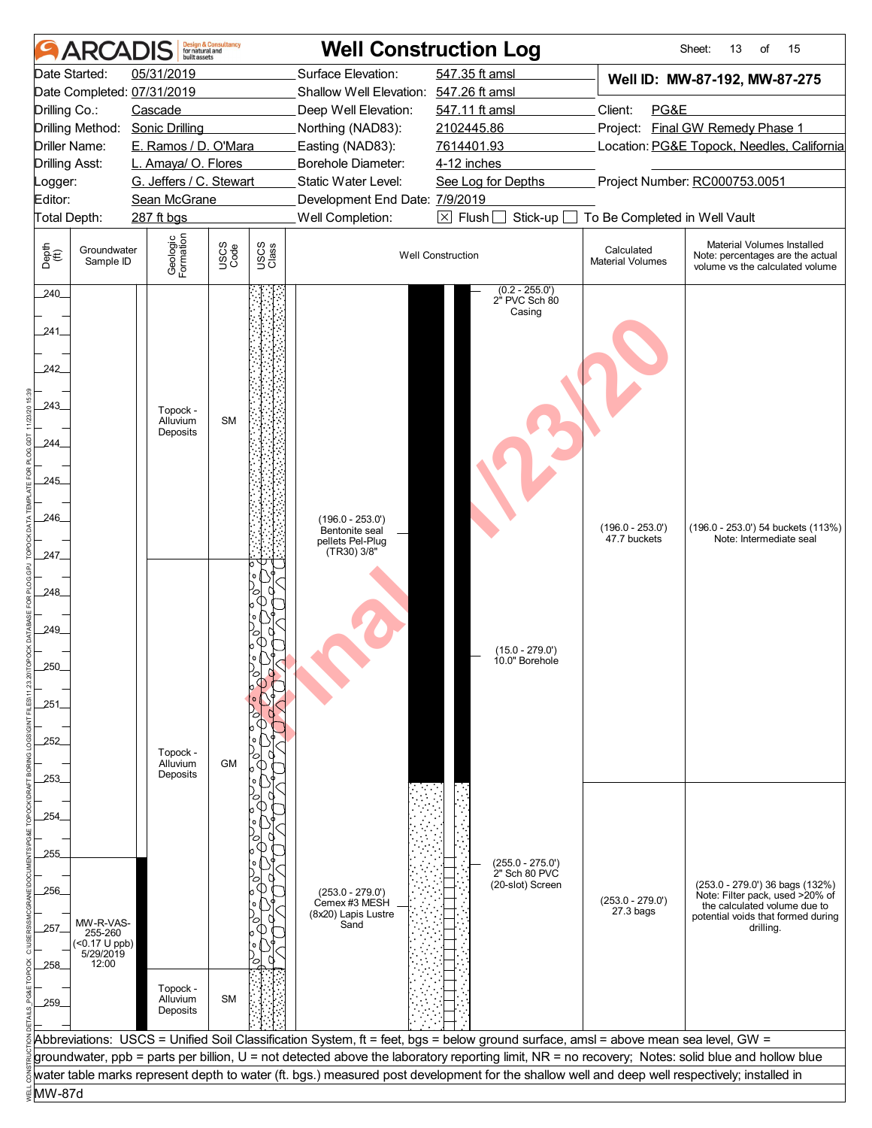|                       | <b>ARCAI</b>               |                         | built assets                     | <b>Design &amp; Consultancy</b><br>for natural and |               |                                        | <b>Well Construction Log</b>                                                                                                                     |                                       | 15<br>Sheet:<br>13<br>of                                                                          |  |
|-----------------------|----------------------------|-------------------------|----------------------------------|----------------------------------------------------|---------------|----------------------------------------|--------------------------------------------------------------------------------------------------------------------------------------------------|---------------------------------------|---------------------------------------------------------------------------------------------------|--|
|                       | Date Started:              | 05/31/2019              |                                  |                                                    |               | Surface Elevation:                     | 547.35 ft amsl                                                                                                                                   |                                       | Well ID: MW-87-192, MW-87-275                                                                     |  |
|                       | Date Completed: 07/31/2019 |                         |                                  |                                                    |               | Shallow Well Elevation: 547.26 ft amsl |                                                                                                                                                  |                                       |                                                                                                   |  |
| Drilling Co.:         |                            | Cascade                 |                                  |                                                    |               | Deep Well Elevation:                   | 547.11 ft amsl                                                                                                                                   | Client:<br>PG&E                       |                                                                                                   |  |
|                       | Drilling Method:           | <b>Sonic Drilling</b>   |                                  |                                                    |               | Northing (NAD83):                      | 2102445.86                                                                                                                                       | Project: Final GW Remedy Phase 1      |                                                                                                   |  |
|                       | Driller Name:              | E. Ramos / D. O'Mara    |                                  |                                                    |               | Easting (NAD83):                       | 7614401.93                                                                                                                                       |                                       | Location: PG&E Topock, Needles, California                                                        |  |
| <b>Drilling Asst:</b> |                            | L. Amaya/ O. Flores     |                                  |                                                    |               | Borehole Diameter:                     | 4-12 inches                                                                                                                                      |                                       |                                                                                                   |  |
| Logger:               |                            | G. Jeffers / C. Stewart |                                  |                                                    |               | Static Water Level:                    | See Log for Depths                                                                                                                               |                                       | Project Number: RC000753.0051                                                                     |  |
| Editor:               |                            | Sean McGrane            |                                  |                                                    |               | Development End Date: 7/9/2019         |                                                                                                                                                  |                                       |                                                                                                   |  |
| Total Depth:          |                            | 287 ft bgs              |                                  |                                                    |               | Well Completion:                       | $\boxtimes$ Flush<br>Stick-up                                                                                                                    | To Be Completed in Well Vault         |                                                                                                   |  |
| Depth<br>(ff)         | Groundwater<br>Sample ID   |                         | Geologic<br>Formation            | USCS<br>Code                                       | USCS<br>Class |                                        | <b>Well Construction</b>                                                                                                                         | Calculated<br><b>Material Volumes</b> | Material Volumes Installed<br>Note: percentages are the actual<br>volume vs the calculated volume |  |
| 240_<br>241<br>242    |                            |                         |                                  |                                                    |               |                                        | $(0.2 - 255.0')$<br>2" PVC Sch 80<br>Casing                                                                                                      |                                       |                                                                                                   |  |
| 243                   |                            |                         | Topock -<br>Alluvium<br>Deposits | <b>SM</b>                                          |               |                                        |                                                                                                                                                  |                                       |                                                                                                   |  |
| 244.                  |                            |                         |                                  |                                                    |               |                                        |                                                                                                                                                  |                                       |                                                                                                   |  |
|                       |                            |                         |                                  |                                                    |               |                                        |                                                                                                                                                  |                                       |                                                                                                   |  |
| 245                   |                            |                         |                                  |                                                    |               |                                        |                                                                                                                                                  |                                       |                                                                                                   |  |
|                       |                            |                         |                                  |                                                    |               |                                        |                                                                                                                                                  |                                       |                                                                                                   |  |
| 246                   |                            |                         |                                  |                                                    |               | $(196.0 - 253.0')$                     |                                                                                                                                                  |                                       | (196.0 - 253.0') 54 buckets (113%)                                                                |  |
|                       |                            |                         |                                  |                                                    |               | Bentonite seal<br>pellets Pel-Plug     |                                                                                                                                                  | $(196.0 - 253.0')$<br>47.7 buckets    | Note: Intermediate seal                                                                           |  |
| 247                   |                            |                         |                                  |                                                    |               | (TR30) 3/8"                            |                                                                                                                                                  |                                       |                                                                                                   |  |
|                       |                            |                         |                                  |                                                    |               |                                        |                                                                                                                                                  |                                       |                                                                                                   |  |
| 248_                  |                            |                         |                                  |                                                    |               |                                        |                                                                                                                                                  |                                       |                                                                                                   |  |
|                       |                            |                         |                                  |                                                    |               |                                        |                                                                                                                                                  |                                       |                                                                                                   |  |
| 249_                  |                            |                         |                                  |                                                    |               |                                        |                                                                                                                                                  |                                       |                                                                                                   |  |
|                       |                            |                         |                                  |                                                    |               |                                        | $(15.0 - 279.0')$                                                                                                                                |                                       |                                                                                                   |  |
| 250                   |                            |                         |                                  |                                                    |               |                                        | 10.0" Borehole                                                                                                                                   |                                       |                                                                                                   |  |
|                       |                            |                         |                                  |                                                    |               |                                        |                                                                                                                                                  |                                       |                                                                                                   |  |
| 251                   |                            |                         |                                  |                                                    |               |                                        |                                                                                                                                                  |                                       |                                                                                                   |  |
|                       |                            |                         |                                  |                                                    |               |                                        |                                                                                                                                                  |                                       |                                                                                                   |  |
| 252                   |                            |                         |                                  |                                                    |               |                                        |                                                                                                                                                  |                                       |                                                                                                   |  |
|                       |                            |                         | Topock -                         |                                                    |               |                                        |                                                                                                                                                  |                                       |                                                                                                   |  |
|                       |                            |                         | Alluvium<br>Deposits             | <b>GM</b>                                          |               |                                        |                                                                                                                                                  |                                       |                                                                                                   |  |
| -253-                 |                            |                         |                                  |                                                    |               |                                        |                                                                                                                                                  |                                       |                                                                                                   |  |
|                       |                            |                         |                                  |                                                    |               |                                        |                                                                                                                                                  |                                       |                                                                                                   |  |
| 254.                  |                            |                         |                                  |                                                    |               |                                        |                                                                                                                                                  |                                       |                                                                                                   |  |
|                       |                            |                         |                                  |                                                    |               |                                        |                                                                                                                                                  |                                       |                                                                                                   |  |
| 255                   |                            |                         |                                  |                                                    |               |                                        | $(255.0 - 275.0')$                                                                                                                               |                                       |                                                                                                   |  |
|                       |                            |                         |                                  |                                                    |               |                                        | 2" Sch 80 PVC<br>(20-slot) Screen                                                                                                                |                                       | (253.0 - 279.0') 36 bags (132%)                                                                   |  |
| 256_                  |                            |                         |                                  |                                                    |               | $(253.0 - 279.0')$<br>Cemex #3 MESH    |                                                                                                                                                  | $(253.0 - 279.0')$                    | Note: Filter pack, used >20% of                                                                   |  |
|                       | MW-R-VAS-                  |                         |                                  |                                                    |               | (8x20) Lapis Lustre                    |                                                                                                                                                  | $27.3$ bags                           | the calculated volume due to<br>potential voids that formed during                                |  |
| 257_                  | 255-260                    |                         |                                  |                                                    |               | Sand                                   |                                                                                                                                                  |                                       | drilling.                                                                                         |  |
|                       | (<0.17 U ppb)<br>5/29/2019 |                         |                                  |                                                    |               |                                        |                                                                                                                                                  |                                       |                                                                                                   |  |
| _258_                 | 12:00                      |                         |                                  |                                                    |               |                                        |                                                                                                                                                  |                                       |                                                                                                   |  |
|                       |                            |                         | Topock -                         |                                                    |               |                                        |                                                                                                                                                  |                                       |                                                                                                   |  |
| 259_                  |                            |                         | Alluvium<br>Deposits             | <b>SM</b>                                          |               |                                        |                                                                                                                                                  |                                       |                                                                                                   |  |
|                       |                            |                         |                                  |                                                    |               |                                        |                                                                                                                                                  |                                       |                                                                                                   |  |
|                       |                            |                         |                                  |                                                    |               |                                        | Abbreviations: USCS = Unified Soil Classification System, ft = feet, bgs = below ground surface, amsl = above mean sea level, GW =               |                                       |                                                                                                   |  |
|                       |                            |                         |                                  |                                                    |               |                                        | groundwater, ppb = parts per billion, U = not detected above the laboratory reporting limit, NR = no recovery; Notes: solid blue and hollow blue |                                       |                                                                                                   |  |
|                       |                            |                         |                                  |                                                    |               |                                        | water table marks represent depth to water (ft. bgs.) measured post development for the shallow well and deep well respectively; installed in    |                                       |                                                                                                   |  |
| MW-87d                |                            |                         |                                  |                                                    |               |                                        |                                                                                                                                                  |                                       |                                                                                                   |  |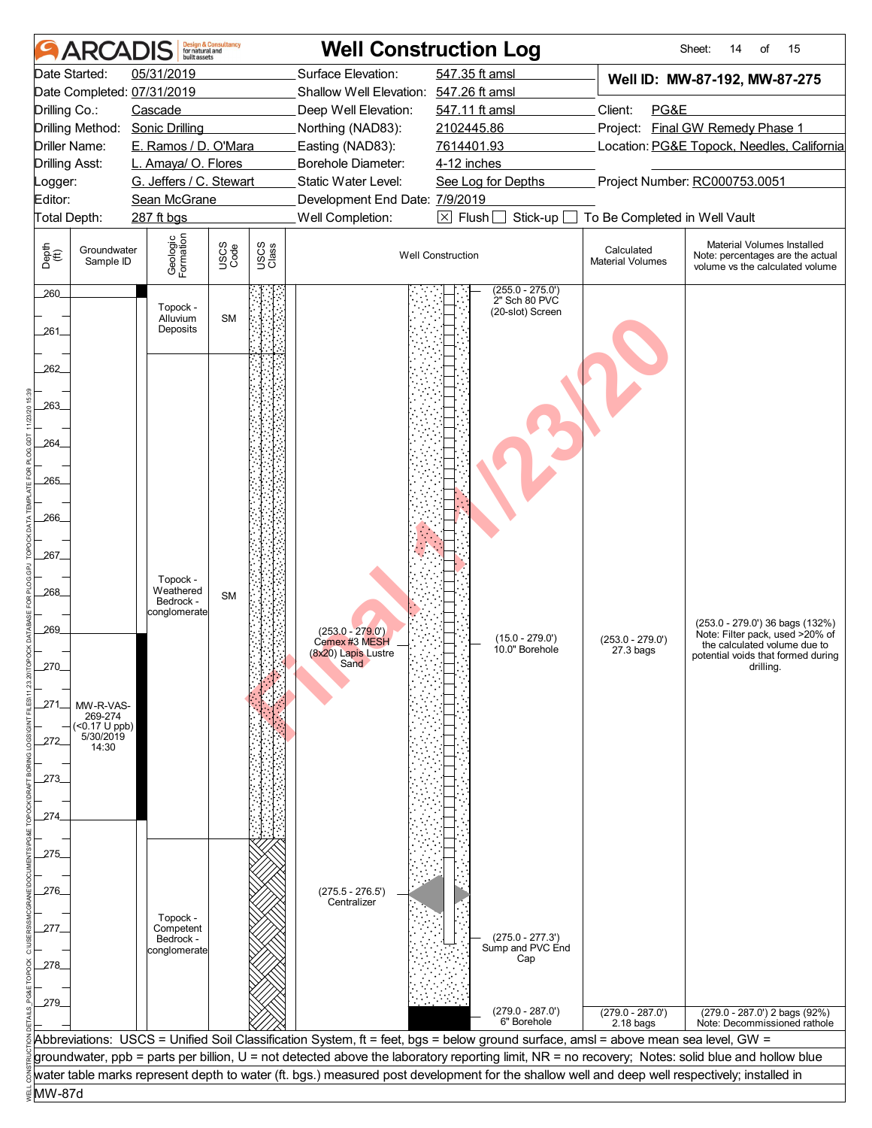|                       | <b>ARCAI</b>                  | <b>built</b> assets              | <b>Design &amp; Consultancy</b><br>for natural and |               |                                        | <b>Well Construction Log</b>                                                                                                                                                                                                                                                           |                                       | 15<br>Sheet:<br>14<br>of                                                                          |
|-----------------------|-------------------------------|----------------------------------|----------------------------------------------------|---------------|----------------------------------------|----------------------------------------------------------------------------------------------------------------------------------------------------------------------------------------------------------------------------------------------------------------------------------------|---------------------------------------|---------------------------------------------------------------------------------------------------|
|                       | Date Started:                 | 05/31/2019                       |                                                    |               | Surface Elevation:                     | 547.35 ft amsl                                                                                                                                                                                                                                                                         |                                       | Well ID: MW-87-192, MW-87-275                                                                     |
|                       |                               | Date Completed: 07/31/2019       |                                                    |               | Shallow Well Elevation: 547.26 ft amsl |                                                                                                                                                                                                                                                                                        |                                       |                                                                                                   |
| Drilling Co.:         |                               | Cascade                          |                                                    |               | Deep Well Elevation:                   | 547.11 ft amsl                                                                                                                                                                                                                                                                         | Client:<br>PG&E                       |                                                                                                   |
|                       | Drilling Method:              | <b>Sonic Drilling</b>            |                                                    |               | Northing (NAD83):                      | 2102445.86                                                                                                                                                                                                                                                                             | Project:                              | <b>Final GW Remedy Phase 1</b>                                                                    |
|                       | Driller Name:                 | E. Ramos / D. O'Mara             |                                                    |               | Easting (NAD83):                       | 7614401.93                                                                                                                                                                                                                                                                             |                                       | Location: PG&E Topock, Needles, California                                                        |
| <b>Drilling Asst:</b> |                               | L. Amaya/ O. Flores              |                                                    |               | Borehole Diameter:                     | 4-12 inches                                                                                                                                                                                                                                                                            |                                       |                                                                                                   |
| Logger:               |                               | G. Jeffers / C. Stewart          |                                                    |               | Static Water Level:                    | See Log for Depths                                                                                                                                                                                                                                                                     |                                       | Project Number: RC000753.0051                                                                     |
| Editor:               |                               | Sean McGrane                     |                                                    |               | Development End Date: 7/9/2019         |                                                                                                                                                                                                                                                                                        |                                       |                                                                                                   |
| Total Depth:          |                               | 287 ft bgs                       |                                                    |               | Well Completion:                       | $\boxtimes$ Flush [<br>Stick-up                                                                                                                                                                                                                                                        | To Be Completed in Well Vault         |                                                                                                   |
| Depth<br>(ff)         | Groundwater<br>Sample ID      | Geologic<br>Formation            | USCS<br>Code                                       | USCS<br>Class |                                        | <b>Well Construction</b>                                                                                                                                                                                                                                                               | Calculated<br><b>Material Volumes</b> | Material Volumes Installed<br>Note: percentages are the actual<br>volume vs the calculated volume |
| 260<br>261            |                               | Topock -<br>Alluvium<br>Deposits | <b>SM</b>                                          |               |                                        | $(255.0 - 275.0')$<br>2" Sch 80 PVC<br>(20-slot) Screen                                                                                                                                                                                                                                |                                       |                                                                                                   |
| 262                   |                               |                                  |                                                    |               |                                        |                                                                                                                                                                                                                                                                                        |                                       |                                                                                                   |
| 263                   |                               |                                  |                                                    |               |                                        |                                                                                                                                                                                                                                                                                        |                                       |                                                                                                   |
| 264.                  |                               |                                  |                                                    |               |                                        |                                                                                                                                                                                                                                                                                        |                                       |                                                                                                   |
| 265_                  |                               |                                  |                                                    |               |                                        |                                                                                                                                                                                                                                                                                        |                                       |                                                                                                   |
|                       |                               |                                  |                                                    |               |                                        |                                                                                                                                                                                                                                                                                        |                                       |                                                                                                   |
| 266                   |                               |                                  |                                                    |               |                                        |                                                                                                                                                                                                                                                                                        |                                       |                                                                                                   |
|                       |                               |                                  |                                                    |               |                                        |                                                                                                                                                                                                                                                                                        |                                       |                                                                                                   |
| _267_                 |                               |                                  |                                                    |               |                                        |                                                                                                                                                                                                                                                                                        |                                       |                                                                                                   |
|                       |                               |                                  |                                                    |               |                                        |                                                                                                                                                                                                                                                                                        |                                       |                                                                                                   |
| 268_                  |                               | Topock -<br>Weathered            | <b>SM</b>                                          |               |                                        |                                                                                                                                                                                                                                                                                        |                                       |                                                                                                   |
|                       |                               | Bedrock -<br>conglomerate        |                                                    |               |                                        |                                                                                                                                                                                                                                                                                        |                                       |                                                                                                   |
| 269                   |                               |                                  |                                                    |               | $(253.0 - 279.0')$                     |                                                                                                                                                                                                                                                                                        |                                       | (253.0 - 279.0') 36 bags (132%)<br>Note: Filter pack, used >20% of                                |
|                       |                               |                                  |                                                    |               | Cemex #3 MESH<br>(8x20) Lapis Lustre   | $(15.0 - 279.0')$<br>10.0" Borehole                                                                                                                                                                                                                                                    | $(253.0 - 279.0')$<br>$27.3$ bags     | the calculated volume due to<br>potential voids that formed during                                |
| 270                   |                               |                                  |                                                    |               | <b>Sand</b>                            |                                                                                                                                                                                                                                                                                        |                                       | drilling.                                                                                         |
|                       |                               |                                  |                                                    |               |                                        |                                                                                                                                                                                                                                                                                        |                                       |                                                                                                   |
| 271                   | MW-R-VAS-                     |                                  |                                                    |               |                                        |                                                                                                                                                                                                                                                                                        |                                       |                                                                                                   |
|                       | 269-274<br>$(50.17 \cup ppb)$ |                                  |                                                    |               |                                        |                                                                                                                                                                                                                                                                                        |                                       |                                                                                                   |
| 272                   | 5/30/2019<br>14:30            |                                  |                                                    |               |                                        |                                                                                                                                                                                                                                                                                        |                                       |                                                                                                   |
|                       |                               |                                  |                                                    |               |                                        |                                                                                                                                                                                                                                                                                        |                                       |                                                                                                   |
| 273.                  |                               |                                  |                                                    |               |                                        |                                                                                                                                                                                                                                                                                        |                                       |                                                                                                   |
|                       |                               |                                  |                                                    |               |                                        |                                                                                                                                                                                                                                                                                        |                                       |                                                                                                   |
| 274.                  |                               |                                  |                                                    |               |                                        |                                                                                                                                                                                                                                                                                        |                                       |                                                                                                   |
|                       |                               |                                  |                                                    |               |                                        |                                                                                                                                                                                                                                                                                        |                                       |                                                                                                   |
| .275.                 |                               |                                  |                                                    |               |                                        |                                                                                                                                                                                                                                                                                        |                                       |                                                                                                   |
|                       |                               |                                  |                                                    |               |                                        |                                                                                                                                                                                                                                                                                        |                                       |                                                                                                   |
| .276                  |                               |                                  |                                                    |               | $(275.5 - 276.5')$<br>Centralizer      |                                                                                                                                                                                                                                                                                        |                                       |                                                                                                   |
|                       |                               | Topock -                         |                                                    |               |                                        |                                                                                                                                                                                                                                                                                        |                                       |                                                                                                   |
| 277.                  |                               | Competent<br>Bedrock -           |                                                    |               |                                        |                                                                                                                                                                                                                                                                                        |                                       |                                                                                                   |
|                       |                               | conglomerate                     |                                                    |               |                                        | (275.0 - 277.3')<br>Sump and PVC End<br>Cap                                                                                                                                                                                                                                            |                                       |                                                                                                   |
| _278_                 |                               |                                  |                                                    |               |                                        |                                                                                                                                                                                                                                                                                        |                                       |                                                                                                   |
|                       |                               |                                  |                                                    |               |                                        |                                                                                                                                                                                                                                                                                        |                                       |                                                                                                   |
| 279_                  |                               |                                  |                                                    |               |                                        | $(279.0 - 287.0')$                                                                                                                                                                                                                                                                     | $(279.0 - 287.0')$                    | (279.0 - 287.0') 2 bags (92%)                                                                     |
|                       |                               |                                  |                                                    |               |                                        | 6" Borehole                                                                                                                                                                                                                                                                            | $2.18$ bags                           | Note: Decommissioned rathole                                                                      |
|                       |                               |                                  |                                                    |               |                                        | Abbreviations: USCS = Unified Soil Classification System, ft = feet, bgs = below ground surface, amsl = above mean sea level, GW =<br>groundwater, ppb = parts per billion, U = not detected above the laboratory reporting limit, NR = no recovery; Notes: solid blue and hollow blue |                                       |                                                                                                   |
|                       |                               |                                  |                                                    |               |                                        | water table marks represent depth to water (ft. bgs.) measured post development for the shallow well and deep well respectively; installed in                                                                                                                                          |                                       |                                                                                                   |
| MW-87d                |                               |                                  |                                                    |               |                                        |                                                                                                                                                                                                                                                                                        |                                       |                                                                                                   |
|                       |                               |                                  |                                                    |               |                                        |                                                                                                                                                                                                                                                                                        |                                       |                                                                                                   |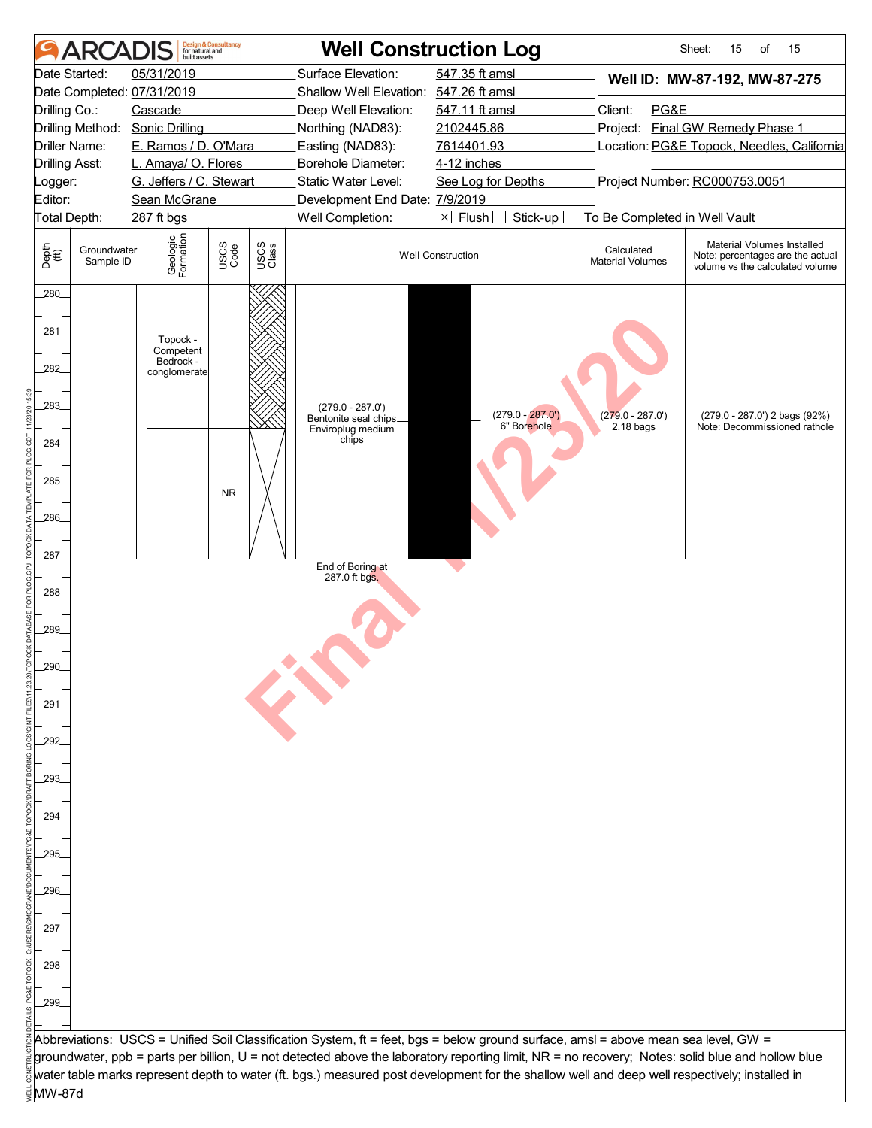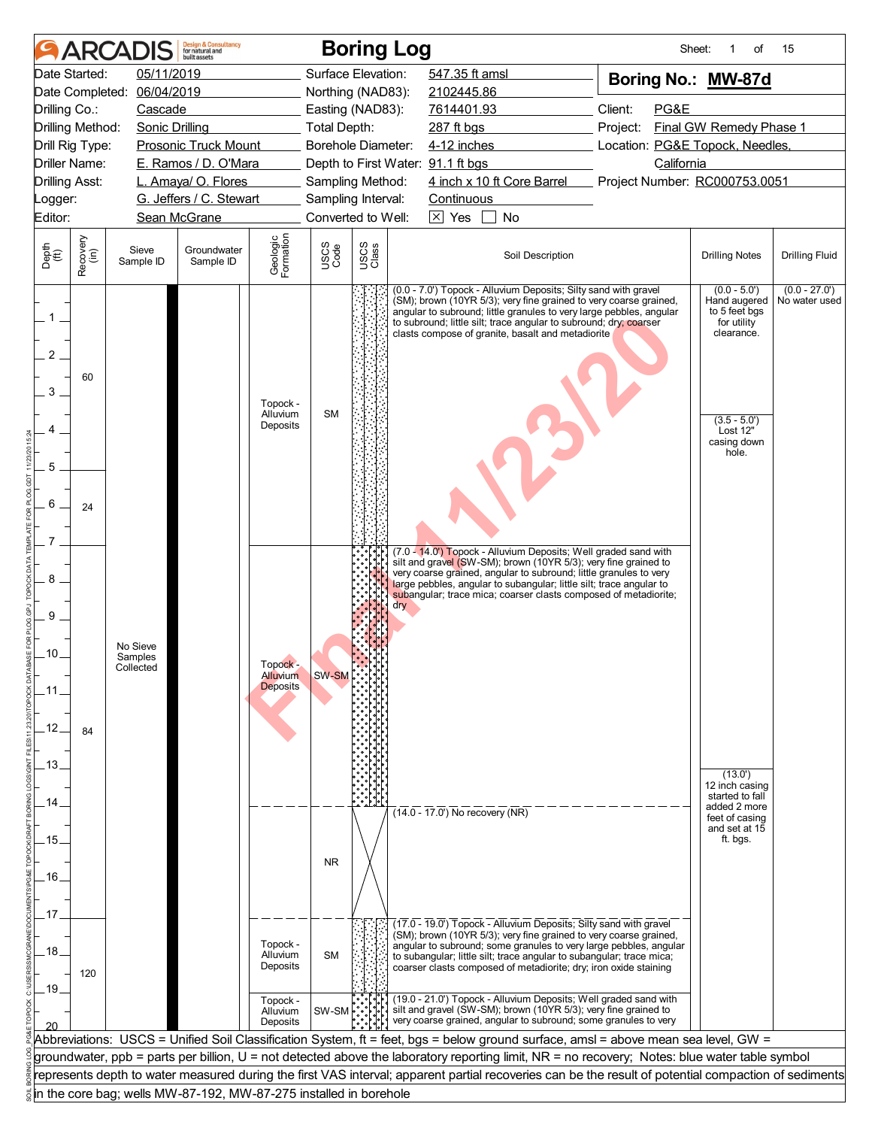|                                               |                  | <b>ARCADIS</b>                   | <b>Design &amp; Consultancy</b><br>for natural and<br>huilt assets |                                    |              | <b>Boring Log</b>  |                                                                                                                                                                                                                                                                                                                                       | Sheet:                                      | of                                                                          | 15                               |
|-----------------------------------------------|------------------|----------------------------------|--------------------------------------------------------------------|------------------------------------|--------------|--------------------|---------------------------------------------------------------------------------------------------------------------------------------------------------------------------------------------------------------------------------------------------------------------------------------------------------------------------------------|---------------------------------------------|-----------------------------------------------------------------------------|----------------------------------|
|                                               | Date Started:    | 05/11/2019                       |                                                                    |                                    |              | Surface Elevation: | 547.35 ft amsl                                                                                                                                                                                                                                                                                                                        | Boring No.: MW-87d                          |                                                                             |                                  |
| Date Completed:                               |                  | 06/04/2019                       |                                                                    |                                    |              | Northing (NAD83):  | 2102445.86                                                                                                                                                                                                                                                                                                                            |                                             |                                                                             |                                  |
| Drilling Co.:                                 |                  | Cascade                          |                                                                    |                                    |              | Easting (NAD83):   | 7614401.93                                                                                                                                                                                                                                                                                                                            | Client:<br>PG&E                             |                                                                             |                                  |
| Drilling Method:                              |                  | <b>Sonic Drilling</b>            |                                                                    |                                    | Total Depth: |                    | 287 ft bgs                                                                                                                                                                                                                                                                                                                            | Project:                                    | Final GW Remedy Phase 1                                                     |                                  |
| Drill Rig Type:                               |                  |                                  | <b>Prosonic Truck Mount</b>                                        |                                    |              | Borehole Diameter: | 4-12 inches                                                                                                                                                                                                                                                                                                                           | Location: PG&E Topock, Needles,             |                                                                             |                                  |
| <b>Driller Name:</b><br><b>Drilling Asst:</b> |                  |                                  | E. Ramos / D. O'Mara<br>L. Amaya/ O. Flores                        |                                    |              | Sampling Method:   | Depth to First Water: 91.1 ft bgs<br>4 inch x 10 ft Core Barrel                                                                                                                                                                                                                                                                       | California<br>Project Number: RC000753.0051 |                                                                             |                                  |
| Logger:                                       |                  |                                  | G. Jeffers / C. Stewart                                            |                                    |              | Sampling Interval: | Continuous                                                                                                                                                                                                                                                                                                                            |                                             |                                                                             |                                  |
| Editor:                                       |                  |                                  | Sean McGrane                                                       |                                    |              | Converted to Well: | $\overline{\times}$ Yes<br><b>No</b>                                                                                                                                                                                                                                                                                                  |                                             |                                                                             |                                  |
|                                               |                  |                                  |                                                                    |                                    |              |                    |                                                                                                                                                                                                                                                                                                                                       |                                             |                                                                             |                                  |
| Depth<br>$\widetilde{f(t)}$                   | Recovery<br>(in) | Sieve<br>Sample ID               | Groundwater<br>Sample ID                                           | Geologic<br>Formation              | USCS<br>Code | USCS<br>Class      | Soil Description                                                                                                                                                                                                                                                                                                                      |                                             | <b>Drilling Notes</b>                                                       | <b>Drilling Fluid</b>            |
| $1$ .<br>2<br>3                               | 60               |                                  |                                                                    |                                    |              |                    | (0.0 - 7.0') Topock - Alluvium Deposits; Silty sand with gravel<br>(SM); brown (10YR 5/3); very fine grained to very coarse grained,<br>angular to subround; little granules to very large pebbles, angular<br>to subround; little silt; trace angular to subround; dry; coarser<br>clasts compose of granite, basalt and metadiorite |                                             | $(0.0 - 5.0)$<br>Hand augered<br>to 5 feet bgs<br>for utility<br>clearance. | $(0.0 - 27.0')$<br>No water used |
|                                               |                  |                                  |                                                                    | Topock -<br>Alluvium<br>Deposits   | <b>SM</b>    |                    |                                                                                                                                                                                                                                                                                                                                       |                                             | $(3.5 - 5.0)$<br>Lost 12"<br>casing down<br>hole.                           |                                  |
| 5                                             |                  |                                  |                                                                    |                                    |              |                    |                                                                                                                                                                                                                                                                                                                                       |                                             |                                                                             |                                  |
|                                               |                  |                                  |                                                                    |                                    |              |                    |                                                                                                                                                                                                                                                                                                                                       |                                             |                                                                             |                                  |
| 6                                             | 24               |                                  |                                                                    |                                    |              |                    |                                                                                                                                                                                                                                                                                                                                       |                                             |                                                                             |                                  |
|                                               |                  |                                  |                                                                    |                                    |              |                    | (7.0 - 14.0') Topock - Alluvium Deposits; Well graded sand with                                                                                                                                                                                                                                                                       |                                             |                                                                             |                                  |
| 8                                             |                  |                                  |                                                                    |                                    |              |                    | silt and gravel (SW-SM); brown (10YR 5/3); very fine grained to<br>very coarse grained, angular to subround; little granules to very<br>large pebbles, angular to subangular; little silt; trace angular to<br>subangular; trace mica; coarser clasts composed of metadiorite;                                                        |                                             |                                                                             |                                  |
| 9                                             |                  |                                  |                                                                    |                                    |              |                    | dry                                                                                                                                                                                                                                                                                                                                   |                                             |                                                                             |                                  |
| .10.                                          |                  | No Sieve<br>Samples<br>Collected |                                                                    | Topock -                           |              |                    |                                                                                                                                                                                                                                                                                                                                       |                                             |                                                                             |                                  |
| .11                                           |                  |                                  |                                                                    | <b>Alluvium</b><br><b>Deposits</b> | SW-SM        |                    |                                                                                                                                                                                                                                                                                                                                       |                                             |                                                                             |                                  |
| .12 <sub>1</sub>                              | 84               |                                  |                                                                    |                                    |              |                    |                                                                                                                                                                                                                                                                                                                                       |                                             |                                                                             |                                  |
| .13.                                          |                  |                                  |                                                                    |                                    |              |                    |                                                                                                                                                                                                                                                                                                                                       |                                             | (13.0)<br>12 inch casing                                                    |                                  |
| 14                                            |                  |                                  |                                                                    |                                    |              |                    | $(14.0 - 17.0)$ No recovery (NR)                                                                                                                                                                                                                                                                                                      |                                             | started to fall<br>added 2 more<br>feet of casing<br>and set at 15          |                                  |
| .15.                                          |                  |                                  |                                                                    |                                    |              |                    |                                                                                                                                                                                                                                                                                                                                       |                                             | ft. bgs.                                                                    |                                  |
|                                               |                  |                                  |                                                                    |                                    | <b>NR</b>    |                    |                                                                                                                                                                                                                                                                                                                                       |                                             |                                                                             |                                  |
| .16.                                          |                  |                                  |                                                                    |                                    |              |                    |                                                                                                                                                                                                                                                                                                                                       |                                             |                                                                             |                                  |
|                                               |                  |                                  |                                                                    |                                    |              |                    |                                                                                                                                                                                                                                                                                                                                       |                                             |                                                                             |                                  |
| .17                                           |                  |                                  |                                                                    |                                    |              |                    | (17.0 - 19.0') Topock - Alluvium Deposits; Silty sand with gravel                                                                                                                                                                                                                                                                     |                                             |                                                                             |                                  |
| 18                                            | 120              |                                  |                                                                    | Topock -<br>Alluvium<br>Deposits   | <b>SM</b>    |                    | (SM); brown (10YR 5/3); very fine grained to very coarse grained,<br>angular to subround; some granules to very large pebbles, angular<br>to subangular; little silt; trace angular to subangular; trace mica;<br>coarser clasts composed of metadiorite; dry; iron oxide staining                                                    |                                             |                                                                             |                                  |
| .19.                                          |                  |                                  |                                                                    | Topock -<br>Alluvium<br>Deposits   | SW-SM        |                    | (19.0 - 21.0') Topock - Alluvium Deposits; Well graded sand with<br>silt and gravel (SW-SM); brown (10YR 5/3); very fine grained to<br>very coarse grained, angular to subround; some granules to very                                                                                                                                |                                             |                                                                             |                                  |
|                                               |                  |                                  |                                                                    |                                    |              |                    | Abbreviations: USCS = Unified Soil Classification System, ft = feet, bgs = below ground surface, amsl = above mean sea level, GW =                                                                                                                                                                                                    |                                             |                                                                             |                                  |
|                                               |                  |                                  |                                                                    |                                    |              |                    | groundwater, ppb = parts per billion, U = not detected above the laboratory reporting limit, NR = no recovery; Notes: blue water table symbol                                                                                                                                                                                         |                                             |                                                                             |                                  |
|                                               |                  |                                  |                                                                    |                                    |              |                    | represents depth to water measured during the first VAS interval; apparent partial recoveries can be the result of potential compaction of sediments                                                                                                                                                                                  |                                             |                                                                             |                                  |
|                                               |                  |                                  | in the core bag; wells MW-87-192, MW-87-275 installed in borehole  |                                    |              |                    |                                                                                                                                                                                                                                                                                                                                       |                                             |                                                                             |                                  |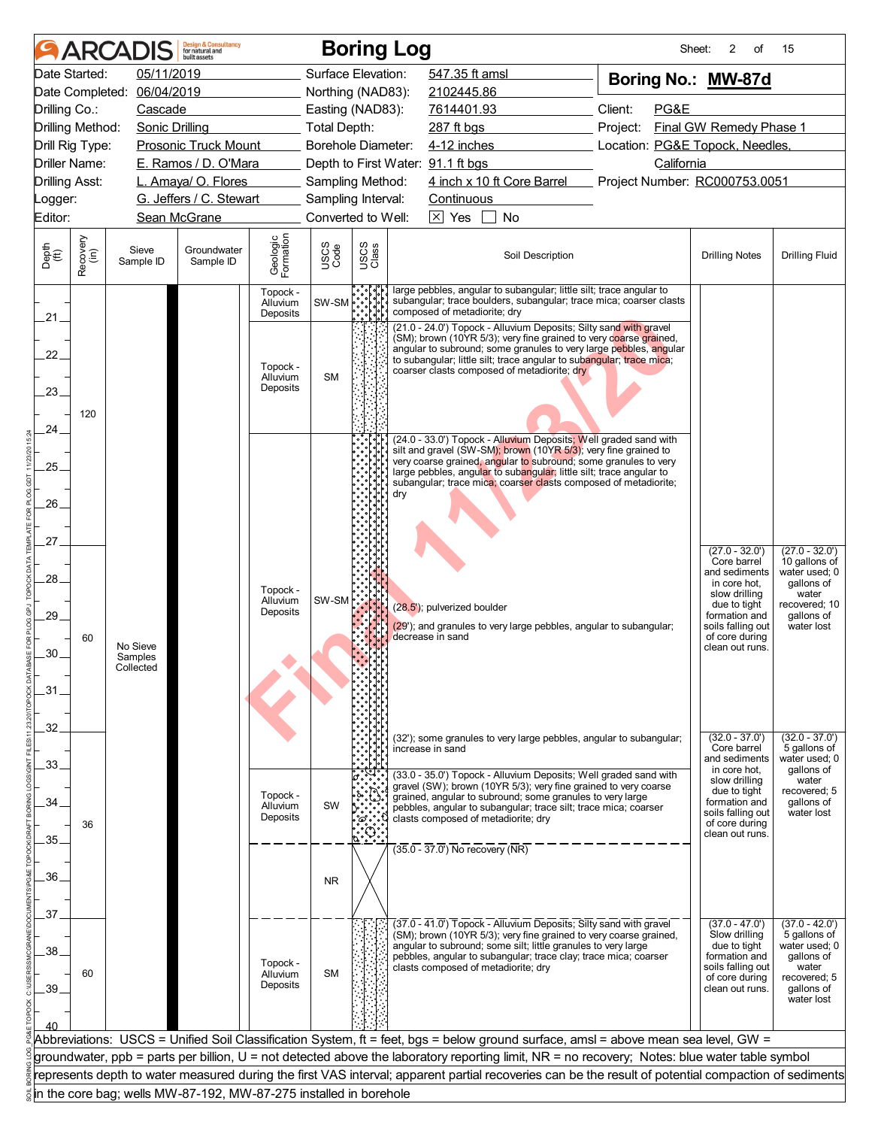|                       |                  | <b>ARCADIS</b>        | <b>Design &amp; Consultancy</b><br>for natural and<br>built assets |                                  |                     |                           | <b>Boring Log</b>                                                                                                                                                         | Sheet:                          | 2<br>οf                             | 15                                |
|-----------------------|------------------|-----------------------|--------------------------------------------------------------------|----------------------------------|---------------------|---------------------------|---------------------------------------------------------------------------------------------------------------------------------------------------------------------------|---------------------------------|-------------------------------------|-----------------------------------|
|                       | Date Started:    | 05/11/2019            |                                                                    |                                  | Surface Elevation:  |                           | 547.35 ft amsl                                                                                                                                                            | Boring No.: MW-87d              |                                     |                                   |
|                       | Date Completed:  | 06/04/2019            |                                                                    |                                  | Northing (NAD83):   |                           | 2102445.86                                                                                                                                                                |                                 |                                     |                                   |
| Drilling Co.:         |                  | Cascade               |                                                                    |                                  | Easting (NAD83):    |                           | 7614401.93                                                                                                                                                                | Client:<br>PG&E                 |                                     |                                   |
|                       | Drilling Method: | <b>Sonic Drilling</b> |                                                                    |                                  | <b>Total Depth:</b> |                           | 287 ft bgs                                                                                                                                                                | Project:                        | Final GW Remedy Phase 1             |                                   |
|                       | Drill Rig Type:  |                       | <b>Prosonic Truck Mount</b>                                        |                                  | Borehole Diameter:  |                           | 4-12 inches                                                                                                                                                               | Location: PG&E Topock, Needles, |                                     |                                   |
|                       | Driller Name:    |                       | E. Ramos / D. O'Mara                                               |                                  |                     |                           | Depth to First Water: 91.1 ft bgs                                                                                                                                         | California                      |                                     |                                   |
| <b>Drilling Asst:</b> |                  |                       | L. Amaya/ O. Flores                                                |                                  | Sampling Method:    |                           | 4 inch x 10 ft Core Barrel                                                                                                                                                | Project Number: RC000753.0051   |                                     |                                   |
| _ogger:               |                  |                       | G. Jeffers / C. Stewart                                            |                                  | Sampling Interval:  |                           | Continuous                                                                                                                                                                |                                 |                                     |                                   |
| Editor:               |                  |                       | Sean McGrane                                                       |                                  | Converted to Well:  |                           | $\boxed{\times}$ Yes<br>$\mathbf{L}$<br>No                                                                                                                                |                                 |                                     |                                   |
| Depth<br>(ft)         | Recovery<br>(in) | Sieve<br>Sample ID    | Groundwater<br>Sample ID                                           | Geologic<br>Formation            | USCS<br>Code        | USCS<br>Class             | Soil Description                                                                                                                                                          |                                 | <b>Drilling Notes</b>               | <b>Drilling Fluid</b>             |
|                       |                  |                       |                                                                    | Topock -<br>Alluvium<br>Deposits | SW-SM               |                           | large pebbles, angular to subangular; little silt; trace angular to<br>subangular; trace boulders, subangular; trace mica; coarser clasts<br>composed of metadiorite; dry |                                 |                                     |                                   |
| 21.                   |                  |                       |                                                                    |                                  |                     |                           | (21.0 - 24.0') Topock - Alluvium Deposits; Silty sand with gravel                                                                                                         |                                 |                                     |                                   |
|                       |                  |                       |                                                                    |                                  |                     |                           | (SM); brown (10YR 5/3); very fine grained to very coarse grained,<br>angular to subround; some granules to very large pebbles, angular                                    |                                 |                                     |                                   |
| 22.                   |                  |                       |                                                                    | Topock -                         |                     |                           | to subangular; little silt; trace angular to subangular; trace mica;<br>coarser clasts composed of metadiorite; dry                                                       |                                 |                                     |                                   |
|                       |                  |                       |                                                                    | Alluvium<br>Deposits             | <b>SM</b>           |                           |                                                                                                                                                                           |                                 |                                     |                                   |
| 23.                   |                  |                       |                                                                    |                                  |                     |                           |                                                                                                                                                                           |                                 |                                     |                                   |
|                       | 120              |                       |                                                                    |                                  |                     |                           |                                                                                                                                                                           |                                 |                                     |                                   |
| 24.                   |                  |                       |                                                                    |                                  |                     |                           | (24.0 - 33.0') Topock - Alluvium Deposits; Well graded sand with                                                                                                          |                                 |                                     |                                   |
| 25.                   |                  |                       |                                                                    |                                  |                     |                           | silt and gravel (SW-SM); brown (10YR 5/3); very fine grained to<br>very coarse grained, angular to subround; some granules to very                                        |                                 |                                     |                                   |
|                       |                  |                       |                                                                    |                                  |                     |                           | large pebbles, angular to subangular; little silt; trace angular to<br>subangular; trace mica; coarser clasts composed of metadiorite;                                    |                                 |                                     |                                   |
| $26-$                 |                  |                       |                                                                    |                                  |                     |                           | dry                                                                                                                                                                       |                                 |                                     |                                   |
|                       |                  |                       |                                                                    |                                  |                     |                           |                                                                                                                                                                           |                                 |                                     |                                   |
| 27.                   |                  |                       |                                                                    |                                  |                     |                           |                                                                                                                                                                           |                                 |                                     |                                   |
|                       |                  |                       |                                                                    |                                  |                     |                           |                                                                                                                                                                           |                                 | $(27.0 - 32.0')$<br>Core barrel     | $(27.0 - 32.0')$<br>10 gallons of |
| 28.                   |                  |                       |                                                                    |                                  |                     |                           |                                                                                                                                                                           |                                 | and sediments<br>in core hot,       | water used; 0<br>gallons of       |
|                       |                  |                       |                                                                    | Topock -<br>Alluvium             | SW-SM               |                           |                                                                                                                                                                           |                                 | slow drilling                       | water                             |
| 29.                   |                  |                       |                                                                    | Deposits                         |                     |                           | (28.5'); pulverized boulder                                                                                                                                               |                                 | due to tight<br>formation and       | recovered; 10<br>gallons of       |
|                       | 60               |                       |                                                                    |                                  |                     |                           | (29'); and granules to very large pebbles, angular to subangular;<br>decrease in sand                                                                                     |                                 | soils falling out<br>of core during | water lost                        |
| 30.                   |                  | No Sieve<br>Samples   |                                                                    |                                  |                     |                           |                                                                                                                                                                           |                                 | clean out runs.                     |                                   |
|                       |                  | Collected             |                                                                    |                                  |                     |                           |                                                                                                                                                                           |                                 |                                     |                                   |
| .31                   |                  |                       |                                                                    |                                  |                     |                           |                                                                                                                                                                           |                                 |                                     |                                   |
|                       |                  |                       |                                                                    |                                  |                     |                           |                                                                                                                                                                           |                                 |                                     |                                   |
| 32.                   |                  |                       |                                                                    |                                  |                     |                           |                                                                                                                                                                           |                                 |                                     |                                   |
|                       |                  |                       |                                                                    |                                  |                     |                           | (32'); some granules to very large pebbles, angular to subangular;<br>increase in sand                                                                                    |                                 | $(32.0 - 37.0')$<br>Core barrel     | $(32.0 - 37.0')$<br>5 gallons of  |
| .33.                  |                  |                       |                                                                    |                                  |                     |                           | (33.0 - 35.0') Topock - Alluvium Deposits; Well graded sand with                                                                                                          |                                 | and sediments<br>in core hot,       | water used; 0<br>qallons of       |
|                       |                  |                       |                                                                    |                                  |                     |                           | gravel (SW); brown (10YR 5/3); very fine grained to very coarse                                                                                                           |                                 | slow drilling<br>due to tight       | water<br>recovered: 5             |
| 34.                   |                  |                       |                                                                    | Topock -<br>Alluvium             | SW                  |                           | grained, angular to subround; some granules to very large<br>pebbles, angular to subangular; trace silt; trace mica; coarser                                              |                                 | formation and<br>soils falling out  | gallons of<br>water lost          |
|                       | 36               |                       |                                                                    | Deposits                         |                     | $\tilde{\omega}$ .<br>ઃંં | clasts composed of metadiorite; dry                                                                                                                                       |                                 | of core during                      |                                   |
| 35.                   |                  |                       |                                                                    |                                  |                     |                           | $(35.0 - 37.0)$ No recovery (NR)                                                                                                                                          |                                 | clean out runs.                     |                                   |
|                       |                  |                       |                                                                    |                                  |                     |                           |                                                                                                                                                                           |                                 |                                     |                                   |
| .36.                  |                  |                       |                                                                    |                                  | <b>NR</b>           |                           |                                                                                                                                                                           |                                 |                                     |                                   |
|                       |                  |                       |                                                                    |                                  |                     |                           |                                                                                                                                                                           |                                 |                                     |                                   |
| 37.                   |                  |                       |                                                                    |                                  |                     |                           | (37.0 - 41.0') Topock - Alluvium Deposits; Silty sand with gravel                                                                                                         |                                 | $(37.0 - 47.0')$                    | $(37.0 - 42.0')$                  |
|                       |                  |                       |                                                                    |                                  |                     |                           | (SM); brown (10YR 5/3); very fine grained to very coarse grained,<br>angular to subround; some silt; little granules to very large                                        |                                 | Slow drilling<br>due to tight       | 5 gallons of<br>water used; 0     |
| 38.                   |                  |                       |                                                                    | Topock -                         |                     |                           | pebbles, angular to subangular; trace clay; trace mica; coarser                                                                                                           |                                 | formation and                       | qallons of                        |
|                       | 60               |                       |                                                                    | Alluvium                         | <b>SM</b>           |                           | clasts composed of metadiorite; dry                                                                                                                                       |                                 | soils falling out<br>of core during | water<br>recovered; 5             |
| .39.                  |                  |                       |                                                                    | Deposits                         |                     |                           |                                                                                                                                                                           |                                 | clean out runs.                     | qallons of<br>water lost          |
|                       |                  |                       |                                                                    |                                  |                     |                           |                                                                                                                                                                           |                                 |                                     |                                   |
|                       |                  |                       |                                                                    |                                  |                     |                           | Abbreviations: USCS = Unified Soil Classification System, ft = feet, bgs = below ground surface, amsl = above mean sea level, GW =                                        |                                 |                                     |                                   |
|                       |                  |                       |                                                                    |                                  |                     |                           | groundwater, ppb = parts per billion, U = not detected above the laboratory reporting limit, NR = no recovery; Notes: blue water table symbol                             |                                 |                                     |                                   |
|                       |                  |                       |                                                                    |                                  |                     |                           | represents depth to water measured during the first VAS interval; apparent partial recoveries can be the result of potential compaction of sediments                      |                                 |                                     |                                   |
|                       |                  |                       | in the core bag; wells MW-87-192, MW-87-275 installed in borehole  |                                  |                     |                           |                                                                                                                                                                           |                                 |                                     |                                   |
|                       |                  |                       |                                                                    |                                  |                     |                           |                                                                                                                                                                           |                                 |                                     |                                   |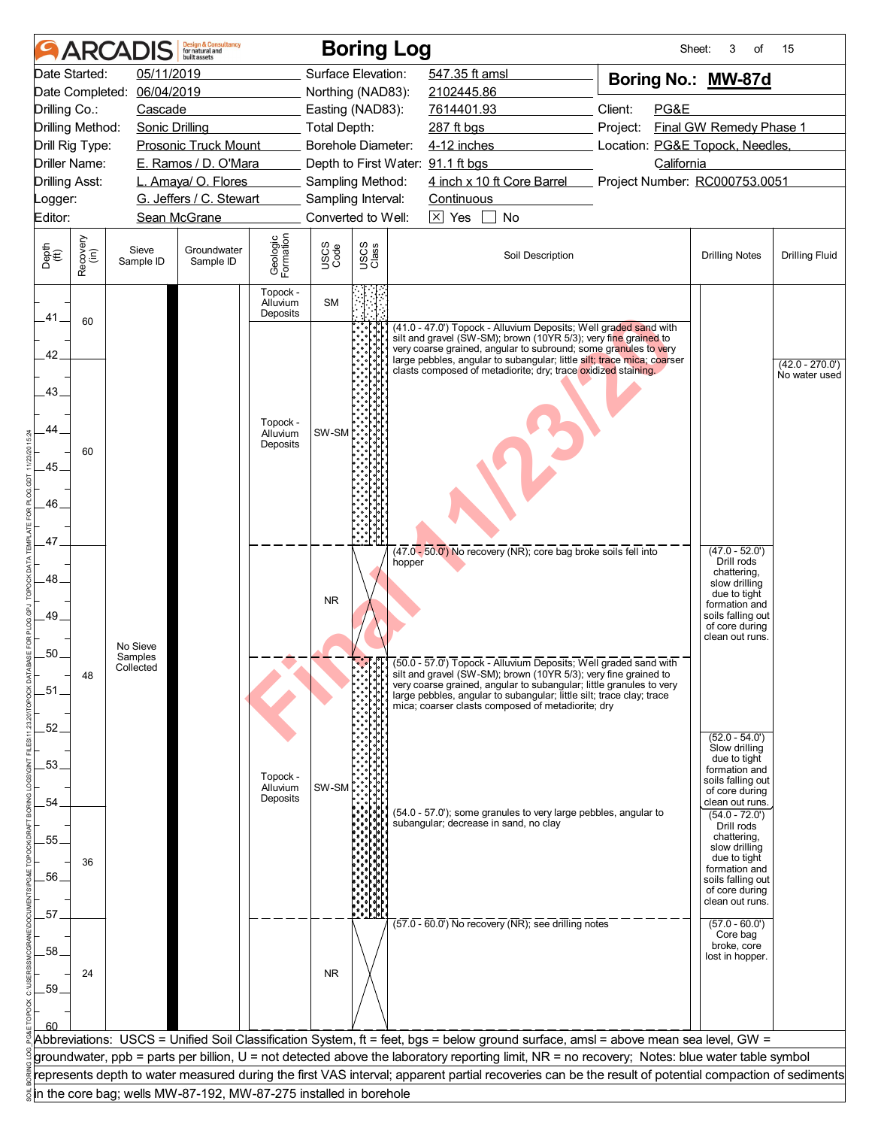| Date Started:<br>05/11/2019<br>Surface Elevation:<br>547.35 ft amsl<br>Boring No.: MW-87d<br>06/04/2019<br>Date Completed:<br>Northing (NAD83):<br>2102445.86<br>Client:<br>PG&E<br>Drilling Co.:<br>Cascade<br>Easting (NAD83):<br>7614401.93<br>Final GW Remedy Phase 1<br>Drilling Method:<br><b>Sonic Drilling</b><br>Total Depth:<br>287 ft bgs<br>Project:<br>Borehole Diameter:<br>Location: PG&E Topock, Needles,<br>Drill Rig Type:<br><b>Prosonic Truck Mount</b><br>4-12 inches<br>Driller Name:<br>E. Ramos / D. O'Mara<br>California<br>Depth to First Water: 91.1 ft bgs<br>4 inch x 10 ft Core Barrel<br><b>Drilling Asst:</b><br>L. Amaya/ O. Flores<br>Sampling Method:<br>Project Number: RC000753.0051<br>G. Jeffers / C. Stewart<br>Sampling Interval:<br>Continuous<br>_ogger:<br>Converted to Well:<br>$\overline{\times}$ Yes<br>No<br>Editor:<br>Sean McGrane<br>$\perp$<br>Geologic<br>Formation<br>Recovery<br>(in)<br>USCS<br>Class<br>USCS<br>Code<br>Depth<br>(ft)<br>Sieve<br>Groundwater<br>Soil Description<br><b>Drilling Notes</b><br><b>Drilling Fluid</b><br>Sample ID<br>Sample ID<br>Topock -<br><b>SM</b><br>Alluvium<br>Deposits<br>.41.<br>60<br>(41.0 - 47.0') Topock - Alluvium Deposits; Well graded sand with<br>silt and gravel (SW-SM); brown (10YR 5/3); very fine grained to<br>very coarse grained, angular to subround; some granules to very<br>42.<br>large pebbles, angular to subangular; little silt; trace mica; coarser<br>clasts composed of metadiorite; dry; trace oxidized staining.<br>No water used<br>43.<br>Topock -<br>44.<br>SW-SM<br>Alluvium<br>Deposits<br>60<br>45.<br>46<br>47.<br>$(47.0 - 52.0')$<br>(47.0 - 50.0') No recovery (NR); core bag broke soils fell into<br>Drill rods<br>hopper<br>chattering,<br>48.<br>slow drilling<br>due to tight<br><b>NR</b><br>formation and<br>49.<br>soils falling out<br>of core during<br>clean out runs.<br>No Sieve<br>50.<br>Samples<br>िर्ी[- अपना पहले पर पहले पर पहले उनके प्राप्त हैं। अपना प्राप्त के बाद पर पहले पर प्राप्त के सुर्ग (50.0 - 57.0<br>Collected<br>silt and gravel (SW-SM); brown (10YR 5/3); very fine grained to<br>48<br>very coarse grained, angular to subangular; little granules to very<br>51<br>large pebbles, angular to subangular; little silt; trace clay; trace<br>mica; coarser clasts composed of metadiorite; dry<br>.52.<br>$(52.0 - 54.0')$<br>Slow drilling<br>due to tight<br>.53.<br>formation and<br>Topock -<br>soils falling out<br>SW-SM<br>Alluvium<br>of core during<br>Deposits<br>clean out runs.<br>54<br>(54.0 - 57.0'); some granules to very large pebbles, angular to<br>$(54.0 - 72.0')$<br>subangular; decrease in sand, no clay<br>Drill rods<br>chattering,<br>.55<br>slow drilling<br>due to tight<br>36<br>formation and<br>56.<br>soils falling out<br>of core during<br>clean out runs.<br>57<br>$(57.0 - 60.0)$ No recovery (NR); see drilling notes<br>$(57.0 - 60.0')$<br>Core bag<br>broke, core<br>.58<br>lost in hopper.<br><b>NR</b><br>24<br>.59.<br>Abbreviations: USCS = Unified Soil Classification System, ft = feet, bgs = below ground surface, amsl = above mean sea level, GW =<br>groundwater, ppb = parts per billion, U = not detected above the laboratory reporting limit, NR = no recovery; Notes: blue water table symbol<br>represents depth to water measured during the first VAS interval; apparent partial recoveries can be the result of potential compaction of sediments |  | <b>ARCADIS</b> | <b>Design &amp; Consultancy</b><br>for natural and<br><b>built</b> assets |  | <b>Boring Log</b> | Sheet: | 3<br>οf | 15                |
|-------------------------------------------------------------------------------------------------------------------------------------------------------------------------------------------------------------------------------------------------------------------------------------------------------------------------------------------------------------------------------------------------------------------------------------------------------------------------------------------------------------------------------------------------------------------------------------------------------------------------------------------------------------------------------------------------------------------------------------------------------------------------------------------------------------------------------------------------------------------------------------------------------------------------------------------------------------------------------------------------------------------------------------------------------------------------------------------------------------------------------------------------------------------------------------------------------------------------------------------------------------------------------------------------------------------------------------------------------------------------------------------------------------------------------------------------------------------------------------------------------------------------------------------------------------------------------------------------------------------------------------------------------------------------------------------------------------------------------------------------------------------------------------------------------------------------------------------------------------------------------------------------------------------------------------------------------------------------------------------------------------------------------------------------------------------------------------------------------------------------------------------------------------------------------------------------------------------------------------------------------------------------------------------------------------------------------------------------------------------------------------------------------------------------------------------------------------------------------------------------------------------------------------------------------------------------------------------------------------------------------------------------------------------------------------------------------------------------------------------------------------------------------------------------------------------------------------------------------------------------------------------------------------------------------------------------------------------------------------------------------------------------------------------------------------------------------------------------------------------------------------------------------------------------------------------------------------------------------------------------------------------------------------------------------------------------------------------------------------------------------------------------------------------------------------------------------------------------------------------------|--|----------------|---------------------------------------------------------------------------|--|-------------------|--------|---------|-------------------|
|                                                                                                                                                                                                                                                                                                                                                                                                                                                                                                                                                                                                                                                                                                                                                                                                                                                                                                                                                                                                                                                                                                                                                                                                                                                                                                                                                                                                                                                                                                                                                                                                                                                                                                                                                                                                                                                                                                                                                                                                                                                                                                                                                                                                                                                                                                                                                                                                                                                                                                                                                                                                                                                                                                                                                                                                                                                                                                                                                                                                                                                                                                                                                                                                                                                                                                                                                                                                                                                                                                 |  |                |                                                                           |  |                   |        |         |                   |
|                                                                                                                                                                                                                                                                                                                                                                                                                                                                                                                                                                                                                                                                                                                                                                                                                                                                                                                                                                                                                                                                                                                                                                                                                                                                                                                                                                                                                                                                                                                                                                                                                                                                                                                                                                                                                                                                                                                                                                                                                                                                                                                                                                                                                                                                                                                                                                                                                                                                                                                                                                                                                                                                                                                                                                                                                                                                                                                                                                                                                                                                                                                                                                                                                                                                                                                                                                                                                                                                                                 |  |                |                                                                           |  |                   |        |         |                   |
|                                                                                                                                                                                                                                                                                                                                                                                                                                                                                                                                                                                                                                                                                                                                                                                                                                                                                                                                                                                                                                                                                                                                                                                                                                                                                                                                                                                                                                                                                                                                                                                                                                                                                                                                                                                                                                                                                                                                                                                                                                                                                                                                                                                                                                                                                                                                                                                                                                                                                                                                                                                                                                                                                                                                                                                                                                                                                                                                                                                                                                                                                                                                                                                                                                                                                                                                                                                                                                                                                                 |  |                |                                                                           |  |                   |        |         |                   |
|                                                                                                                                                                                                                                                                                                                                                                                                                                                                                                                                                                                                                                                                                                                                                                                                                                                                                                                                                                                                                                                                                                                                                                                                                                                                                                                                                                                                                                                                                                                                                                                                                                                                                                                                                                                                                                                                                                                                                                                                                                                                                                                                                                                                                                                                                                                                                                                                                                                                                                                                                                                                                                                                                                                                                                                                                                                                                                                                                                                                                                                                                                                                                                                                                                                                                                                                                                                                                                                                                                 |  |                |                                                                           |  |                   |        |         |                   |
|                                                                                                                                                                                                                                                                                                                                                                                                                                                                                                                                                                                                                                                                                                                                                                                                                                                                                                                                                                                                                                                                                                                                                                                                                                                                                                                                                                                                                                                                                                                                                                                                                                                                                                                                                                                                                                                                                                                                                                                                                                                                                                                                                                                                                                                                                                                                                                                                                                                                                                                                                                                                                                                                                                                                                                                                                                                                                                                                                                                                                                                                                                                                                                                                                                                                                                                                                                                                                                                                                                 |  |                |                                                                           |  |                   |        |         |                   |
|                                                                                                                                                                                                                                                                                                                                                                                                                                                                                                                                                                                                                                                                                                                                                                                                                                                                                                                                                                                                                                                                                                                                                                                                                                                                                                                                                                                                                                                                                                                                                                                                                                                                                                                                                                                                                                                                                                                                                                                                                                                                                                                                                                                                                                                                                                                                                                                                                                                                                                                                                                                                                                                                                                                                                                                                                                                                                                                                                                                                                                                                                                                                                                                                                                                                                                                                                                                                                                                                                                 |  |                |                                                                           |  |                   |        |         |                   |
|                                                                                                                                                                                                                                                                                                                                                                                                                                                                                                                                                                                                                                                                                                                                                                                                                                                                                                                                                                                                                                                                                                                                                                                                                                                                                                                                                                                                                                                                                                                                                                                                                                                                                                                                                                                                                                                                                                                                                                                                                                                                                                                                                                                                                                                                                                                                                                                                                                                                                                                                                                                                                                                                                                                                                                                                                                                                                                                                                                                                                                                                                                                                                                                                                                                                                                                                                                                                                                                                                                 |  |                |                                                                           |  |                   |        |         |                   |
|                                                                                                                                                                                                                                                                                                                                                                                                                                                                                                                                                                                                                                                                                                                                                                                                                                                                                                                                                                                                                                                                                                                                                                                                                                                                                                                                                                                                                                                                                                                                                                                                                                                                                                                                                                                                                                                                                                                                                                                                                                                                                                                                                                                                                                                                                                                                                                                                                                                                                                                                                                                                                                                                                                                                                                                                                                                                                                                                                                                                                                                                                                                                                                                                                                                                                                                                                                                                                                                                                                 |  |                |                                                                           |  |                   |        |         |                   |
|                                                                                                                                                                                                                                                                                                                                                                                                                                                                                                                                                                                                                                                                                                                                                                                                                                                                                                                                                                                                                                                                                                                                                                                                                                                                                                                                                                                                                                                                                                                                                                                                                                                                                                                                                                                                                                                                                                                                                                                                                                                                                                                                                                                                                                                                                                                                                                                                                                                                                                                                                                                                                                                                                                                                                                                                                                                                                                                                                                                                                                                                                                                                                                                                                                                                                                                                                                                                                                                                                                 |  |                |                                                                           |  |                   |        |         |                   |
|                                                                                                                                                                                                                                                                                                                                                                                                                                                                                                                                                                                                                                                                                                                                                                                                                                                                                                                                                                                                                                                                                                                                                                                                                                                                                                                                                                                                                                                                                                                                                                                                                                                                                                                                                                                                                                                                                                                                                                                                                                                                                                                                                                                                                                                                                                                                                                                                                                                                                                                                                                                                                                                                                                                                                                                                                                                                                                                                                                                                                                                                                                                                                                                                                                                                                                                                                                                                                                                                                                 |  |                |                                                                           |  |                   |        |         |                   |
|                                                                                                                                                                                                                                                                                                                                                                                                                                                                                                                                                                                                                                                                                                                                                                                                                                                                                                                                                                                                                                                                                                                                                                                                                                                                                                                                                                                                                                                                                                                                                                                                                                                                                                                                                                                                                                                                                                                                                                                                                                                                                                                                                                                                                                                                                                                                                                                                                                                                                                                                                                                                                                                                                                                                                                                                                                                                                                                                                                                                                                                                                                                                                                                                                                                                                                                                                                                                                                                                                                 |  |                |                                                                           |  |                   |        |         |                   |
|                                                                                                                                                                                                                                                                                                                                                                                                                                                                                                                                                                                                                                                                                                                                                                                                                                                                                                                                                                                                                                                                                                                                                                                                                                                                                                                                                                                                                                                                                                                                                                                                                                                                                                                                                                                                                                                                                                                                                                                                                                                                                                                                                                                                                                                                                                                                                                                                                                                                                                                                                                                                                                                                                                                                                                                                                                                                                                                                                                                                                                                                                                                                                                                                                                                                                                                                                                                                                                                                                                 |  |                |                                                                           |  |                   |        |         |                   |
|                                                                                                                                                                                                                                                                                                                                                                                                                                                                                                                                                                                                                                                                                                                                                                                                                                                                                                                                                                                                                                                                                                                                                                                                                                                                                                                                                                                                                                                                                                                                                                                                                                                                                                                                                                                                                                                                                                                                                                                                                                                                                                                                                                                                                                                                                                                                                                                                                                                                                                                                                                                                                                                                                                                                                                                                                                                                                                                                                                                                                                                                                                                                                                                                                                                                                                                                                                                                                                                                                                 |  |                |                                                                           |  |                   |        |         |                   |
|                                                                                                                                                                                                                                                                                                                                                                                                                                                                                                                                                                                                                                                                                                                                                                                                                                                                                                                                                                                                                                                                                                                                                                                                                                                                                                                                                                                                                                                                                                                                                                                                                                                                                                                                                                                                                                                                                                                                                                                                                                                                                                                                                                                                                                                                                                                                                                                                                                                                                                                                                                                                                                                                                                                                                                                                                                                                                                                                                                                                                                                                                                                                                                                                                                                                                                                                                                                                                                                                                                 |  |                |                                                                           |  |                   |        |         |                   |
|                                                                                                                                                                                                                                                                                                                                                                                                                                                                                                                                                                                                                                                                                                                                                                                                                                                                                                                                                                                                                                                                                                                                                                                                                                                                                                                                                                                                                                                                                                                                                                                                                                                                                                                                                                                                                                                                                                                                                                                                                                                                                                                                                                                                                                                                                                                                                                                                                                                                                                                                                                                                                                                                                                                                                                                                                                                                                                                                                                                                                                                                                                                                                                                                                                                                                                                                                                                                                                                                                                 |  |                |                                                                           |  |                   |        |         | $(42.0 - 270.0')$ |
|                                                                                                                                                                                                                                                                                                                                                                                                                                                                                                                                                                                                                                                                                                                                                                                                                                                                                                                                                                                                                                                                                                                                                                                                                                                                                                                                                                                                                                                                                                                                                                                                                                                                                                                                                                                                                                                                                                                                                                                                                                                                                                                                                                                                                                                                                                                                                                                                                                                                                                                                                                                                                                                                                                                                                                                                                                                                                                                                                                                                                                                                                                                                                                                                                                                                                                                                                                                                                                                                                                 |  |                |                                                                           |  |                   |        |         |                   |
|                                                                                                                                                                                                                                                                                                                                                                                                                                                                                                                                                                                                                                                                                                                                                                                                                                                                                                                                                                                                                                                                                                                                                                                                                                                                                                                                                                                                                                                                                                                                                                                                                                                                                                                                                                                                                                                                                                                                                                                                                                                                                                                                                                                                                                                                                                                                                                                                                                                                                                                                                                                                                                                                                                                                                                                                                                                                                                                                                                                                                                                                                                                                                                                                                                                                                                                                                                                                                                                                                                 |  |                |                                                                           |  |                   |        |         |                   |
|                                                                                                                                                                                                                                                                                                                                                                                                                                                                                                                                                                                                                                                                                                                                                                                                                                                                                                                                                                                                                                                                                                                                                                                                                                                                                                                                                                                                                                                                                                                                                                                                                                                                                                                                                                                                                                                                                                                                                                                                                                                                                                                                                                                                                                                                                                                                                                                                                                                                                                                                                                                                                                                                                                                                                                                                                                                                                                                                                                                                                                                                                                                                                                                                                                                                                                                                                                                                                                                                                                 |  |                |                                                                           |  |                   |        |         |                   |
|                                                                                                                                                                                                                                                                                                                                                                                                                                                                                                                                                                                                                                                                                                                                                                                                                                                                                                                                                                                                                                                                                                                                                                                                                                                                                                                                                                                                                                                                                                                                                                                                                                                                                                                                                                                                                                                                                                                                                                                                                                                                                                                                                                                                                                                                                                                                                                                                                                                                                                                                                                                                                                                                                                                                                                                                                                                                                                                                                                                                                                                                                                                                                                                                                                                                                                                                                                                                                                                                                                 |  |                |                                                                           |  |                   |        |         |                   |
|                                                                                                                                                                                                                                                                                                                                                                                                                                                                                                                                                                                                                                                                                                                                                                                                                                                                                                                                                                                                                                                                                                                                                                                                                                                                                                                                                                                                                                                                                                                                                                                                                                                                                                                                                                                                                                                                                                                                                                                                                                                                                                                                                                                                                                                                                                                                                                                                                                                                                                                                                                                                                                                                                                                                                                                                                                                                                                                                                                                                                                                                                                                                                                                                                                                                                                                                                                                                                                                                                                 |  |                |                                                                           |  |                   |        |         |                   |
|                                                                                                                                                                                                                                                                                                                                                                                                                                                                                                                                                                                                                                                                                                                                                                                                                                                                                                                                                                                                                                                                                                                                                                                                                                                                                                                                                                                                                                                                                                                                                                                                                                                                                                                                                                                                                                                                                                                                                                                                                                                                                                                                                                                                                                                                                                                                                                                                                                                                                                                                                                                                                                                                                                                                                                                                                                                                                                                                                                                                                                                                                                                                                                                                                                                                                                                                                                                                                                                                                                 |  |                |                                                                           |  |                   |        |         |                   |
|                                                                                                                                                                                                                                                                                                                                                                                                                                                                                                                                                                                                                                                                                                                                                                                                                                                                                                                                                                                                                                                                                                                                                                                                                                                                                                                                                                                                                                                                                                                                                                                                                                                                                                                                                                                                                                                                                                                                                                                                                                                                                                                                                                                                                                                                                                                                                                                                                                                                                                                                                                                                                                                                                                                                                                                                                                                                                                                                                                                                                                                                                                                                                                                                                                                                                                                                                                                                                                                                                                 |  |                |                                                                           |  |                   |        |         |                   |
|                                                                                                                                                                                                                                                                                                                                                                                                                                                                                                                                                                                                                                                                                                                                                                                                                                                                                                                                                                                                                                                                                                                                                                                                                                                                                                                                                                                                                                                                                                                                                                                                                                                                                                                                                                                                                                                                                                                                                                                                                                                                                                                                                                                                                                                                                                                                                                                                                                                                                                                                                                                                                                                                                                                                                                                                                                                                                                                                                                                                                                                                                                                                                                                                                                                                                                                                                                                                                                                                                                 |  |                |                                                                           |  |                   |        |         |                   |
|                                                                                                                                                                                                                                                                                                                                                                                                                                                                                                                                                                                                                                                                                                                                                                                                                                                                                                                                                                                                                                                                                                                                                                                                                                                                                                                                                                                                                                                                                                                                                                                                                                                                                                                                                                                                                                                                                                                                                                                                                                                                                                                                                                                                                                                                                                                                                                                                                                                                                                                                                                                                                                                                                                                                                                                                                                                                                                                                                                                                                                                                                                                                                                                                                                                                                                                                                                                                                                                                                                 |  |                |                                                                           |  |                   |        |         |                   |
|                                                                                                                                                                                                                                                                                                                                                                                                                                                                                                                                                                                                                                                                                                                                                                                                                                                                                                                                                                                                                                                                                                                                                                                                                                                                                                                                                                                                                                                                                                                                                                                                                                                                                                                                                                                                                                                                                                                                                                                                                                                                                                                                                                                                                                                                                                                                                                                                                                                                                                                                                                                                                                                                                                                                                                                                                                                                                                                                                                                                                                                                                                                                                                                                                                                                                                                                                                                                                                                                                                 |  |                |                                                                           |  |                   |        |         |                   |
|                                                                                                                                                                                                                                                                                                                                                                                                                                                                                                                                                                                                                                                                                                                                                                                                                                                                                                                                                                                                                                                                                                                                                                                                                                                                                                                                                                                                                                                                                                                                                                                                                                                                                                                                                                                                                                                                                                                                                                                                                                                                                                                                                                                                                                                                                                                                                                                                                                                                                                                                                                                                                                                                                                                                                                                                                                                                                                                                                                                                                                                                                                                                                                                                                                                                                                                                                                                                                                                                                                 |  |                |                                                                           |  |                   |        |         |                   |
|                                                                                                                                                                                                                                                                                                                                                                                                                                                                                                                                                                                                                                                                                                                                                                                                                                                                                                                                                                                                                                                                                                                                                                                                                                                                                                                                                                                                                                                                                                                                                                                                                                                                                                                                                                                                                                                                                                                                                                                                                                                                                                                                                                                                                                                                                                                                                                                                                                                                                                                                                                                                                                                                                                                                                                                                                                                                                                                                                                                                                                                                                                                                                                                                                                                                                                                                                                                                                                                                                                 |  |                |                                                                           |  |                   |        |         |                   |
|                                                                                                                                                                                                                                                                                                                                                                                                                                                                                                                                                                                                                                                                                                                                                                                                                                                                                                                                                                                                                                                                                                                                                                                                                                                                                                                                                                                                                                                                                                                                                                                                                                                                                                                                                                                                                                                                                                                                                                                                                                                                                                                                                                                                                                                                                                                                                                                                                                                                                                                                                                                                                                                                                                                                                                                                                                                                                                                                                                                                                                                                                                                                                                                                                                                                                                                                                                                                                                                                                                 |  |                |                                                                           |  |                   |        |         |                   |
|                                                                                                                                                                                                                                                                                                                                                                                                                                                                                                                                                                                                                                                                                                                                                                                                                                                                                                                                                                                                                                                                                                                                                                                                                                                                                                                                                                                                                                                                                                                                                                                                                                                                                                                                                                                                                                                                                                                                                                                                                                                                                                                                                                                                                                                                                                                                                                                                                                                                                                                                                                                                                                                                                                                                                                                                                                                                                                                                                                                                                                                                                                                                                                                                                                                                                                                                                                                                                                                                                                 |  |                |                                                                           |  |                   |        |         |                   |
|                                                                                                                                                                                                                                                                                                                                                                                                                                                                                                                                                                                                                                                                                                                                                                                                                                                                                                                                                                                                                                                                                                                                                                                                                                                                                                                                                                                                                                                                                                                                                                                                                                                                                                                                                                                                                                                                                                                                                                                                                                                                                                                                                                                                                                                                                                                                                                                                                                                                                                                                                                                                                                                                                                                                                                                                                                                                                                                                                                                                                                                                                                                                                                                                                                                                                                                                                                                                                                                                                                 |  |                |                                                                           |  |                   |        |         |                   |
|                                                                                                                                                                                                                                                                                                                                                                                                                                                                                                                                                                                                                                                                                                                                                                                                                                                                                                                                                                                                                                                                                                                                                                                                                                                                                                                                                                                                                                                                                                                                                                                                                                                                                                                                                                                                                                                                                                                                                                                                                                                                                                                                                                                                                                                                                                                                                                                                                                                                                                                                                                                                                                                                                                                                                                                                                                                                                                                                                                                                                                                                                                                                                                                                                                                                                                                                                                                                                                                                                                 |  |                |                                                                           |  |                   |        |         |                   |
|                                                                                                                                                                                                                                                                                                                                                                                                                                                                                                                                                                                                                                                                                                                                                                                                                                                                                                                                                                                                                                                                                                                                                                                                                                                                                                                                                                                                                                                                                                                                                                                                                                                                                                                                                                                                                                                                                                                                                                                                                                                                                                                                                                                                                                                                                                                                                                                                                                                                                                                                                                                                                                                                                                                                                                                                                                                                                                                                                                                                                                                                                                                                                                                                                                                                                                                                                                                                                                                                                                 |  |                |                                                                           |  |                   |        |         |                   |
|                                                                                                                                                                                                                                                                                                                                                                                                                                                                                                                                                                                                                                                                                                                                                                                                                                                                                                                                                                                                                                                                                                                                                                                                                                                                                                                                                                                                                                                                                                                                                                                                                                                                                                                                                                                                                                                                                                                                                                                                                                                                                                                                                                                                                                                                                                                                                                                                                                                                                                                                                                                                                                                                                                                                                                                                                                                                                                                                                                                                                                                                                                                                                                                                                                                                                                                                                                                                                                                                                                 |  |                |                                                                           |  |                   |        |         |                   |
|                                                                                                                                                                                                                                                                                                                                                                                                                                                                                                                                                                                                                                                                                                                                                                                                                                                                                                                                                                                                                                                                                                                                                                                                                                                                                                                                                                                                                                                                                                                                                                                                                                                                                                                                                                                                                                                                                                                                                                                                                                                                                                                                                                                                                                                                                                                                                                                                                                                                                                                                                                                                                                                                                                                                                                                                                                                                                                                                                                                                                                                                                                                                                                                                                                                                                                                                                                                                                                                                                                 |  |                |                                                                           |  |                   |        |         |                   |
|                                                                                                                                                                                                                                                                                                                                                                                                                                                                                                                                                                                                                                                                                                                                                                                                                                                                                                                                                                                                                                                                                                                                                                                                                                                                                                                                                                                                                                                                                                                                                                                                                                                                                                                                                                                                                                                                                                                                                                                                                                                                                                                                                                                                                                                                                                                                                                                                                                                                                                                                                                                                                                                                                                                                                                                                                                                                                                                                                                                                                                                                                                                                                                                                                                                                                                                                                                                                                                                                                                 |  |                |                                                                           |  |                   |        |         |                   |
|                                                                                                                                                                                                                                                                                                                                                                                                                                                                                                                                                                                                                                                                                                                                                                                                                                                                                                                                                                                                                                                                                                                                                                                                                                                                                                                                                                                                                                                                                                                                                                                                                                                                                                                                                                                                                                                                                                                                                                                                                                                                                                                                                                                                                                                                                                                                                                                                                                                                                                                                                                                                                                                                                                                                                                                                                                                                                                                                                                                                                                                                                                                                                                                                                                                                                                                                                                                                                                                                                                 |  |                |                                                                           |  |                   |        |         |                   |
|                                                                                                                                                                                                                                                                                                                                                                                                                                                                                                                                                                                                                                                                                                                                                                                                                                                                                                                                                                                                                                                                                                                                                                                                                                                                                                                                                                                                                                                                                                                                                                                                                                                                                                                                                                                                                                                                                                                                                                                                                                                                                                                                                                                                                                                                                                                                                                                                                                                                                                                                                                                                                                                                                                                                                                                                                                                                                                                                                                                                                                                                                                                                                                                                                                                                                                                                                                                                                                                                                                 |  |                |                                                                           |  |                   |        |         |                   |
|                                                                                                                                                                                                                                                                                                                                                                                                                                                                                                                                                                                                                                                                                                                                                                                                                                                                                                                                                                                                                                                                                                                                                                                                                                                                                                                                                                                                                                                                                                                                                                                                                                                                                                                                                                                                                                                                                                                                                                                                                                                                                                                                                                                                                                                                                                                                                                                                                                                                                                                                                                                                                                                                                                                                                                                                                                                                                                                                                                                                                                                                                                                                                                                                                                                                                                                                                                                                                                                                                                 |  |                |                                                                           |  |                   |        |         |                   |
|                                                                                                                                                                                                                                                                                                                                                                                                                                                                                                                                                                                                                                                                                                                                                                                                                                                                                                                                                                                                                                                                                                                                                                                                                                                                                                                                                                                                                                                                                                                                                                                                                                                                                                                                                                                                                                                                                                                                                                                                                                                                                                                                                                                                                                                                                                                                                                                                                                                                                                                                                                                                                                                                                                                                                                                                                                                                                                                                                                                                                                                                                                                                                                                                                                                                                                                                                                                                                                                                                                 |  |                |                                                                           |  |                   |        |         |                   |
|                                                                                                                                                                                                                                                                                                                                                                                                                                                                                                                                                                                                                                                                                                                                                                                                                                                                                                                                                                                                                                                                                                                                                                                                                                                                                                                                                                                                                                                                                                                                                                                                                                                                                                                                                                                                                                                                                                                                                                                                                                                                                                                                                                                                                                                                                                                                                                                                                                                                                                                                                                                                                                                                                                                                                                                                                                                                                                                                                                                                                                                                                                                                                                                                                                                                                                                                                                                                                                                                                                 |  |                |                                                                           |  |                   |        |         |                   |
|                                                                                                                                                                                                                                                                                                                                                                                                                                                                                                                                                                                                                                                                                                                                                                                                                                                                                                                                                                                                                                                                                                                                                                                                                                                                                                                                                                                                                                                                                                                                                                                                                                                                                                                                                                                                                                                                                                                                                                                                                                                                                                                                                                                                                                                                                                                                                                                                                                                                                                                                                                                                                                                                                                                                                                                                                                                                                                                                                                                                                                                                                                                                                                                                                                                                                                                                                                                                                                                                                                 |  |                |                                                                           |  |                   |        |         |                   |
|                                                                                                                                                                                                                                                                                                                                                                                                                                                                                                                                                                                                                                                                                                                                                                                                                                                                                                                                                                                                                                                                                                                                                                                                                                                                                                                                                                                                                                                                                                                                                                                                                                                                                                                                                                                                                                                                                                                                                                                                                                                                                                                                                                                                                                                                                                                                                                                                                                                                                                                                                                                                                                                                                                                                                                                                                                                                                                                                                                                                                                                                                                                                                                                                                                                                                                                                                                                                                                                                                                 |  |                |                                                                           |  |                   |        |         |                   |
|                                                                                                                                                                                                                                                                                                                                                                                                                                                                                                                                                                                                                                                                                                                                                                                                                                                                                                                                                                                                                                                                                                                                                                                                                                                                                                                                                                                                                                                                                                                                                                                                                                                                                                                                                                                                                                                                                                                                                                                                                                                                                                                                                                                                                                                                                                                                                                                                                                                                                                                                                                                                                                                                                                                                                                                                                                                                                                                                                                                                                                                                                                                                                                                                                                                                                                                                                                                                                                                                                                 |  |                |                                                                           |  |                   |        |         |                   |
|                                                                                                                                                                                                                                                                                                                                                                                                                                                                                                                                                                                                                                                                                                                                                                                                                                                                                                                                                                                                                                                                                                                                                                                                                                                                                                                                                                                                                                                                                                                                                                                                                                                                                                                                                                                                                                                                                                                                                                                                                                                                                                                                                                                                                                                                                                                                                                                                                                                                                                                                                                                                                                                                                                                                                                                                                                                                                                                                                                                                                                                                                                                                                                                                                                                                                                                                                                                                                                                                                                 |  |                |                                                                           |  |                   |        |         |                   |
|                                                                                                                                                                                                                                                                                                                                                                                                                                                                                                                                                                                                                                                                                                                                                                                                                                                                                                                                                                                                                                                                                                                                                                                                                                                                                                                                                                                                                                                                                                                                                                                                                                                                                                                                                                                                                                                                                                                                                                                                                                                                                                                                                                                                                                                                                                                                                                                                                                                                                                                                                                                                                                                                                                                                                                                                                                                                                                                                                                                                                                                                                                                                                                                                                                                                                                                                                                                                                                                                                                 |  |                |                                                                           |  |                   |        |         |                   |
|                                                                                                                                                                                                                                                                                                                                                                                                                                                                                                                                                                                                                                                                                                                                                                                                                                                                                                                                                                                                                                                                                                                                                                                                                                                                                                                                                                                                                                                                                                                                                                                                                                                                                                                                                                                                                                                                                                                                                                                                                                                                                                                                                                                                                                                                                                                                                                                                                                                                                                                                                                                                                                                                                                                                                                                                                                                                                                                                                                                                                                                                                                                                                                                                                                                                                                                                                                                                                                                                                                 |  |                |                                                                           |  |                   |        |         |                   |
|                                                                                                                                                                                                                                                                                                                                                                                                                                                                                                                                                                                                                                                                                                                                                                                                                                                                                                                                                                                                                                                                                                                                                                                                                                                                                                                                                                                                                                                                                                                                                                                                                                                                                                                                                                                                                                                                                                                                                                                                                                                                                                                                                                                                                                                                                                                                                                                                                                                                                                                                                                                                                                                                                                                                                                                                                                                                                                                                                                                                                                                                                                                                                                                                                                                                                                                                                                                                                                                                                                 |  |                |                                                                           |  |                   |        |         |                   |
|                                                                                                                                                                                                                                                                                                                                                                                                                                                                                                                                                                                                                                                                                                                                                                                                                                                                                                                                                                                                                                                                                                                                                                                                                                                                                                                                                                                                                                                                                                                                                                                                                                                                                                                                                                                                                                                                                                                                                                                                                                                                                                                                                                                                                                                                                                                                                                                                                                                                                                                                                                                                                                                                                                                                                                                                                                                                                                                                                                                                                                                                                                                                                                                                                                                                                                                                                                                                                                                                                                 |  |                |                                                                           |  |                   |        |         |                   |
|                                                                                                                                                                                                                                                                                                                                                                                                                                                                                                                                                                                                                                                                                                                                                                                                                                                                                                                                                                                                                                                                                                                                                                                                                                                                                                                                                                                                                                                                                                                                                                                                                                                                                                                                                                                                                                                                                                                                                                                                                                                                                                                                                                                                                                                                                                                                                                                                                                                                                                                                                                                                                                                                                                                                                                                                                                                                                                                                                                                                                                                                                                                                                                                                                                                                                                                                                                                                                                                                                                 |  |                |                                                                           |  |                   |        |         |                   |
|                                                                                                                                                                                                                                                                                                                                                                                                                                                                                                                                                                                                                                                                                                                                                                                                                                                                                                                                                                                                                                                                                                                                                                                                                                                                                                                                                                                                                                                                                                                                                                                                                                                                                                                                                                                                                                                                                                                                                                                                                                                                                                                                                                                                                                                                                                                                                                                                                                                                                                                                                                                                                                                                                                                                                                                                                                                                                                                                                                                                                                                                                                                                                                                                                                                                                                                                                                                                                                                                                                 |  |                |                                                                           |  |                   |        |         |                   |
|                                                                                                                                                                                                                                                                                                                                                                                                                                                                                                                                                                                                                                                                                                                                                                                                                                                                                                                                                                                                                                                                                                                                                                                                                                                                                                                                                                                                                                                                                                                                                                                                                                                                                                                                                                                                                                                                                                                                                                                                                                                                                                                                                                                                                                                                                                                                                                                                                                                                                                                                                                                                                                                                                                                                                                                                                                                                                                                                                                                                                                                                                                                                                                                                                                                                                                                                                                                                                                                                                                 |  |                |                                                                           |  |                   |        |         |                   |
|                                                                                                                                                                                                                                                                                                                                                                                                                                                                                                                                                                                                                                                                                                                                                                                                                                                                                                                                                                                                                                                                                                                                                                                                                                                                                                                                                                                                                                                                                                                                                                                                                                                                                                                                                                                                                                                                                                                                                                                                                                                                                                                                                                                                                                                                                                                                                                                                                                                                                                                                                                                                                                                                                                                                                                                                                                                                                                                                                                                                                                                                                                                                                                                                                                                                                                                                                                                                                                                                                                 |  |                |                                                                           |  |                   |        |         |                   |
|                                                                                                                                                                                                                                                                                                                                                                                                                                                                                                                                                                                                                                                                                                                                                                                                                                                                                                                                                                                                                                                                                                                                                                                                                                                                                                                                                                                                                                                                                                                                                                                                                                                                                                                                                                                                                                                                                                                                                                                                                                                                                                                                                                                                                                                                                                                                                                                                                                                                                                                                                                                                                                                                                                                                                                                                                                                                                                                                                                                                                                                                                                                                                                                                                                                                                                                                                                                                                                                                                                 |  |                |                                                                           |  |                   |        |         |                   |
|                                                                                                                                                                                                                                                                                                                                                                                                                                                                                                                                                                                                                                                                                                                                                                                                                                                                                                                                                                                                                                                                                                                                                                                                                                                                                                                                                                                                                                                                                                                                                                                                                                                                                                                                                                                                                                                                                                                                                                                                                                                                                                                                                                                                                                                                                                                                                                                                                                                                                                                                                                                                                                                                                                                                                                                                                                                                                                                                                                                                                                                                                                                                                                                                                                                                                                                                                                                                                                                                                                 |  |                |                                                                           |  |                   |        |         |                   |
| in the core bag; wells MW-87-192, MW-87-275 installed in borehole                                                                                                                                                                                                                                                                                                                                                                                                                                                                                                                                                                                                                                                                                                                                                                                                                                                                                                                                                                                                                                                                                                                                                                                                                                                                                                                                                                                                                                                                                                                                                                                                                                                                                                                                                                                                                                                                                                                                                                                                                                                                                                                                                                                                                                                                                                                                                                                                                                                                                                                                                                                                                                                                                                                                                                                                                                                                                                                                                                                                                                                                                                                                                                                                                                                                                                                                                                                                                               |  |                |                                                                           |  |                   |        |         |                   |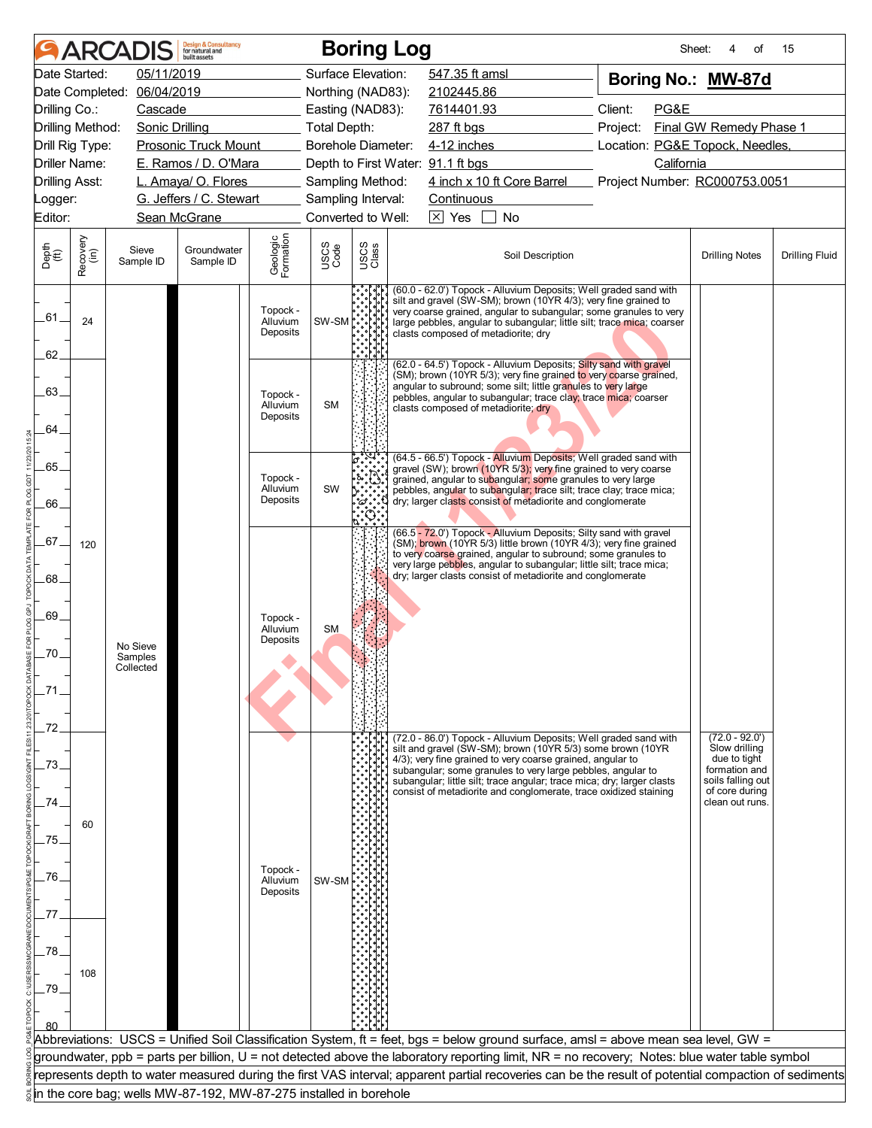|                                  |                  | <b>ARCADIS</b>                   | <b>Design &amp; Consultancy</b><br>for natural and<br>built assets |                                  |                     | <b>Boring Log</b>  |                                                                                                                                                                                                                                                                                                                                                                                                           | Sheet:                          | 4<br>οf                                                                                                                     | 15                    |
|----------------------------------|------------------|----------------------------------|--------------------------------------------------------------------|----------------------------------|---------------------|--------------------|-----------------------------------------------------------------------------------------------------------------------------------------------------------------------------------------------------------------------------------------------------------------------------------------------------------------------------------------------------------------------------------------------------------|---------------------------------|-----------------------------------------------------------------------------------------------------------------------------|-----------------------|
| Date Started:                    |                  | 05/11/2019                       |                                                                    |                                  |                     | Surface Elevation: | 547.35 ft amsl                                                                                                                                                                                                                                                                                                                                                                                            | Boring No.: MW-87d              |                                                                                                                             |                       |
| Date Completed:                  |                  | 06/04/2019                       |                                                                    |                                  |                     | Northing (NAD83):  | 2102445.86                                                                                                                                                                                                                                                                                                                                                                                                |                                 |                                                                                                                             |                       |
| Drilling Co.:                    |                  | Cascade                          |                                                                    |                                  |                     | Easting (NAD83):   | 7614401.93                                                                                                                                                                                                                                                                                                                                                                                                | Client:<br>PG&E                 |                                                                                                                             |                       |
| Drilling Method:                 |                  | <b>Sonic Drilling</b>            |                                                                    |                                  | <b>Total Depth:</b> |                    | 287 ft bgs                                                                                                                                                                                                                                                                                                                                                                                                | Project:                        | Final GW Remedy Phase 1                                                                                                     |                       |
| Drill Rig Type:                  |                  |                                  | <b>Prosonic Truck Mount</b>                                        |                                  |                     | Borehole Diameter: | 4-12 inches                                                                                                                                                                                                                                                                                                                                                                                               | Location: PG&E Topock, Needles, |                                                                                                                             |                       |
| Driller Name:                    |                  |                                  | E. Ramos / D. O'Mara                                               |                                  |                     |                    | Depth to First Water: 91.1 ft bgs                                                                                                                                                                                                                                                                                                                                                                         | California                      |                                                                                                                             |                       |
| Drilling Asst:                   |                  |                                  | L. Amaya/ O. Flores                                                |                                  |                     | Sampling Method:   | 4 inch x 10 ft Core Barrel                                                                                                                                                                                                                                                                                                                                                                                | Project Number: RC000753.0051   |                                                                                                                             |                       |
| _ogger:                          |                  |                                  | G. Jeffers / C. Stewart                                            |                                  |                     | Sampling Interval: | Continuous                                                                                                                                                                                                                                                                                                                                                                                                |                                 |                                                                                                                             |                       |
| Editor:                          |                  |                                  | Sean McGrane                                                       |                                  |                     | Converted to Well: | $\boxtimes$ Yes<br>$\perp$<br>No                                                                                                                                                                                                                                                                                                                                                                          |                                 |                                                                                                                             |                       |
| Depth<br>(ft)                    | Recovery<br>(in) | Sieve<br>Sample ID               | Groundwater<br>Sample ID                                           | Geologic<br>Formation            | USCS<br>Code        | USCS<br>Class      | Soil Description                                                                                                                                                                                                                                                                                                                                                                                          |                                 | <b>Drilling Notes</b>                                                                                                       | <b>Drilling Fluid</b> |
| .61.<br>62.                      | 24               |                                  |                                                                    | Topock -<br>Alluvium<br>Deposits | SW-SM               |                    | (60.0 - 62.0') Topock - Alluvium Deposits; Well graded sand with<br>silt and gravel (SW-SM); brown (10YR 4/3); very fine grained to<br>very coarse grained, angular to subangular; some granules to very<br>large pebbles, angular to subangular; little silt; trace mica; coarser<br>clasts composed of metadiorite; dry                                                                                 |                                 |                                                                                                                             |                       |
| 63.<br>64.                       |                  |                                  |                                                                    | Topock -<br>Alluvium<br>Deposits | <b>SM</b>           |                    | (62.0 - 64.5') Topock - Alluvium Deposits; Silty sand with gravel<br>(SM); brown (10YR 5/3); very fine grained to very coarse grained,<br>angular to subround; some silt; little granules to very large<br>pebbles, angular to subangular; trace clay; trace mica; coarser<br>clasts composed of metadiorite; dry                                                                                         |                                 |                                                                                                                             |                       |
| 65.<br>66.                       |                  |                                  |                                                                    | Topock -<br>Alluvium<br>Deposits | SW                  | 'ది .              | (64.5 - 66.5') Topock - Alluvium Deposits; Well graded sand with<br>gravel (SW); brown (10YR 5/3); very fine grained to very coarse<br>grained, angular to subangular; some granules to very large<br>pebbles, angular to subangular; trace silt; trace clay; trace mica;<br>dry; larger clasts consist of metadiorite and conglomerate                                                                   |                                 |                                                                                                                             |                       |
| .67.<br>68.<br>69.<br>70.<br>72. | 120              | No Sieve<br>Samples<br>Collected |                                                                    | Topock -<br>Alluvium<br>Deposits | <b>SM</b>           |                    | (66.5 - 72.0') Topock - Alluvium Deposits; Silty sand with gravel<br>(SM); brown (10YR 5/3) little brown (10YR 4/3); very fine grained<br>to very coarse grained, angular to subround; some granules to<br>very large pebbles, angular to subangular; little silt; trace mica;<br>dry; larger clasts consist of metadiorite and conglomerate                                                              |                                 |                                                                                                                             |                       |
| 73.<br>74.<br>75.<br>.76.<br>77  | 60               |                                  |                                                                    | Topock -<br>Alluvium<br>Deposits | SW-SM               |                    | (72.0 - 86.0') Topock - Alluvium Deposits; Well graded sand with<br>silt and gravel (SW-SM); brown (10YR 5/3) some brown (10YR<br>4/3); very fine grained to very coarse grained, angular to<br>subangular; some granules to very large pebbles, angular to<br>subangular; little silt; trace angular; trace mica; dry; larger clasts<br>consist of metadiorite and conglomerate, trace oxidized staining |                                 | $(72.0 - 92.0)$<br>Slow drilling<br>due to tight<br>formation and<br>soils falling out<br>of core during<br>clean out runs. |                       |
| .78<br>79.                       | 108              |                                  |                                                                    |                                  |                     |                    | Abbreviations: USCS = Unified Soil Classification System, ft = feet, bgs = below ground surface, amsl = above mean sea level, GW =                                                                                                                                                                                                                                                                        |                                 |                                                                                                                             |                       |
|                                  |                  |                                  |                                                                    |                                  |                     |                    | groundwater, ppb = parts per billion, U = not detected above the laboratory reporting limit, NR = no recovery; Notes: blue water table symbol                                                                                                                                                                                                                                                             |                                 |                                                                                                                             |                       |
|                                  |                  |                                  |                                                                    |                                  |                     |                    | represents depth to water measured during the first VAS interval; apparent partial recoveries can be the result of potential compaction of sediments                                                                                                                                                                                                                                                      |                                 |                                                                                                                             |                       |
|                                  |                  |                                  | in the core bag; wells MW-87-192, MW-87-275 installed in borehole  |                                  |                     |                    |                                                                                                                                                                                                                                                                                                                                                                                                           |                                 |                                                                                                                             |                       |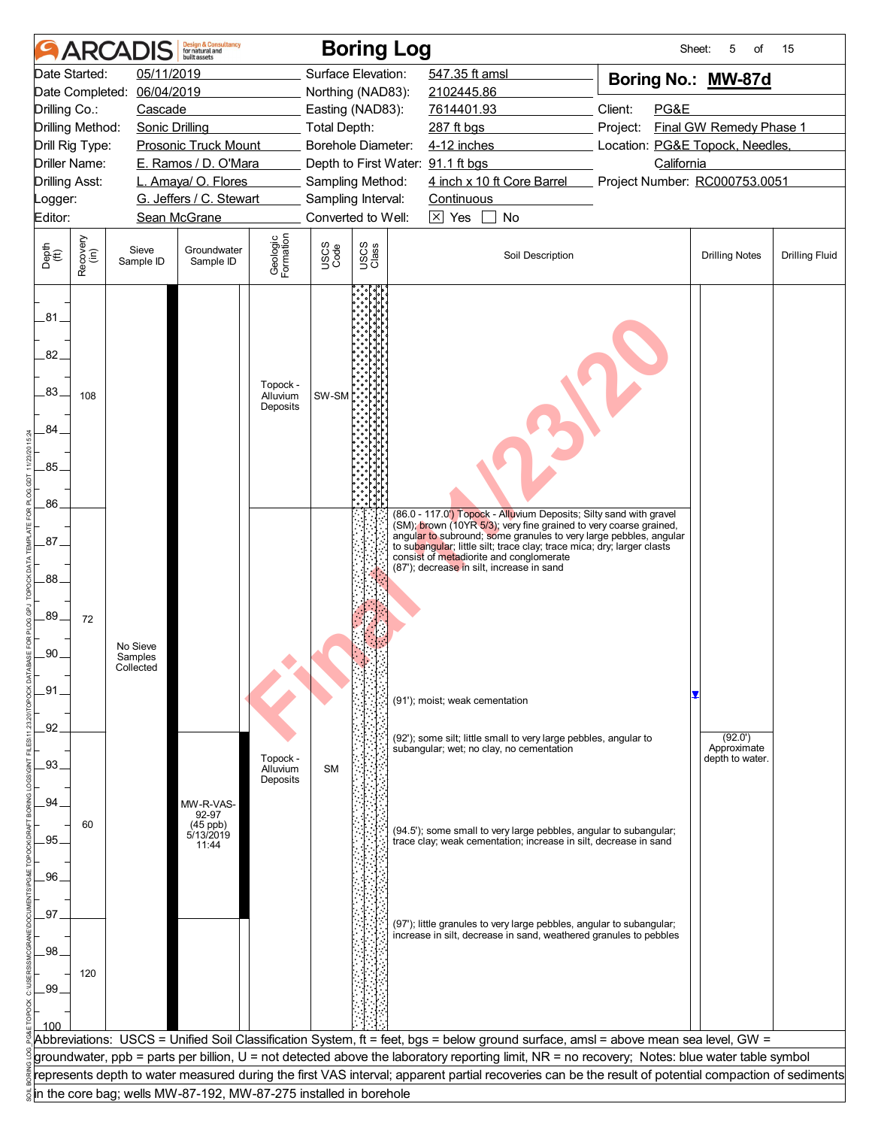|                             |                      | <b>ARCADIS</b>        | <b>Design &amp; Consultancy</b><br>for natural and<br><b>built</b> assets |                                  |              | <b>Boring Log</b>                 |                                                                                                                                                      | Sheet:                          | 5<br>of                 | 15                    |
|-----------------------------|----------------------|-----------------------|---------------------------------------------------------------------------|----------------------------------|--------------|-----------------------------------|------------------------------------------------------------------------------------------------------------------------------------------------------|---------------------------------|-------------------------|-----------------------|
|                             | Date Started:        | 05/11/2019            |                                                                           |                                  |              | Surface Elevation:                | 547.35 ft amsl                                                                                                                                       | Boring No.: MW-87d              |                         |                       |
|                             | Date Completed:      | 06/04/2019            |                                                                           |                                  |              | Northing (NAD83):                 | 2102445.86                                                                                                                                           |                                 |                         |                       |
| Drilling Co.:               |                      | Cascade               |                                                                           |                                  |              | Easting (NAD83):                  | 7614401.93                                                                                                                                           | PG&E<br>Client:                 |                         |                       |
|                             | Drilling Method:     | <b>Sonic Drilling</b> |                                                                           |                                  | Total Depth: |                                   | 287 ft bgs                                                                                                                                           | Project:                        | Final GW Remedy Phase 1 |                       |
|                             | Drill Rig Type:      |                       | <b>Prosonic Truck Mount</b>                                               |                                  |              | Borehole Diameter:                | 4-12 inches                                                                                                                                          | Location: PG&E Topock, Needles, |                         |                       |
|                             | <b>Driller Name:</b> |                       | E. Ramos / D. O'Mara                                                      |                                  |              | Depth to First Water: 91.1 ft bgs |                                                                                                                                                      | California                      |                         |                       |
| <b>Drilling Asst:</b>       |                      |                       | L. Amaya/ O. Flores                                                       |                                  |              | Sampling Method:                  | 4 inch x 10 ft Core Barrel                                                                                                                           | Project Number: RC000753.0051   |                         |                       |
| Logger:                     |                      |                       | G. Jeffers / C. Stewart                                                   |                                  |              | Sampling Interval:                | Continuous                                                                                                                                           |                                 |                         |                       |
| Editor:                     |                      |                       | Sean McGrane                                                              |                                  |              | Converted to Well:                | $\boxed{\times}$ Yes<br>No                                                                                                                           |                                 |                         |                       |
| Depth<br>$\widetilde{f(t)}$ | Recovery<br>(in)     | Sieve<br>Sample ID    | Groundwater<br>Sample ID                                                  | Geologic<br>Formation            | USCS<br>Code | USCS<br>Class                     | Soil Description                                                                                                                                     |                                 | <b>Drilling Notes</b>   | <b>Drilling Fluid</b> |
| 281<br>82.                  |                      |                       |                                                                           |                                  |              |                                   |                                                                                                                                                      |                                 |                         |                       |
| .83.                        | 108                  |                       |                                                                           | Topock -<br>Alluvium<br>Deposits | SW-SM        |                                   |                                                                                                                                                      |                                 |                         |                       |
| 84.                         |                      |                       |                                                                           |                                  |              |                                   |                                                                                                                                                      |                                 |                         |                       |
| .85.                        |                      |                       |                                                                           |                                  |              |                                   |                                                                                                                                                      |                                 |                         |                       |
|                             |                      |                       |                                                                           |                                  |              |                                   |                                                                                                                                                      |                                 |                         |                       |
| .86.                        |                      |                       |                                                                           |                                  |              |                                   |                                                                                                                                                      |                                 |                         |                       |
|                             |                      |                       |                                                                           |                                  |              |                                   | (86.0 - 117.0 <sup>'</sup> ) Topock - Alluvium Deposits; Silty sand with gravel<br>(SM); brown (10YR 5/3); very fine grained to very coarse grained, |                                 |                         |                       |
| .87.                        |                      |                       |                                                                           |                                  |              |                                   | angular to subround; some granules to very large pebbles, angular<br>to subangular; little silt; trace clay; trace mica; dry; larger clasts          |                                 |                         |                       |
|                             |                      |                       |                                                                           |                                  |              |                                   | consist of metadiorite and conglomerate<br>(87'); decrease in silt, increase in sand                                                                 |                                 |                         |                       |
| .88                         |                      |                       |                                                                           |                                  |              |                                   |                                                                                                                                                      |                                 |                         |                       |
|                             |                      |                       |                                                                           |                                  |              |                                   |                                                                                                                                                      |                                 |                         |                       |
| .89.                        | 72                   |                       |                                                                           |                                  |              |                                   |                                                                                                                                                      |                                 |                         |                       |
|                             |                      | No Sieve              |                                                                           |                                  |              |                                   |                                                                                                                                                      |                                 |                         |                       |
| .90.                        |                      | Samples<br>Collected  |                                                                           |                                  |              |                                   |                                                                                                                                                      |                                 |                         |                       |
| .91                         |                      |                       |                                                                           |                                  |              |                                   |                                                                                                                                                      |                                 |                         |                       |
|                             |                      |                       |                                                                           |                                  |              |                                   | (91'); moist; weak cementation                                                                                                                       |                                 |                         |                       |
| .92                         |                      |                       |                                                                           |                                  |              |                                   |                                                                                                                                                      |                                 |                         |                       |
|                             |                      |                       |                                                                           |                                  |              |                                   | (92'); some silt; little small to very large pebbles, angular to<br>subangular; wet; no clay, no cementation                                         |                                 | (92.0')<br>Approximate  |                       |
| .93.                        |                      |                       |                                                                           | Topock -<br>Alluvium             | <b>SM</b>    |                                   |                                                                                                                                                      |                                 | depth to water.         |                       |
|                             |                      |                       |                                                                           | Deposits                         |              |                                   |                                                                                                                                                      |                                 |                         |                       |
| .94                         |                      |                       | MW-R-VAS-                                                                 |                                  |              |                                   |                                                                                                                                                      |                                 |                         |                       |
|                             | 60                   |                       | 92-97                                                                     |                                  |              |                                   |                                                                                                                                                      |                                 |                         |                       |
| .95.                        |                      |                       | (45 ppb)<br>5/13/2019<br>11:44                                            |                                  |              |                                   | (94.5'); some small to very large pebbles, angular to subangular;<br>trace clay; weak cementation; increase in silt, decrease in sand                |                                 |                         |                       |
|                             |                      |                       |                                                                           |                                  |              |                                   |                                                                                                                                                      |                                 |                         |                       |
| .96.                        |                      |                       |                                                                           |                                  |              |                                   |                                                                                                                                                      |                                 |                         |                       |
|                             |                      |                       |                                                                           |                                  |              |                                   |                                                                                                                                                      |                                 |                         |                       |
| .97.                        |                      |                       |                                                                           |                                  |              |                                   | (97'); little granules to very large pebbles, angular to subangular;                                                                                 |                                 |                         |                       |
|                             |                      |                       |                                                                           |                                  |              |                                   | increase in silt, decrease in sand, weathered granules to pebbles                                                                                    |                                 |                         |                       |
| .98                         |                      |                       |                                                                           |                                  |              |                                   |                                                                                                                                                      |                                 |                         |                       |
|                             | 120                  |                       |                                                                           |                                  |              |                                   |                                                                                                                                                      |                                 |                         |                       |
| .99                         |                      |                       |                                                                           |                                  |              |                                   |                                                                                                                                                      |                                 |                         |                       |
|                             |                      |                       |                                                                           |                                  |              |                                   |                                                                                                                                                      |                                 |                         |                       |
|                             |                      |                       |                                                                           |                                  |              |                                   | Abbreviations: USCS = Unified Soil Classification System, ft = feet, bgs = below ground surface, amsl = above mean sea level, GW =                   |                                 |                         |                       |
|                             |                      |                       |                                                                           |                                  |              |                                   | groundwater, ppb = parts per billion, U = not detected above the laboratory reporting limit, NR = no recovery; Notes: blue water table symbol        |                                 |                         |                       |
|                             |                      |                       |                                                                           |                                  |              |                                   | represents depth to water measured during the first VAS interval; apparent partial recoveries can be the result of potential compaction of sediments |                                 |                         |                       |
|                             |                      |                       | in the core bag; wells MW-87-192, MW-87-275 installed in borehole         |                                  |              |                                   |                                                                                                                                                      |                                 |                         |                       |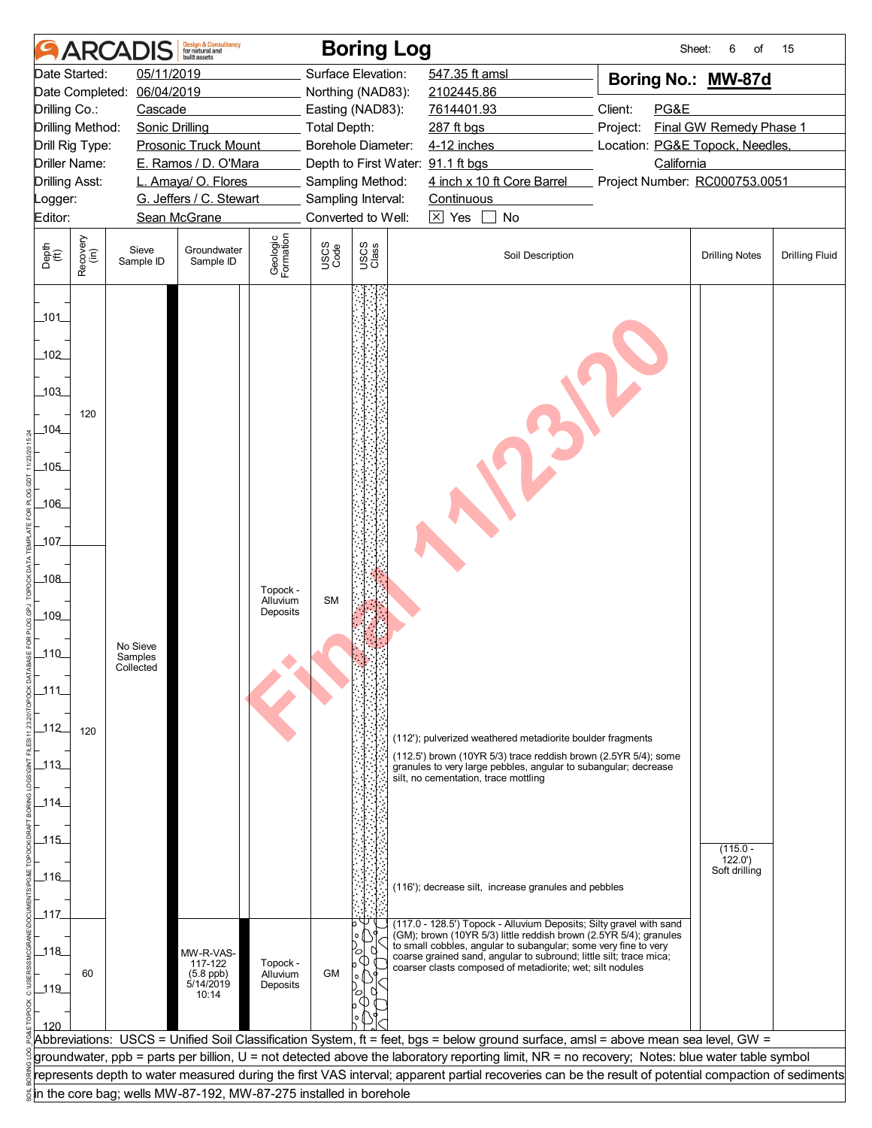|                                                                |                       | <b>ARCADIS</b>                   | <b>Design &amp; Consultancy</b><br>for natural and<br><b>built</b> assets |                                  |              | <b>Boring Log</b>                 |                                                                                                                                                                                                                                                                                                                                                                                                                                                                                      | Sheet:                          | 6<br>of                               | 15                    |
|----------------------------------------------------------------|-----------------------|----------------------------------|---------------------------------------------------------------------------|----------------------------------|--------------|-----------------------------------|--------------------------------------------------------------------------------------------------------------------------------------------------------------------------------------------------------------------------------------------------------------------------------------------------------------------------------------------------------------------------------------------------------------------------------------------------------------------------------------|---------------------------------|---------------------------------------|-----------------------|
|                                                                | Date Started:         | 05/11/2019                       |                                                                           |                                  |              | Surface Elevation:                | 547.35 ft amsl                                                                                                                                                                                                                                                                                                                                                                                                                                                                       | Boring No.: MW-87d              |                                       |                       |
|                                                                | Date Completed:       | 06/04/2019                       |                                                                           |                                  |              | Northing (NAD83):                 | 2102445.86                                                                                                                                                                                                                                                                                                                                                                                                                                                                           |                                 |                                       |                       |
| Drilling Co.:                                                  |                       | Cascade                          |                                                                           |                                  |              | Easting (NAD83):                  | 7614401.93                                                                                                                                                                                                                                                                                                                                                                                                                                                                           | Client:<br>PG&E                 |                                       |                       |
|                                                                | Drilling Method:      | <b>Sonic Drilling</b>            |                                                                           |                                  | Total Depth: |                                   | 287 ft bgs                                                                                                                                                                                                                                                                                                                                                                                                                                                                           | Project:                        | Final GW Remedy Phase 1               |                       |
|                                                                | Drill Rig Type:       |                                  | <b>Prosonic Truck Mount</b>                                               |                                  |              | Borehole Diameter:                | 4-12 inches                                                                                                                                                                                                                                                                                                                                                                                                                                                                          | Location: PG&E Topock, Needles, |                                       |                       |
|                                                                | Driller Name:         |                                  | E. Ramos / D. O'Mara                                                      |                                  |              | Depth to First Water: 91.1 ft bgs |                                                                                                                                                                                                                                                                                                                                                                                                                                                                                      | California                      |                                       |                       |
|                                                                | <b>Drilling Asst:</b> |                                  | L. Amaya/ O. Flores                                                       |                                  |              | Sampling Method:                  | 4 inch x 10 ft Core Barrel                                                                                                                                                                                                                                                                                                                                                                                                                                                           | Project Number: RC000753.0051   |                                       |                       |
| _ogger:                                                        |                       |                                  | G. Jeffers / C. Stewart                                                   |                                  |              | Sampling Interval:                | Continuous                                                                                                                                                                                                                                                                                                                                                                                                                                                                           |                                 |                                       |                       |
| Editor:                                                        |                       |                                  | Sean McGrane                                                              |                                  |              | Converted to Well:                | $\boxtimes$ Yes<br>No<br>$\Box$                                                                                                                                                                                                                                                                                                                                                                                                                                                      |                                 |                                       |                       |
| Depth<br>(ft)                                                  | Recovery<br>(in)      | Sieve<br>Sample ID               | Groundwater<br>Sample ID                                                  | Geologic<br>Formation            | USCS<br>Code | USCS<br>Class                     | Soil Description                                                                                                                                                                                                                                                                                                                                                                                                                                                                     |                                 | <b>Drilling Notes</b>                 | <b>Drilling Fluid</b> |
| 101<br>102<br>103<br>104<br>105<br>106<br>107<br>108<br>$-109$ | 120                   |                                  |                                                                           | Topock -<br>Alluvium<br>Deposits | <b>SM</b>    |                                   |                                                                                                                                                                                                                                                                                                                                                                                                                                                                                      |                                 |                                       |                       |
| $\_110$<br>_111_<br>_112_<br>_113_<br>$-114$<br>115<br>116     | 120                   | No Sieve<br>Samples<br>Collected |                                                                           |                                  |              |                                   | (112'); pulverized weathered metadiorite boulder fragments<br>(112.5') brown (10YR 5/3) trace reddish brown (2.5YR 5/4); some<br>granules to very large pebbles, angular to subangular; decrease<br>silt, no cementation, trace mottling<br>(116'); decrease silt, increase granules and pebbles                                                                                                                                                                                     |                                 | $(115.0 -$<br>122.0'<br>Soft drilling |                       |
| _117_<br>118<br>$-119$<br>120                                  | 60                    |                                  | MW-R-VAS-<br>117-122<br>$(5.8$ ppb)<br>5/14/2019<br>10:14                 | Topock -<br>Alluvium<br>Deposits | <b>GM</b>    |                                   | (117.0 - 128.5') Topock - Alluvium Deposits; Silty gravel with sand<br>(GM); brown (10YR 5/3) little reddish brown (2.5YR 5/4); granules<br>to small cobbles, angular to subangular; some very fine to very<br>coarse grained sand, angular to subround; little silt; trace mica;<br>coarser clasts composed of metadiorite; wet; silt nodules<br>Abbreviations: USCS = Unified Soil Classification System, ft = feet, bgs = below ground surface, amsl = above mean sea level, GW = |                                 |                                       |                       |
|                                                                |                       |                                  |                                                                           |                                  |              |                                   | groundwater, ppb = parts per billion, U = not detected above the laboratory reporting limit, NR = no recovery; Notes: blue water table symbol                                                                                                                                                                                                                                                                                                                                        |                                 |                                       |                       |
|                                                                |                       |                                  |                                                                           |                                  |              |                                   | represents depth to water measured during the first VAS interval; apparent partial recoveries can be the result of potential compaction of sediments                                                                                                                                                                                                                                                                                                                                 |                                 |                                       |                       |
|                                                                |                       |                                  | in the core bag; wells MW-87-192, MW-87-275 installed in borehole         |                                  |              |                                   |                                                                                                                                                                                                                                                                                                                                                                                                                                                                                      |                                 |                                       |                       |
|                                                                |                       |                                  |                                                                           |                                  |              |                                   |                                                                                                                                                                                                                                                                                                                                                                                                                                                                                      |                                 |                                       |                       |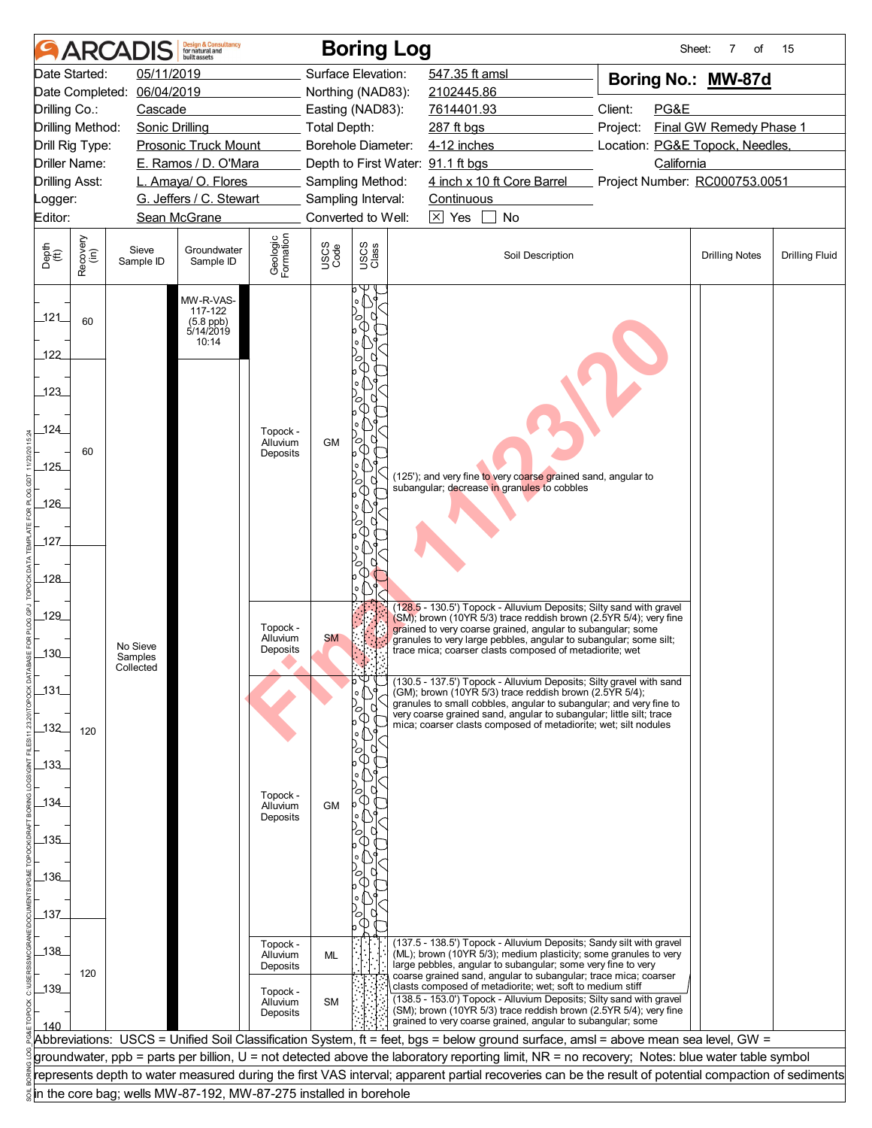|                       | <b>ARCAI</b>         |                       | <b>Design &amp; Consultancy</b><br>for natural and<br><b>built</b> assets |                       |              | <b>Boring Log</b>                 |                                                                                                                                                      | Sheet:                          | 7<br>οf                 | 15                    |
|-----------------------|----------------------|-----------------------|---------------------------------------------------------------------------|-----------------------|--------------|-----------------------------------|------------------------------------------------------------------------------------------------------------------------------------------------------|---------------------------------|-------------------------|-----------------------|
|                       | Date Started:        | 05/11/2019            |                                                                           |                       |              | Surface Elevation:                | 547.35 ft amsl                                                                                                                                       | Boring No.: MW-87d              |                         |                       |
|                       | Date Completed:      | 06/04/2019            |                                                                           |                       |              | Northing (NAD83):                 | 2102445.86                                                                                                                                           |                                 |                         |                       |
| Drilling Co.:         |                      | Cascade               |                                                                           |                       |              | Easting (NAD83):                  | 7614401.93                                                                                                                                           | Client:<br>PG&E                 |                         |                       |
|                       | Drilling Method:     | <b>Sonic Drilling</b> |                                                                           |                       | Total Depth: |                                   | 287 ft bgs                                                                                                                                           | Project:                        | Final GW Remedy Phase 1 |                       |
|                       | Drill Rig Type:      |                       | <b>Prosonic Truck Mount</b>                                               |                       |              | Borehole Diameter:                | 4-12 inches                                                                                                                                          | Location: PG&E Topock, Needles, |                         |                       |
|                       | <b>Driller Name:</b> |                       | E. Ramos / D. O'Mara                                                      |                       |              | Depth to First Water: 91.1 ft bgs |                                                                                                                                                      | California                      |                         |                       |
| <b>Drilling Asst:</b> |                      |                       | L. Amaya/ O. Flores                                                       |                       |              | Sampling Method:                  | 4 inch x 10 ft Core Barrel                                                                                                                           | Project Number: RC000753.0051   |                         |                       |
| Logger:               |                      |                       | G. Jeffers / C. Stewart                                                   |                       |              | Sampling Interval:                | Continuous                                                                                                                                           |                                 |                         |                       |
| Editor:               |                      |                       | Sean McGrane                                                              |                       |              | Converted to Well:                | $\boxed{\times}$ Yes<br><b>No</b>                                                                                                                    |                                 |                         |                       |
| Depth<br>(ft)         | Recovery<br>(in)     | Sieve<br>Sample ID    | Groundwater<br>Sample ID                                                  | Geologic<br>Formation | USCS<br>Code | USCS<br>Class                     | Soil Description                                                                                                                                     |                                 | <b>Drilling Notes</b>   | <b>Drilling Fluid</b> |
| $-121$<br>122         | 60                   |                       | MW-R-VAS-<br>117-122<br>$(5.8$ ppb)<br>5/14/2019<br>10:14                 |                       |              |                                   |                                                                                                                                                      |                                 |                         |                       |
|                       |                      |                       |                                                                           |                       |              |                                   |                                                                                                                                                      |                                 |                         |                       |
| .123                  |                      |                       |                                                                           |                       |              |                                   |                                                                                                                                                      |                                 |                         |                       |
|                       |                      |                       |                                                                           |                       |              |                                   |                                                                                                                                                      |                                 |                         |                       |
| 124                   |                      |                       |                                                                           | Topock -              |              |                                   |                                                                                                                                                      |                                 |                         |                       |
|                       | 60                   |                       |                                                                           | Alluvium<br>Deposits  | <b>GM</b>    |                                   |                                                                                                                                                      |                                 |                         |                       |
| $-125$                |                      |                       |                                                                           |                       |              |                                   |                                                                                                                                                      |                                 |                         |                       |
|                       |                      |                       |                                                                           |                       |              |                                   | (125'); and very fine to very coarse grained sand, angular to<br>subangular; decrease in granules to cobbles                                         |                                 |                         |                       |
| 126                   |                      |                       |                                                                           |                       |              |                                   |                                                                                                                                                      |                                 |                         |                       |
|                       |                      |                       |                                                                           |                       |              |                                   |                                                                                                                                                      |                                 |                         |                       |
| _127_                 |                      |                       |                                                                           |                       |              |                                   |                                                                                                                                                      |                                 |                         |                       |
|                       |                      |                       |                                                                           |                       |              |                                   |                                                                                                                                                      |                                 |                         |                       |
| _128_                 |                      |                       |                                                                           |                       |              |                                   |                                                                                                                                                      |                                 |                         |                       |
|                       |                      |                       |                                                                           |                       |              |                                   |                                                                                                                                                      |                                 |                         |                       |
| 129                   |                      |                       |                                                                           |                       |              |                                   | (128.5 - 130.5') Topock - Alluvium Deposits; Silty sand with gravel<br>(SM); brown (10YR 5/3) trace reddish brown (2.5YR 5/4); very fine             |                                 |                         |                       |
|                       |                      |                       |                                                                           | Topock -<br>Alluvium  | <b>SM</b>    |                                   | grained to very coarse grained, angular to subangular; some<br>granules to very large pebbles, angular to subangular; some silt;                     |                                 |                         |                       |
| $-130$                |                      | No Sieve<br>Samples   |                                                                           | Deposits              |              |                                   | trace mica; coarser clasts composed of metadiorite; wet                                                                                              |                                 |                         |                       |
|                       |                      | Collected             |                                                                           |                       |              |                                   | (130.5 - 137.5') Topock - Alluvium Deposits; Silty gravel with sand                                                                                  |                                 |                         |                       |
| $-131$                |                      |                       |                                                                           |                       |              |                                   | $(GM)$ ; brown (10YR 5/3) trace reddish brown (2.5YR 5/4);                                                                                           |                                 |                         |                       |
|                       |                      |                       |                                                                           |                       |              |                                   | granules to small cobbles, angular to subangular; and very fine to<br>very coarse grained sand, angular to subangular; little silt; trace            |                                 |                         |                       |
| $-132$                | 120                  |                       |                                                                           |                       |              |                                   | mica; coarser clasts composed of metadiorite; wet; silt nodules                                                                                      |                                 |                         |                       |
|                       |                      |                       |                                                                           |                       |              |                                   |                                                                                                                                                      |                                 |                         |                       |
| $-133$                |                      |                       |                                                                           |                       |              |                                   |                                                                                                                                                      |                                 |                         |                       |
|                       |                      |                       |                                                                           | Topock -              |              |                                   |                                                                                                                                                      |                                 |                         |                       |
| _134_                 |                      |                       |                                                                           | Alluvium<br>Deposits  | <b>GM</b>    |                                   |                                                                                                                                                      |                                 |                         |                       |
|                       |                      |                       |                                                                           |                       |              |                                   |                                                                                                                                                      |                                 |                         |                       |
| 135                   |                      |                       |                                                                           |                       |              |                                   |                                                                                                                                                      |                                 |                         |                       |
|                       |                      |                       |                                                                           |                       |              |                                   |                                                                                                                                                      |                                 |                         |                       |
| _136_                 |                      |                       |                                                                           |                       |              |                                   |                                                                                                                                                      |                                 |                         |                       |
| 137                   |                      |                       |                                                                           |                       |              |                                   |                                                                                                                                                      |                                 |                         |                       |
|                       |                      |                       |                                                                           |                       |              |                                   |                                                                                                                                                      |                                 |                         |                       |
| $-138$                |                      |                       |                                                                           | Topock -              |              |                                   | (137.5 - 138.5') Topock - Alluvium Deposits; Sandy silt with gravel                                                                                  |                                 |                         |                       |
|                       |                      |                       |                                                                           | Alluvium<br>Deposits  | ML           |                                   | (ML); brown (10YR 5/3); medium plasticity; some granules to very<br>large pebbles, angular to subangular; some very fine to very                     |                                 |                         |                       |
| $-139$                | 120                  |                       |                                                                           |                       |              |                                   | coarse grained sand, angular to subangular; trace mica; coarser<br>clasts composed of metadiorite; wet; soft to medium stiff                         |                                 |                         |                       |
|                       |                      |                       |                                                                           | Topock -<br>Alluvium  | <b>SM</b>    |                                   | (138.5 - 153.0') Topock - Alluvium Deposits; Silty sand with gravel                                                                                  |                                 |                         |                       |
| 140                   |                      |                       |                                                                           | Deposits              |              |                                   | (SM); brown (10YR 5/3) trace reddish brown (2.5YR 5/4); very fine<br>grained to very coarse grained, angular to subangular; some                     |                                 |                         |                       |
|                       |                      |                       |                                                                           |                       |              |                                   | Abbreviations: USCS = Unified Soil Classification System, ft = feet, bgs = below ground surface, amsl = above mean sea level, GW =                   |                                 |                         |                       |
|                       |                      |                       |                                                                           |                       |              |                                   | groundwater, ppb = parts per billion, U = not detected above the laboratory reporting limit, NR = no recovery; Notes: blue water table symbol        |                                 |                         |                       |
|                       |                      |                       |                                                                           |                       |              |                                   | represents depth to water measured during the first VAS interval; apparent partial recoveries can be the result of potential compaction of sediments |                                 |                         |                       |
|                       |                      |                       | in the core bag; wells MW-87-192, MW-87-275 installed in borehole         |                       |              |                                   |                                                                                                                                                      |                                 |                         |                       |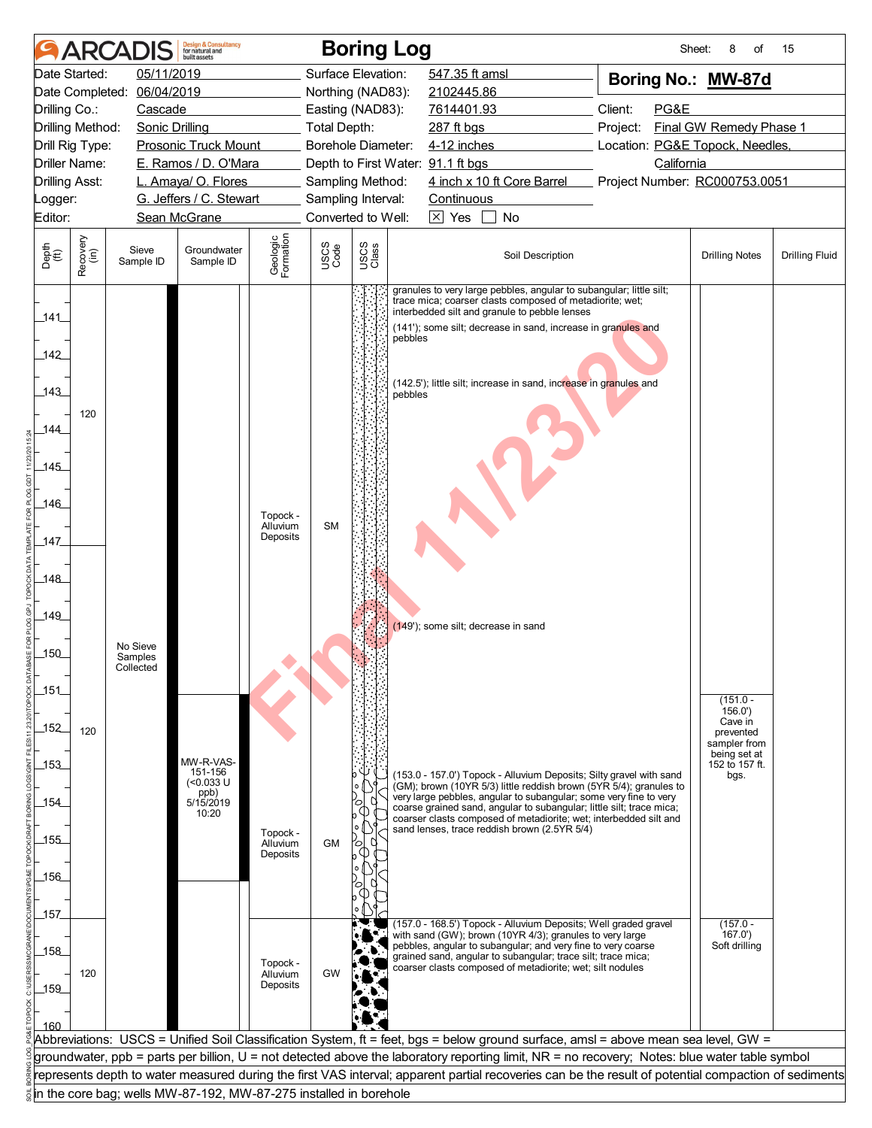|                                                      | <b>ARCA</b>      |                                  | <b>Design &amp; Consultancy</b><br>for natural and<br>huilt assets |                                  |              | <b>Boring Log</b>  |                                                                                                                                                                                                                                                                                                                                      | Sheet:                          | 8<br>οf                                                                                                | 15                    |
|------------------------------------------------------|------------------|----------------------------------|--------------------------------------------------------------------|----------------------------------|--------------|--------------------|--------------------------------------------------------------------------------------------------------------------------------------------------------------------------------------------------------------------------------------------------------------------------------------------------------------------------------------|---------------------------------|--------------------------------------------------------------------------------------------------------|-----------------------|
|                                                      | Date Started:    | 05/11/2019                       |                                                                    |                                  |              | Surface Elevation: | 547.35 ft amsl                                                                                                                                                                                                                                                                                                                       | Boring No.: MW-87d              |                                                                                                        |                       |
|                                                      | Date Completed:  | 06/04/2019                       |                                                                    |                                  |              | Northing (NAD83):  | 2102445.86                                                                                                                                                                                                                                                                                                                           |                                 |                                                                                                        |                       |
| Drilling Co.:                                        |                  | Cascade                          |                                                                    |                                  |              | Easting (NAD83):   | 7614401.93                                                                                                                                                                                                                                                                                                                           | Client:<br>PG&E                 |                                                                                                        |                       |
|                                                      | Drilling Method: | <b>Sonic Drilling</b>            |                                                                    |                                  | Total Depth: |                    | 287 ft bgs                                                                                                                                                                                                                                                                                                                           | Project:                        | Final GW Remedy Phase 1                                                                                |                       |
|                                                      | Drill Rig Type:  |                                  | <b>Prosonic Truck Mount</b>                                        |                                  |              | Borehole Diameter: | 4-12 inches                                                                                                                                                                                                                                                                                                                          | Location: PG&E Topock, Needles, |                                                                                                        |                       |
|                                                      | Driller Name:    |                                  | E. Ramos / D. O'Mara                                               |                                  |              |                    | Depth to First Water: 91.1 ft bgs                                                                                                                                                                                                                                                                                                    | California                      |                                                                                                        |                       |
| Drilling Asst:                                       |                  |                                  | L. Amaya/ O. Flores                                                |                                  |              | Sampling Method:   | 4 inch x 10 ft Core Barrel                                                                                                                                                                                                                                                                                                           | Project Number: RC000753.0051   |                                                                                                        |                       |
| _ogger:                                              |                  |                                  | G. Jeffers / C. Stewart                                            |                                  |              | Sampling Interval: | Continuous                                                                                                                                                                                                                                                                                                                           |                                 |                                                                                                        |                       |
| Editor:                                              |                  |                                  | Sean McGrane                                                       |                                  |              | Converted to Well: | $\overline{\times}$ Yes<br>No<br>$\Box$                                                                                                                                                                                                                                                                                              |                                 |                                                                                                        |                       |
| Depth<br>(ft)                                        | Recovery<br>(in) | Sieve<br>Sample ID               | Groundwater<br>Sample ID                                           | Geologic<br>Formation            | USCS<br>Code | USCS<br>Class      | Soil Description                                                                                                                                                                                                                                                                                                                     |                                 | <b>Drilling Notes</b>                                                                                  | <b>Drilling Fluid</b> |
| 141<br>142<br>143<br>144<br>145<br>146<br>147<br>148 | 120              |                                  |                                                                    | Topock -<br>Alluvium<br>Deposits | <b>SM</b>    | pebbles<br>pebbles | granules to very large pebbles, angular to subangular; little silt;<br>trace mica; coarser clasts composed of metadiorite; wet;<br>interbedded silt and granule to pebble lenses<br>(141'); some silt; decrease in sand, increase in granules and<br>(142.5'); little silt; increase in sand, increase in granules and               |                                 |                                                                                                        |                       |
| 149<br>150<br>151<br>152<br>153                      | 120              | No Sieve<br>Samples<br>Collected | MW-R-VAS-<br>151-156                                               |                                  |              |                    | (149'); some silt; decrease in sand<br>(153.0 - 157.0') Topock - Alluvium Deposits; Silty gravel with sand                                                                                                                                                                                                                           |                                 | $(151.0 -$<br>156.0'<br>Cave in<br>prevented<br>sampler from<br>being set at<br>152 to 157 ft.<br>bgs. |                       |
| 154<br>155<br>_156_                                  |                  |                                  | $(0.033 \text{ U}$<br>ppb)<br>5/15/2019<br>10:20                   | Topock -<br>Alluvium<br>Deposits | <b>GM</b>    |                    | (GM); brown (10YR 5/3) little reddish brown (5YR 5/4); granules to<br>very large pebbles, angular to subangular; some very fine to very<br>coarse grained sand, angular to subangular; little silt; trace mica;<br>coarser clasts composed of metadiorite; wet; interbedded silt and<br>sand lenses, trace reddish brown (2.5YR 5/4) |                                 |                                                                                                        |                       |
|                                                      |                  |                                  |                                                                    |                                  |              |                    |                                                                                                                                                                                                                                                                                                                                      |                                 |                                                                                                        |                       |
| 157                                                  |                  |                                  |                                                                    |                                  |              |                    | (157.0 - 168.5') Topock - Alluvium Deposits; Well graded gravel                                                                                                                                                                                                                                                                      |                                 | $(157.0 -$                                                                                             |                       |
| 158<br>159<br>160                                    | 120              |                                  |                                                                    | Topock -<br>Alluvium<br>Deposits | GW           |                    | with sand (GW); brown (10YR 4/3); granules to very large<br>pebbles, angular to subangular; and very fine to very coarse<br>grained sand, angular to subangular; trace silt; trace mica;<br>coarser clasts composed of metadiorite; wet; silt nodules                                                                                |                                 | 167.0'<br>Soft drilling                                                                                |                       |
|                                                      |                  |                                  |                                                                    |                                  |              |                    | Abbreviations: USCS = Unified Soil Classification System, ft = feet, bgs = below ground surface, amsl = above mean sea level, GW =                                                                                                                                                                                                   |                                 |                                                                                                        |                       |
|                                                      |                  |                                  |                                                                    |                                  |              |                    | groundwater, ppb = parts per billion, U = not detected above the laboratory reporting limit, NR = no recovery; Notes: blue water table symbol                                                                                                                                                                                        |                                 |                                                                                                        |                       |
|                                                      |                  |                                  |                                                                    |                                  |              |                    | represents depth to water measured during the first VAS interval; apparent partial recoveries can be the result of potential compaction of sediments                                                                                                                                                                                 |                                 |                                                                                                        |                       |
|                                                      |                  |                                  | in the core bag; wells MW-87-192, MW-87-275 installed in borehole  |                                  |              |                    |                                                                                                                                                                                                                                                                                                                                      |                                 |                                                                                                        |                       |
|                                                      |                  |                                  |                                                                    |                                  |              |                    |                                                                                                                                                                                                                                                                                                                                      |                                 |                                                                                                        |                       |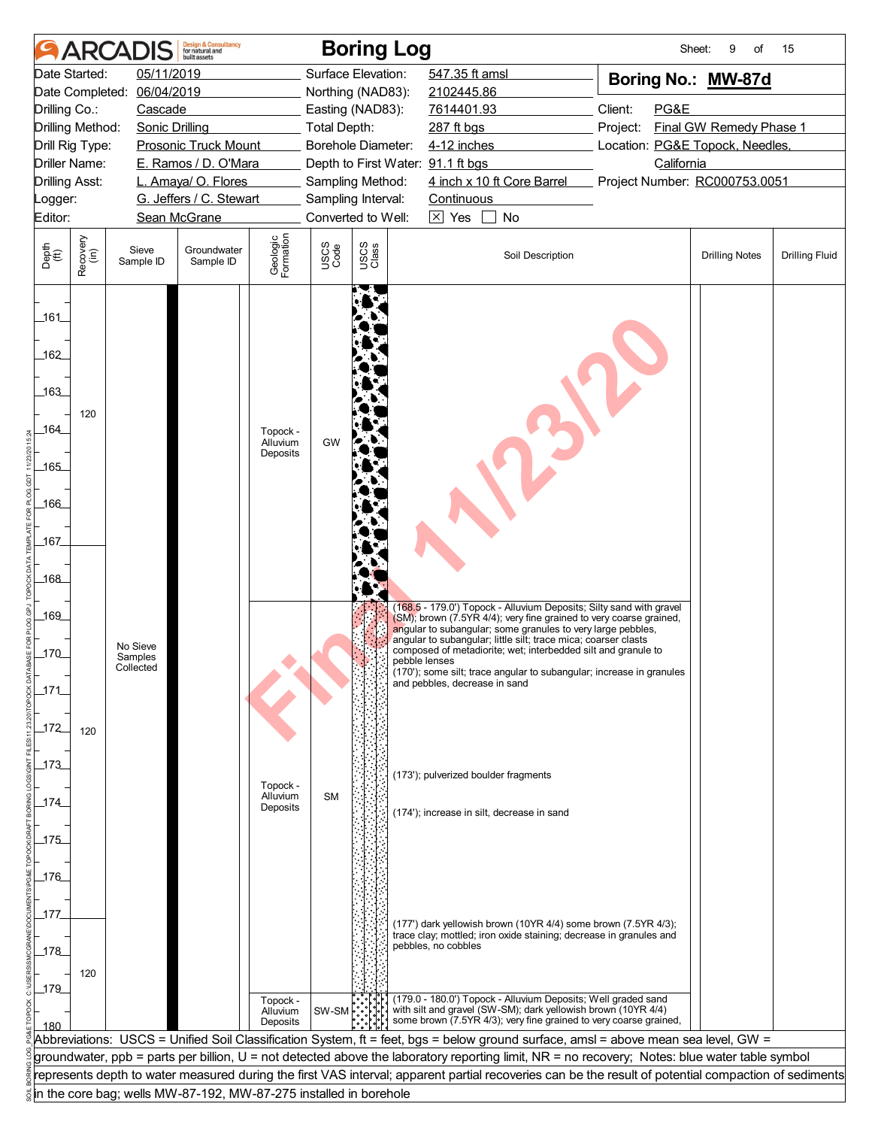|                             |                                         | <b>ARCADIS</b>                                                    | <b>Design &amp; Consultancy</b><br>for natural and<br><b>built</b> assets |                       |              | <b>Boring Log</b>                                     |                                                                                                                                                                                                          | Sheet:                                        | 9<br>of                 | 15                    |
|-----------------------------|-----------------------------------------|-------------------------------------------------------------------|---------------------------------------------------------------------------|-----------------------|--------------|-------------------------------------------------------|----------------------------------------------------------------------------------------------------------------------------------------------------------------------------------------------------------|-----------------------------------------------|-------------------------|-----------------------|
|                             | Date Started:                           | 05/11/2019                                                        |                                                                           |                       |              | Surface Elevation:                                    | 547.35 ft amsl                                                                                                                                                                                           | Boring No.: MW-87d                            |                         |                       |
|                             | Date Completed:                         | 06/04/2019                                                        |                                                                           |                       |              | Northing (NAD83):                                     | 2102445.86                                                                                                                                                                                               |                                               |                         |                       |
| Drilling Co.:               |                                         | Cascade                                                           |                                                                           |                       |              | Easting (NAD83):                                      | 7614401.93                                                                                                                                                                                               | Client:<br>PG&E                               |                         |                       |
|                             | Drilling Method:                        | <b>Sonic Drilling</b>                                             |                                                                           |                       | Total Depth: |                                                       | 287 ft bgs                                                                                                                                                                                               | Project:                                      | Final GW Remedy Phase 1 |                       |
|                             | Drill Rig Type:<br><b>Driller Name:</b> |                                                                   | <b>Prosonic Truck Mount</b><br>E. Ramos / D. O'Mara                       |                       |              | Borehole Diameter:                                    | 4-12 inches                                                                                                                                                                                              | Location: PG&E Topock, Needles,<br>California |                         |                       |
|                             | <b>Drilling Asst:</b>                   |                                                                   | L. Amaya/ O. Flores                                                       |                       |              | Depth to First Water: 91.1 ft bgs<br>Sampling Method: | 4 inch x 10 ft Core Barrel                                                                                                                                                                               | Project Number: RC000753.0051                 |                         |                       |
| Logger:                     |                                         |                                                                   | G. Jeffers / C. Stewart                                                   |                       |              | Sampling Interval:                                    | Continuous                                                                                                                                                                                               |                                               |                         |                       |
| Editor:                     |                                         |                                                                   | Sean McGrane                                                              |                       |              | Converted to Well:                                    | $ \overline{X} $ Yes<br>No                                                                                                                                                                               |                                               |                         |                       |
|                             |                                         |                                                                   |                                                                           |                       |              |                                                       |                                                                                                                                                                                                          |                                               |                         |                       |
| Depth<br>$\widetilde{f(t)}$ | Recovery<br>(in)                        | Sieve<br>Sample ID                                                | Groundwater<br>Sample ID                                                  | Geologic<br>Formation | USCS<br>Code | USCS<br>Class                                         | Soil Description                                                                                                                                                                                         |                                               | <b>Drilling Notes</b>   | <b>Drilling Fluid</b> |
| $-161$                      |                                         |                                                                   |                                                                           |                       |              |                                                       |                                                                                                                                                                                                          |                                               |                         |                       |
|                             |                                         |                                                                   |                                                                           |                       |              |                                                       |                                                                                                                                                                                                          |                                               |                         |                       |
| 162                         |                                         |                                                                   |                                                                           |                       |              |                                                       |                                                                                                                                                                                                          |                                               |                         |                       |
| 163                         |                                         |                                                                   |                                                                           |                       |              |                                                       |                                                                                                                                                                                                          |                                               |                         |                       |
|                             | 120                                     |                                                                   |                                                                           |                       |              |                                                       |                                                                                                                                                                                                          |                                               |                         |                       |
| 164                         |                                         |                                                                   |                                                                           | Topock -              |              |                                                       |                                                                                                                                                                                                          |                                               |                         |                       |
|                             |                                         |                                                                   |                                                                           | Alluvium<br>Deposits  | GW           |                                                       |                                                                                                                                                                                                          |                                               |                         |                       |
| $-165$                      |                                         |                                                                   |                                                                           |                       |              |                                                       |                                                                                                                                                                                                          |                                               |                         |                       |
|                             |                                         |                                                                   |                                                                           |                       |              |                                                       |                                                                                                                                                                                                          |                                               |                         |                       |
| _166_                       |                                         |                                                                   |                                                                           |                       |              |                                                       |                                                                                                                                                                                                          |                                               |                         |                       |
| _167_                       |                                         |                                                                   |                                                                           |                       |              |                                                       |                                                                                                                                                                                                          |                                               |                         |                       |
|                             |                                         |                                                                   |                                                                           |                       |              |                                                       |                                                                                                                                                                                                          |                                               |                         |                       |
| _168_                       |                                         |                                                                   |                                                                           |                       |              |                                                       |                                                                                                                                                                                                          |                                               |                         |                       |
|                             |                                         |                                                                   |                                                                           |                       |              |                                                       |                                                                                                                                                                                                          |                                               |                         |                       |
| 169                         |                                         |                                                                   |                                                                           |                       |              |                                                       | (168.5 - 179.0') Topock - Alluvium Deposits; Silty sand with gravel<br>(SM); brown (7.5YR 4/4); very fine grained to very coarse grained,<br>angular to subangular; some granules to very large pebbles, |                                               |                         |                       |
|                             |                                         | No Sieve                                                          |                                                                           |                       |              |                                                       | angular to subangular; little silt; trace mica; coarser clasts                                                                                                                                           |                                               |                         |                       |
| 170                         |                                         | Samples<br>Collected                                              |                                                                           |                       |              |                                                       | composed of metadiorite; wet; interbedded silt and granule to<br>pebble lenses                                                                                                                           |                                               |                         |                       |
| 171                         |                                         |                                                                   |                                                                           |                       |              |                                                       | (170'); some silt; trace angular to subangular; increase in granules<br>and pebbles, decrease in sand                                                                                                    |                                               |                         |                       |
|                             |                                         |                                                                   |                                                                           |                       |              |                                                       |                                                                                                                                                                                                          |                                               |                         |                       |
| 172                         | 120                                     |                                                                   |                                                                           |                       |              |                                                       |                                                                                                                                                                                                          |                                               |                         |                       |
|                             |                                         |                                                                   |                                                                           |                       |              |                                                       |                                                                                                                                                                                                          |                                               |                         |                       |
| $-173$                      |                                         |                                                                   |                                                                           |                       |              |                                                       |                                                                                                                                                                                                          |                                               |                         |                       |
|                             |                                         |                                                                   |                                                                           | Topock -              |              |                                                       | (173'); pulverized boulder fragments                                                                                                                                                                     |                                               |                         |                       |
| 174                         |                                         |                                                                   |                                                                           | Alluvium<br>Deposits  | <b>SM</b>    |                                                       | (174'); increase in silt, decrease in sand                                                                                                                                                               |                                               |                         |                       |
|                             |                                         |                                                                   |                                                                           |                       |              |                                                       |                                                                                                                                                                                                          |                                               |                         |                       |
| 175                         |                                         |                                                                   |                                                                           |                       |              |                                                       |                                                                                                                                                                                                          |                                               |                         |                       |
| $-176$                      |                                         |                                                                   |                                                                           |                       |              |                                                       |                                                                                                                                                                                                          |                                               |                         |                       |
|                             |                                         |                                                                   |                                                                           |                       |              |                                                       |                                                                                                                                                                                                          |                                               |                         |                       |
| _177                        |                                         |                                                                   |                                                                           |                       |              |                                                       |                                                                                                                                                                                                          |                                               |                         |                       |
|                             |                                         |                                                                   |                                                                           |                       |              |                                                       | (177') dark yellowish brown (10YR 4/4) some brown (7.5YR 4/3);<br>trace clay; mottled; iron oxide staining; decrease in granules and                                                                     |                                               |                         |                       |
| 178                         |                                         |                                                                   |                                                                           |                       |              |                                                       | pebbles, no cobbles                                                                                                                                                                                      |                                               |                         |                       |
|                             | 120                                     |                                                                   |                                                                           |                       |              |                                                       |                                                                                                                                                                                                          |                                               |                         |                       |
| $-179$                      |                                         |                                                                   |                                                                           | Topock -              |              |                                                       | (179.0 - 180.0') Topock - Alluvium Deposits; Well graded sand                                                                                                                                            |                                               |                         |                       |
|                             |                                         |                                                                   |                                                                           | Alluvium<br>Deposits  | $SW-SM$      |                                                       | with silt and gravel (SW-SM); dark yellowish brown (10YR 4/4)<br>some brown (7.5YR 4/3); very fine grained to very coarse grained,                                                                       |                                               |                         |                       |
| 180                         |                                         |                                                                   |                                                                           |                       |              |                                                       | Abbreviations: USCS = Unified Soil Classification System, ft = feet, bgs = below ground surface, amsl = above mean sea level, GW =                                                                       |                                               |                         |                       |
|                             |                                         |                                                                   |                                                                           |                       |              |                                                       | groundwater, ppb = parts per billion, U = not detected above the laboratory reporting limit, NR = no recovery; Notes: blue water table symbol                                                            |                                               |                         |                       |
|                             |                                         |                                                                   |                                                                           |                       |              |                                                       | represents depth to water measured during the first VAS interval; apparent partial recoveries can be the result of potential compaction of sediments                                                     |                                               |                         |                       |
|                             |                                         | in the core bag; wells MW-87-192, MW-87-275 installed in borehole |                                                                           |                       |              |                                                       |                                                                                                                                                                                                          |                                               |                         |                       |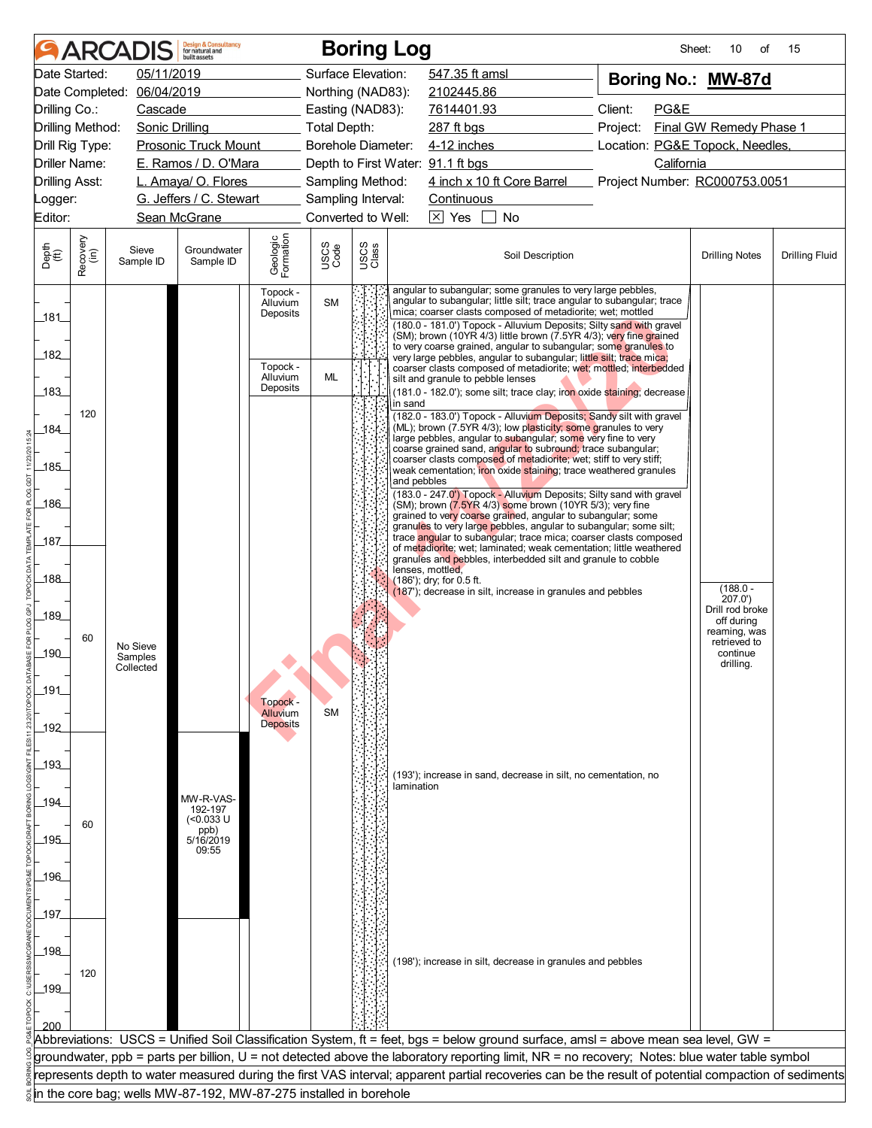| Date Started:<br>Surface Elevation:<br>547.35 ft amsl<br>05/11/2019<br>Boring No.: MW-87d<br>06/04/2019<br>Date Completed:<br>Northing (NAD83):<br>2102445.86<br>Client:<br>PG&E<br>Drilling Co.:<br>Cascade<br>Easting (NAD83):<br>7614401.93<br>Final GW Remedy Phase 1<br>Drilling Method:<br><b>Sonic Drilling</b><br>Total Depth:<br>287 ft bgs<br>Project:<br><b>Prosonic Truck Mount</b><br>Borehole Diameter:<br>Location: PG&E Topock, Needles,<br>Drill Rig Type:<br>4-12 inches<br>E. Ramos / D. O'Mara<br>Driller Name:<br>Depth to First Water: 91.1 ft bgs<br>California<br>4 inch x 10 ft Core Barrel<br>L. Amaya/ O. Flores<br>Sampling Method:<br>Project Number: RC000753.0051<br><b>Drilling Asst:</b><br>G. Jeffers / C. Stewart<br>Sampling Interval:<br>Continuous<br>_ogger:<br>Converted to Well:<br>$\overline{\times}$ Yes<br>Editor:<br>Sean McGrane<br>No<br>Geologic<br>Formation<br>Recovery<br>(in)<br>USCS<br>Class<br>USCS<br>Code<br>Sieve<br>Groundwater<br>Soil Description<br><b>Drilling Notes</b><br><b>Drilling Fluid</b><br>Sample ID<br>Sample ID<br>angular to subangular; some granules to very large pebbles,<br>Topock -<br>angular to subangular; little silt; trace angular to subangular; trace<br><b>SM</b><br>Alluvium<br>mica; coarser clasts composed of metadiorite; wet; mottled<br>Deposits<br>_181_<br>(180.0 - 181.0') Topock - Alluvium Deposits; Silty sand with gravel<br>(SM); brown (10YR 4/3) little brown (7.5YR 4/3); very fine grained<br>to very coarse grained, angular to subangular; some granules to<br>182<br>very large pebbles, angular to subangular; little silt; trace mica;<br>Topock -<br>coarser clasts composed of metadiorite; wet; mottled; interbedded<br>ML<br>Alluvium<br>silt and granule to pebble lenses<br>Deposits<br>183<br>(181.0 - 182.0'); some silt; trace clay; iron oxide staining; decrease<br>in sand<br>120<br>(182.0 - 183.0') Topock - Alluvium Deposits; Sandy silt with gravel<br>(ML); brown (7.5YR 4/3); low plasticity; some granules to very<br>184<br>large pebbles, angular to subangular; some very fine to very<br>coarse grained sand, angular to subround; trace subangular;<br>coarser clasts composed of metadiorite; wet; stiff to very stiff;<br>.185<br>weak cementation; iron oxide staining; trace weathered granules<br>and pebbles<br>(183.0 - 247.0') Topock - Alluvium Deposits; Silty sand with gravel<br>186<br>(SM); brown (7.5YR 4/3) some brown (10YR 5/3); very fine<br>grained to very coarse grained, angular to subangular; some<br>granules to very large pebbles, angular to subangular; some silt;<br>trace angular to subangular; trace mica; coarser clasts composed<br>187<br>of metadiorite; wet; laminated; weak cementation; little weathered<br>granules and pebbles, interbedded silt and granule to cobble<br>lenses, mottled,<br>.188<br>(186'); dry; for 0.5 ft.<br>$(188.0 -$<br>(187'); decrease in silt, increase in granules and pebbles<br>207.0')<br>Drill rod broke<br>189<br>off during<br>reaming, was<br>60<br>retrieved to<br>No Sieve<br>190<br>continue<br>Samples<br>drilling.<br>Collected<br>191<br>Topock -<br><b>SM</b><br>Alluvium<br><b>Deposits</b><br>192<br>_193_<br>(193'); increase in sand, decrease in silt, no cementation, no<br>lamination<br>MW-R-VAS-<br>194<br>192-197<br>$(0.033 \cup$<br>60<br>ppb)<br>5/16/2019<br>195<br>09:55<br>.196<br>197<br>198<br>(198'); increase in silt, decrease in granules and pebbles<br>120<br>_199_<br>Abbreviations: USCS = Unified Soil Classification System, ft = feet, bgs = below ground surface, amsl = above mean sea level, GW =<br>groundwater, ppb = parts per billion, U = not detected above the laboratory reporting limit, NR = no recovery; Notes: blue water table symbol<br>represents depth to water measured during the first VAS interval; apparent partial recoveries can be the result of potential compaction of sediments<br>in the core bag; wells MW-87-192, MW-87-275 installed in borehole |                             | <b>ARCADIS</b> | <b>Design &amp; Consultancy</b><br>for natural and<br>huilt assets |  | <b>Boring Log</b> | Sheet: | 10<br>of | 15 |
|---------------------------------------------------------------------------------------------------------------------------------------------------------------------------------------------------------------------------------------------------------------------------------------------------------------------------------------------------------------------------------------------------------------------------------------------------------------------------------------------------------------------------------------------------------------------------------------------------------------------------------------------------------------------------------------------------------------------------------------------------------------------------------------------------------------------------------------------------------------------------------------------------------------------------------------------------------------------------------------------------------------------------------------------------------------------------------------------------------------------------------------------------------------------------------------------------------------------------------------------------------------------------------------------------------------------------------------------------------------------------------------------------------------------------------------------------------------------------------------------------------------------------------------------------------------------------------------------------------------------------------------------------------------------------------------------------------------------------------------------------------------------------------------------------------------------------------------------------------------------------------------------------------------------------------------------------------------------------------------------------------------------------------------------------------------------------------------------------------------------------------------------------------------------------------------------------------------------------------------------------------------------------------------------------------------------------------------------------------------------------------------------------------------------------------------------------------------------------------------------------------------------------------------------------------------------------------------------------------------------------------------------------------------------------------------------------------------------------------------------------------------------------------------------------------------------------------------------------------------------------------------------------------------------------------------------------------------------------------------------------------------------------------------------------------------------------------------------------------------------------------------------------------------------------------------------------------------------------------------------------------------------------------------------------------------------------------------------------------------------------------------------------------------------------------------------------------------------------------------------------------------------------------------------------------------------------------------------------------------------------------------------------------------------------------------------------------------------------------------------------------------------------------------------------------------------------------------------------------------------------------------------------------------------------------------------------------------------------------------------------------------------------------------------------|-----------------------------|----------------|--------------------------------------------------------------------|--|-------------------|--------|----------|----|
|                                                                                                                                                                                                                                                                                                                                                                                                                                                                                                                                                                                                                                                                                                                                                                                                                                                                                                                                                                                                                                                                                                                                                                                                                                                                                                                                                                                                                                                                                                                                                                                                                                                                                                                                                                                                                                                                                                                                                                                                                                                                                                                                                                                                                                                                                                                                                                                                                                                                                                                                                                                                                                                                                                                                                                                                                                                                                                                                                                                                                                                                                                                                                                                                                                                                                                                                                                                                                                                                                                                                                                                                                                                                                                                                                                                                                                                                                                                                                                                                                                                   |                             |                |                                                                    |  |                   |        |          |    |
|                                                                                                                                                                                                                                                                                                                                                                                                                                                                                                                                                                                                                                                                                                                                                                                                                                                                                                                                                                                                                                                                                                                                                                                                                                                                                                                                                                                                                                                                                                                                                                                                                                                                                                                                                                                                                                                                                                                                                                                                                                                                                                                                                                                                                                                                                                                                                                                                                                                                                                                                                                                                                                                                                                                                                                                                                                                                                                                                                                                                                                                                                                                                                                                                                                                                                                                                                                                                                                                                                                                                                                                                                                                                                                                                                                                                                                                                                                                                                                                                                                                   |                             |                |                                                                    |  |                   |        |          |    |
|                                                                                                                                                                                                                                                                                                                                                                                                                                                                                                                                                                                                                                                                                                                                                                                                                                                                                                                                                                                                                                                                                                                                                                                                                                                                                                                                                                                                                                                                                                                                                                                                                                                                                                                                                                                                                                                                                                                                                                                                                                                                                                                                                                                                                                                                                                                                                                                                                                                                                                                                                                                                                                                                                                                                                                                                                                                                                                                                                                                                                                                                                                                                                                                                                                                                                                                                                                                                                                                                                                                                                                                                                                                                                                                                                                                                                                                                                                                                                                                                                                                   |                             |                |                                                                    |  |                   |        |          |    |
|                                                                                                                                                                                                                                                                                                                                                                                                                                                                                                                                                                                                                                                                                                                                                                                                                                                                                                                                                                                                                                                                                                                                                                                                                                                                                                                                                                                                                                                                                                                                                                                                                                                                                                                                                                                                                                                                                                                                                                                                                                                                                                                                                                                                                                                                                                                                                                                                                                                                                                                                                                                                                                                                                                                                                                                                                                                                                                                                                                                                                                                                                                                                                                                                                                                                                                                                                                                                                                                                                                                                                                                                                                                                                                                                                                                                                                                                                                                                                                                                                                                   |                             |                |                                                                    |  |                   |        |          |    |
|                                                                                                                                                                                                                                                                                                                                                                                                                                                                                                                                                                                                                                                                                                                                                                                                                                                                                                                                                                                                                                                                                                                                                                                                                                                                                                                                                                                                                                                                                                                                                                                                                                                                                                                                                                                                                                                                                                                                                                                                                                                                                                                                                                                                                                                                                                                                                                                                                                                                                                                                                                                                                                                                                                                                                                                                                                                                                                                                                                                                                                                                                                                                                                                                                                                                                                                                                                                                                                                                                                                                                                                                                                                                                                                                                                                                                                                                                                                                                                                                                                                   |                             |                |                                                                    |  |                   |        |          |    |
|                                                                                                                                                                                                                                                                                                                                                                                                                                                                                                                                                                                                                                                                                                                                                                                                                                                                                                                                                                                                                                                                                                                                                                                                                                                                                                                                                                                                                                                                                                                                                                                                                                                                                                                                                                                                                                                                                                                                                                                                                                                                                                                                                                                                                                                                                                                                                                                                                                                                                                                                                                                                                                                                                                                                                                                                                                                                                                                                                                                                                                                                                                                                                                                                                                                                                                                                                                                                                                                                                                                                                                                                                                                                                                                                                                                                                                                                                                                                                                                                                                                   |                             |                |                                                                    |  |                   |        |          |    |
|                                                                                                                                                                                                                                                                                                                                                                                                                                                                                                                                                                                                                                                                                                                                                                                                                                                                                                                                                                                                                                                                                                                                                                                                                                                                                                                                                                                                                                                                                                                                                                                                                                                                                                                                                                                                                                                                                                                                                                                                                                                                                                                                                                                                                                                                                                                                                                                                                                                                                                                                                                                                                                                                                                                                                                                                                                                                                                                                                                                                                                                                                                                                                                                                                                                                                                                                                                                                                                                                                                                                                                                                                                                                                                                                                                                                                                                                                                                                                                                                                                                   |                             |                |                                                                    |  |                   |        |          |    |
|                                                                                                                                                                                                                                                                                                                                                                                                                                                                                                                                                                                                                                                                                                                                                                                                                                                                                                                                                                                                                                                                                                                                                                                                                                                                                                                                                                                                                                                                                                                                                                                                                                                                                                                                                                                                                                                                                                                                                                                                                                                                                                                                                                                                                                                                                                                                                                                                                                                                                                                                                                                                                                                                                                                                                                                                                                                                                                                                                                                                                                                                                                                                                                                                                                                                                                                                                                                                                                                                                                                                                                                                                                                                                                                                                                                                                                                                                                                                                                                                                                                   |                             |                |                                                                    |  |                   |        |          |    |
|                                                                                                                                                                                                                                                                                                                                                                                                                                                                                                                                                                                                                                                                                                                                                                                                                                                                                                                                                                                                                                                                                                                                                                                                                                                                                                                                                                                                                                                                                                                                                                                                                                                                                                                                                                                                                                                                                                                                                                                                                                                                                                                                                                                                                                                                                                                                                                                                                                                                                                                                                                                                                                                                                                                                                                                                                                                                                                                                                                                                                                                                                                                                                                                                                                                                                                                                                                                                                                                                                                                                                                                                                                                                                                                                                                                                                                                                                                                                                                                                                                                   |                             |                |                                                                    |  |                   |        |          |    |
|                                                                                                                                                                                                                                                                                                                                                                                                                                                                                                                                                                                                                                                                                                                                                                                                                                                                                                                                                                                                                                                                                                                                                                                                                                                                                                                                                                                                                                                                                                                                                                                                                                                                                                                                                                                                                                                                                                                                                                                                                                                                                                                                                                                                                                                                                                                                                                                                                                                                                                                                                                                                                                                                                                                                                                                                                                                                                                                                                                                                                                                                                                                                                                                                                                                                                                                                                                                                                                                                                                                                                                                                                                                                                                                                                                                                                                                                                                                                                                                                                                                   | Depth<br>$\widetilde{f(t)}$ |                |                                                                    |  |                   |        |          |    |
|                                                                                                                                                                                                                                                                                                                                                                                                                                                                                                                                                                                                                                                                                                                                                                                                                                                                                                                                                                                                                                                                                                                                                                                                                                                                                                                                                                                                                                                                                                                                                                                                                                                                                                                                                                                                                                                                                                                                                                                                                                                                                                                                                                                                                                                                                                                                                                                                                                                                                                                                                                                                                                                                                                                                                                                                                                                                                                                                                                                                                                                                                                                                                                                                                                                                                                                                                                                                                                                                                                                                                                                                                                                                                                                                                                                                                                                                                                                                                                                                                                                   |                             |                |                                                                    |  |                   |        |          |    |
|                                                                                                                                                                                                                                                                                                                                                                                                                                                                                                                                                                                                                                                                                                                                                                                                                                                                                                                                                                                                                                                                                                                                                                                                                                                                                                                                                                                                                                                                                                                                                                                                                                                                                                                                                                                                                                                                                                                                                                                                                                                                                                                                                                                                                                                                                                                                                                                                                                                                                                                                                                                                                                                                                                                                                                                                                                                                                                                                                                                                                                                                                                                                                                                                                                                                                                                                                                                                                                                                                                                                                                                                                                                                                                                                                                                                                                                                                                                                                                                                                                                   |                             |                |                                                                    |  |                   |        |          |    |
|                                                                                                                                                                                                                                                                                                                                                                                                                                                                                                                                                                                                                                                                                                                                                                                                                                                                                                                                                                                                                                                                                                                                                                                                                                                                                                                                                                                                                                                                                                                                                                                                                                                                                                                                                                                                                                                                                                                                                                                                                                                                                                                                                                                                                                                                                                                                                                                                                                                                                                                                                                                                                                                                                                                                                                                                                                                                                                                                                                                                                                                                                                                                                                                                                                                                                                                                                                                                                                                                                                                                                                                                                                                                                                                                                                                                                                                                                                                                                                                                                                                   |                             |                |                                                                    |  |                   |        |          |    |
|                                                                                                                                                                                                                                                                                                                                                                                                                                                                                                                                                                                                                                                                                                                                                                                                                                                                                                                                                                                                                                                                                                                                                                                                                                                                                                                                                                                                                                                                                                                                                                                                                                                                                                                                                                                                                                                                                                                                                                                                                                                                                                                                                                                                                                                                                                                                                                                                                                                                                                                                                                                                                                                                                                                                                                                                                                                                                                                                                                                                                                                                                                                                                                                                                                                                                                                                                                                                                                                                                                                                                                                                                                                                                                                                                                                                                                                                                                                                                                                                                                                   |                             |                |                                                                    |  |                   |        |          |    |
|                                                                                                                                                                                                                                                                                                                                                                                                                                                                                                                                                                                                                                                                                                                                                                                                                                                                                                                                                                                                                                                                                                                                                                                                                                                                                                                                                                                                                                                                                                                                                                                                                                                                                                                                                                                                                                                                                                                                                                                                                                                                                                                                                                                                                                                                                                                                                                                                                                                                                                                                                                                                                                                                                                                                                                                                                                                                                                                                                                                                                                                                                                                                                                                                                                                                                                                                                                                                                                                                                                                                                                                                                                                                                                                                                                                                                                                                                                                                                                                                                                                   |                             |                |                                                                    |  |                   |        |          |    |
|                                                                                                                                                                                                                                                                                                                                                                                                                                                                                                                                                                                                                                                                                                                                                                                                                                                                                                                                                                                                                                                                                                                                                                                                                                                                                                                                                                                                                                                                                                                                                                                                                                                                                                                                                                                                                                                                                                                                                                                                                                                                                                                                                                                                                                                                                                                                                                                                                                                                                                                                                                                                                                                                                                                                                                                                                                                                                                                                                                                                                                                                                                                                                                                                                                                                                                                                                                                                                                                                                                                                                                                                                                                                                                                                                                                                                                                                                                                                                                                                                                                   |                             |                |                                                                    |  |                   |        |          |    |
|                                                                                                                                                                                                                                                                                                                                                                                                                                                                                                                                                                                                                                                                                                                                                                                                                                                                                                                                                                                                                                                                                                                                                                                                                                                                                                                                                                                                                                                                                                                                                                                                                                                                                                                                                                                                                                                                                                                                                                                                                                                                                                                                                                                                                                                                                                                                                                                                                                                                                                                                                                                                                                                                                                                                                                                                                                                                                                                                                                                                                                                                                                                                                                                                                                                                                                                                                                                                                                                                                                                                                                                                                                                                                                                                                                                                                                                                                                                                                                                                                                                   |                             |                |                                                                    |  |                   |        |          |    |
|                                                                                                                                                                                                                                                                                                                                                                                                                                                                                                                                                                                                                                                                                                                                                                                                                                                                                                                                                                                                                                                                                                                                                                                                                                                                                                                                                                                                                                                                                                                                                                                                                                                                                                                                                                                                                                                                                                                                                                                                                                                                                                                                                                                                                                                                                                                                                                                                                                                                                                                                                                                                                                                                                                                                                                                                                                                                                                                                                                                                                                                                                                                                                                                                                                                                                                                                                                                                                                                                                                                                                                                                                                                                                                                                                                                                                                                                                                                                                                                                                                                   |                             |                |                                                                    |  |                   |        |          |    |
|                                                                                                                                                                                                                                                                                                                                                                                                                                                                                                                                                                                                                                                                                                                                                                                                                                                                                                                                                                                                                                                                                                                                                                                                                                                                                                                                                                                                                                                                                                                                                                                                                                                                                                                                                                                                                                                                                                                                                                                                                                                                                                                                                                                                                                                                                                                                                                                                                                                                                                                                                                                                                                                                                                                                                                                                                                                                                                                                                                                                                                                                                                                                                                                                                                                                                                                                                                                                                                                                                                                                                                                                                                                                                                                                                                                                                                                                                                                                                                                                                                                   |                             |                |                                                                    |  |                   |        |          |    |
|                                                                                                                                                                                                                                                                                                                                                                                                                                                                                                                                                                                                                                                                                                                                                                                                                                                                                                                                                                                                                                                                                                                                                                                                                                                                                                                                                                                                                                                                                                                                                                                                                                                                                                                                                                                                                                                                                                                                                                                                                                                                                                                                                                                                                                                                                                                                                                                                                                                                                                                                                                                                                                                                                                                                                                                                                                                                                                                                                                                                                                                                                                                                                                                                                                                                                                                                                                                                                                                                                                                                                                                                                                                                                                                                                                                                                                                                                                                                                                                                                                                   |                             |                |                                                                    |  |                   |        |          |    |
|                                                                                                                                                                                                                                                                                                                                                                                                                                                                                                                                                                                                                                                                                                                                                                                                                                                                                                                                                                                                                                                                                                                                                                                                                                                                                                                                                                                                                                                                                                                                                                                                                                                                                                                                                                                                                                                                                                                                                                                                                                                                                                                                                                                                                                                                                                                                                                                                                                                                                                                                                                                                                                                                                                                                                                                                                                                                                                                                                                                                                                                                                                                                                                                                                                                                                                                                                                                                                                                                                                                                                                                                                                                                                                                                                                                                                                                                                                                                                                                                                                                   |                             |                |                                                                    |  |                   |        |          |    |
|                                                                                                                                                                                                                                                                                                                                                                                                                                                                                                                                                                                                                                                                                                                                                                                                                                                                                                                                                                                                                                                                                                                                                                                                                                                                                                                                                                                                                                                                                                                                                                                                                                                                                                                                                                                                                                                                                                                                                                                                                                                                                                                                                                                                                                                                                                                                                                                                                                                                                                                                                                                                                                                                                                                                                                                                                                                                                                                                                                                                                                                                                                                                                                                                                                                                                                                                                                                                                                                                                                                                                                                                                                                                                                                                                                                                                                                                                                                                                                                                                                                   |                             |                |                                                                    |  |                   |        |          |    |
|                                                                                                                                                                                                                                                                                                                                                                                                                                                                                                                                                                                                                                                                                                                                                                                                                                                                                                                                                                                                                                                                                                                                                                                                                                                                                                                                                                                                                                                                                                                                                                                                                                                                                                                                                                                                                                                                                                                                                                                                                                                                                                                                                                                                                                                                                                                                                                                                                                                                                                                                                                                                                                                                                                                                                                                                                                                                                                                                                                                                                                                                                                                                                                                                                                                                                                                                                                                                                                                                                                                                                                                                                                                                                                                                                                                                                                                                                                                                                                                                                                                   |                             |                |                                                                    |  |                   |        |          |    |
|                                                                                                                                                                                                                                                                                                                                                                                                                                                                                                                                                                                                                                                                                                                                                                                                                                                                                                                                                                                                                                                                                                                                                                                                                                                                                                                                                                                                                                                                                                                                                                                                                                                                                                                                                                                                                                                                                                                                                                                                                                                                                                                                                                                                                                                                                                                                                                                                                                                                                                                                                                                                                                                                                                                                                                                                                                                                                                                                                                                                                                                                                                                                                                                                                                                                                                                                                                                                                                                                                                                                                                                                                                                                                                                                                                                                                                                                                                                                                                                                                                                   |                             |                |                                                                    |  |                   |        |          |    |
|                                                                                                                                                                                                                                                                                                                                                                                                                                                                                                                                                                                                                                                                                                                                                                                                                                                                                                                                                                                                                                                                                                                                                                                                                                                                                                                                                                                                                                                                                                                                                                                                                                                                                                                                                                                                                                                                                                                                                                                                                                                                                                                                                                                                                                                                                                                                                                                                                                                                                                                                                                                                                                                                                                                                                                                                                                                                                                                                                                                                                                                                                                                                                                                                                                                                                                                                                                                                                                                                                                                                                                                                                                                                                                                                                                                                                                                                                                                                                                                                                                                   |                             |                |                                                                    |  |                   |        |          |    |
|                                                                                                                                                                                                                                                                                                                                                                                                                                                                                                                                                                                                                                                                                                                                                                                                                                                                                                                                                                                                                                                                                                                                                                                                                                                                                                                                                                                                                                                                                                                                                                                                                                                                                                                                                                                                                                                                                                                                                                                                                                                                                                                                                                                                                                                                                                                                                                                                                                                                                                                                                                                                                                                                                                                                                                                                                                                                                                                                                                                                                                                                                                                                                                                                                                                                                                                                                                                                                                                                                                                                                                                                                                                                                                                                                                                                                                                                                                                                                                                                                                                   |                             |                |                                                                    |  |                   |        |          |    |
|                                                                                                                                                                                                                                                                                                                                                                                                                                                                                                                                                                                                                                                                                                                                                                                                                                                                                                                                                                                                                                                                                                                                                                                                                                                                                                                                                                                                                                                                                                                                                                                                                                                                                                                                                                                                                                                                                                                                                                                                                                                                                                                                                                                                                                                                                                                                                                                                                                                                                                                                                                                                                                                                                                                                                                                                                                                                                                                                                                                                                                                                                                                                                                                                                                                                                                                                                                                                                                                                                                                                                                                                                                                                                                                                                                                                                                                                                                                                                                                                                                                   |                             |                |                                                                    |  |                   |        |          |    |
|                                                                                                                                                                                                                                                                                                                                                                                                                                                                                                                                                                                                                                                                                                                                                                                                                                                                                                                                                                                                                                                                                                                                                                                                                                                                                                                                                                                                                                                                                                                                                                                                                                                                                                                                                                                                                                                                                                                                                                                                                                                                                                                                                                                                                                                                                                                                                                                                                                                                                                                                                                                                                                                                                                                                                                                                                                                                                                                                                                                                                                                                                                                                                                                                                                                                                                                                                                                                                                                                                                                                                                                                                                                                                                                                                                                                                                                                                                                                                                                                                                                   |                             |                |                                                                    |  |                   |        |          |    |
|                                                                                                                                                                                                                                                                                                                                                                                                                                                                                                                                                                                                                                                                                                                                                                                                                                                                                                                                                                                                                                                                                                                                                                                                                                                                                                                                                                                                                                                                                                                                                                                                                                                                                                                                                                                                                                                                                                                                                                                                                                                                                                                                                                                                                                                                                                                                                                                                                                                                                                                                                                                                                                                                                                                                                                                                                                                                                                                                                                                                                                                                                                                                                                                                                                                                                                                                                                                                                                                                                                                                                                                                                                                                                                                                                                                                                                                                                                                                                                                                                                                   |                             |                |                                                                    |  |                   |        |          |    |
|                                                                                                                                                                                                                                                                                                                                                                                                                                                                                                                                                                                                                                                                                                                                                                                                                                                                                                                                                                                                                                                                                                                                                                                                                                                                                                                                                                                                                                                                                                                                                                                                                                                                                                                                                                                                                                                                                                                                                                                                                                                                                                                                                                                                                                                                                                                                                                                                                                                                                                                                                                                                                                                                                                                                                                                                                                                                                                                                                                                                                                                                                                                                                                                                                                                                                                                                                                                                                                                                                                                                                                                                                                                                                                                                                                                                                                                                                                                                                                                                                                                   |                             |                |                                                                    |  |                   |        |          |    |
|                                                                                                                                                                                                                                                                                                                                                                                                                                                                                                                                                                                                                                                                                                                                                                                                                                                                                                                                                                                                                                                                                                                                                                                                                                                                                                                                                                                                                                                                                                                                                                                                                                                                                                                                                                                                                                                                                                                                                                                                                                                                                                                                                                                                                                                                                                                                                                                                                                                                                                                                                                                                                                                                                                                                                                                                                                                                                                                                                                                                                                                                                                                                                                                                                                                                                                                                                                                                                                                                                                                                                                                                                                                                                                                                                                                                                                                                                                                                                                                                                                                   |                             |                |                                                                    |  |                   |        |          |    |
|                                                                                                                                                                                                                                                                                                                                                                                                                                                                                                                                                                                                                                                                                                                                                                                                                                                                                                                                                                                                                                                                                                                                                                                                                                                                                                                                                                                                                                                                                                                                                                                                                                                                                                                                                                                                                                                                                                                                                                                                                                                                                                                                                                                                                                                                                                                                                                                                                                                                                                                                                                                                                                                                                                                                                                                                                                                                                                                                                                                                                                                                                                                                                                                                                                                                                                                                                                                                                                                                                                                                                                                                                                                                                                                                                                                                                                                                                                                                                                                                                                                   |                             |                |                                                                    |  |                   |        |          |    |
|                                                                                                                                                                                                                                                                                                                                                                                                                                                                                                                                                                                                                                                                                                                                                                                                                                                                                                                                                                                                                                                                                                                                                                                                                                                                                                                                                                                                                                                                                                                                                                                                                                                                                                                                                                                                                                                                                                                                                                                                                                                                                                                                                                                                                                                                                                                                                                                                                                                                                                                                                                                                                                                                                                                                                                                                                                                                                                                                                                                                                                                                                                                                                                                                                                                                                                                                                                                                                                                                                                                                                                                                                                                                                                                                                                                                                                                                                                                                                                                                                                                   |                             |                |                                                                    |  |                   |        |          |    |
|                                                                                                                                                                                                                                                                                                                                                                                                                                                                                                                                                                                                                                                                                                                                                                                                                                                                                                                                                                                                                                                                                                                                                                                                                                                                                                                                                                                                                                                                                                                                                                                                                                                                                                                                                                                                                                                                                                                                                                                                                                                                                                                                                                                                                                                                                                                                                                                                                                                                                                                                                                                                                                                                                                                                                                                                                                                                                                                                                                                                                                                                                                                                                                                                                                                                                                                                                                                                                                                                                                                                                                                                                                                                                                                                                                                                                                                                                                                                                                                                                                                   |                             |                |                                                                    |  |                   |        |          |    |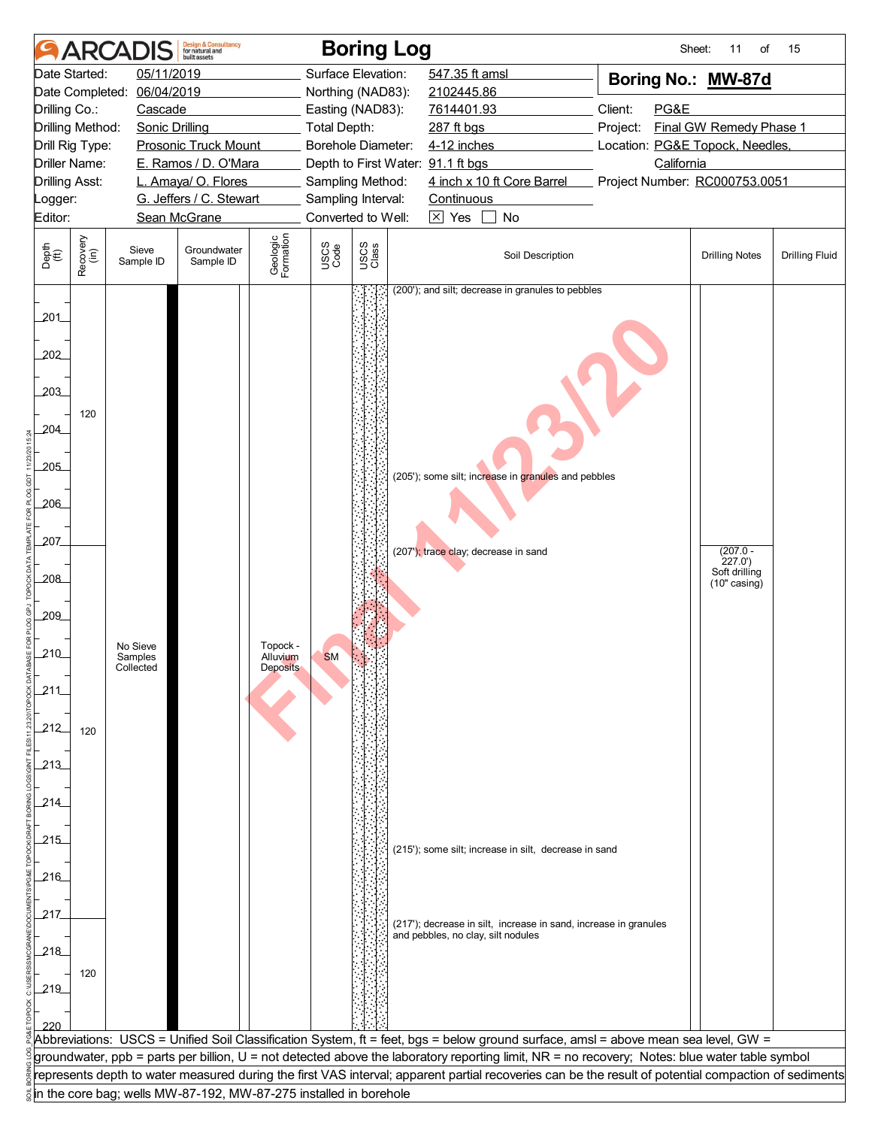| 05/11/2019<br>Surface Elevation:<br>547.35 ft amsl<br>Date Started:<br>Boring No.: MW-87d<br>06/04/2019<br>2102445.86<br>Date Completed:<br>Northing (NAD83):<br>Client:<br>PG&E<br>Drilling Co.:<br>Cascade<br>Easting (NAD83):<br>7614401.93<br>Drilling Method:<br>Final GW Remedy Phase 1<br><b>Sonic Drilling</b><br>Total Depth:<br>287 ft bgs<br>Project:<br><b>Prosonic Truck Mount</b><br>Borehole Diameter:<br>4-12 inches<br>Location: PG&E Topock, Needles,<br>Drill Rig Type:<br><b>Driller Name:</b><br>E. Ramos / D. O'Mara<br>California<br>Depth to First Water: 91.1 ft bgs<br>4 inch x 10 ft Core Barrel<br><b>Drilling Asst:</b><br>L. Amaya/ O. Flores<br>Sampling Method:<br>Project Number: RC000753.0051<br>G. Jeffers / C. Stewart<br>Sampling Interval:<br>Continuous<br>_ogger:<br>Converted to Well:<br>$\boxtimes$ Yes<br>No<br>Editor:<br>Sean McGrane<br>$\Box$<br>Geologic<br>Formation<br>Recovery<br>(in)<br>USCS<br>Class<br>USCS<br>Code<br>Depth<br>(ft)<br>Groundwater<br>Sieve<br>Soil Description<br><b>Drilling Notes</b><br><b>Drilling Fluid</b><br>Sample ID<br>Sample ID<br>(200'); and silt; decrease in granules to pebbles<br>201<br>202<br>203<br>120<br>204<br>205<br>(205'); some silt; increase in granules and pebbles<br>206<br>207<br>$(207.0 -$<br>(207'); trace clay; decrease in sand<br>227.0'<br>Soft drilling<br>$-208$<br>$(10"$ casing)<br>209<br>Topock -<br>No Sieve<br>210<br><b>SM</b><br>Samples<br>Alluvium<br>Collected<br>Deposits<br>211<br>212<br>120<br>213<br>214<br>215<br>(215'); some silt; increase in silt, decrease in sand<br>$-216$<br>217<br>(217'); decrease in silt, increase in sand, increase in granules<br>and pebbles, no clay, silt nodules<br>218<br>120<br>219<br>Abbreviations: USCS = Unified Soil Classification System, ft = feet, bgs = below ground surface, amsl = above mean sea level, GW =<br>groundwater, ppb = parts per billion, U = not detected above the laboratory reporting limit, NR = no recovery; Notes: blue water table symbol<br>represents depth to water measured during the first VAS interval; apparent partial recoveries can be the result of potential compaction of sediments<br>in the core bag; wells MW-87-192, MW-87-275 installed in borehole | <b>ARCADIS</b> | <b>Design &amp; Consultancy</b><br>for natural and<br><b>built</b> assets |  | <b>Boring Log</b> | Sheet: | 11<br>of | 15 |
|----------------------------------------------------------------------------------------------------------------------------------------------------------------------------------------------------------------------------------------------------------------------------------------------------------------------------------------------------------------------------------------------------------------------------------------------------------------------------------------------------------------------------------------------------------------------------------------------------------------------------------------------------------------------------------------------------------------------------------------------------------------------------------------------------------------------------------------------------------------------------------------------------------------------------------------------------------------------------------------------------------------------------------------------------------------------------------------------------------------------------------------------------------------------------------------------------------------------------------------------------------------------------------------------------------------------------------------------------------------------------------------------------------------------------------------------------------------------------------------------------------------------------------------------------------------------------------------------------------------------------------------------------------------------------------------------------------------------------------------------------------------------------------------------------------------------------------------------------------------------------------------------------------------------------------------------------------------------------------------------------------------------------------------------------------------------------------------------------------------------------------------------------------------------------------------------------------------------------------------------------------------------------------|----------------|---------------------------------------------------------------------------|--|-------------------|--------|----------|----|
|                                                                                                                                                                                                                                                                                                                                                                                                                                                                                                                                                                                                                                                                                                                                                                                                                                                                                                                                                                                                                                                                                                                                                                                                                                                                                                                                                                                                                                                                                                                                                                                                                                                                                                                                                                                                                                                                                                                                                                                                                                                                                                                                                                                                                                                                                  |                |                                                                           |  |                   |        |          |    |
|                                                                                                                                                                                                                                                                                                                                                                                                                                                                                                                                                                                                                                                                                                                                                                                                                                                                                                                                                                                                                                                                                                                                                                                                                                                                                                                                                                                                                                                                                                                                                                                                                                                                                                                                                                                                                                                                                                                                                                                                                                                                                                                                                                                                                                                                                  |                |                                                                           |  |                   |        |          |    |
|                                                                                                                                                                                                                                                                                                                                                                                                                                                                                                                                                                                                                                                                                                                                                                                                                                                                                                                                                                                                                                                                                                                                                                                                                                                                                                                                                                                                                                                                                                                                                                                                                                                                                                                                                                                                                                                                                                                                                                                                                                                                                                                                                                                                                                                                                  |                |                                                                           |  |                   |        |          |    |
|                                                                                                                                                                                                                                                                                                                                                                                                                                                                                                                                                                                                                                                                                                                                                                                                                                                                                                                                                                                                                                                                                                                                                                                                                                                                                                                                                                                                                                                                                                                                                                                                                                                                                                                                                                                                                                                                                                                                                                                                                                                                                                                                                                                                                                                                                  |                |                                                                           |  |                   |        |          |    |
|                                                                                                                                                                                                                                                                                                                                                                                                                                                                                                                                                                                                                                                                                                                                                                                                                                                                                                                                                                                                                                                                                                                                                                                                                                                                                                                                                                                                                                                                                                                                                                                                                                                                                                                                                                                                                                                                                                                                                                                                                                                                                                                                                                                                                                                                                  |                |                                                                           |  |                   |        |          |    |
|                                                                                                                                                                                                                                                                                                                                                                                                                                                                                                                                                                                                                                                                                                                                                                                                                                                                                                                                                                                                                                                                                                                                                                                                                                                                                                                                                                                                                                                                                                                                                                                                                                                                                                                                                                                                                                                                                                                                                                                                                                                                                                                                                                                                                                                                                  |                |                                                                           |  |                   |        |          |    |
|                                                                                                                                                                                                                                                                                                                                                                                                                                                                                                                                                                                                                                                                                                                                                                                                                                                                                                                                                                                                                                                                                                                                                                                                                                                                                                                                                                                                                                                                                                                                                                                                                                                                                                                                                                                                                                                                                                                                                                                                                                                                                                                                                                                                                                                                                  |                |                                                                           |  |                   |        |          |    |
|                                                                                                                                                                                                                                                                                                                                                                                                                                                                                                                                                                                                                                                                                                                                                                                                                                                                                                                                                                                                                                                                                                                                                                                                                                                                                                                                                                                                                                                                                                                                                                                                                                                                                                                                                                                                                                                                                                                                                                                                                                                                                                                                                                                                                                                                                  |                |                                                                           |  |                   |        |          |    |
|                                                                                                                                                                                                                                                                                                                                                                                                                                                                                                                                                                                                                                                                                                                                                                                                                                                                                                                                                                                                                                                                                                                                                                                                                                                                                                                                                                                                                                                                                                                                                                                                                                                                                                                                                                                                                                                                                                                                                                                                                                                                                                                                                                                                                                                                                  |                |                                                                           |  |                   |        |          |    |
|                                                                                                                                                                                                                                                                                                                                                                                                                                                                                                                                                                                                                                                                                                                                                                                                                                                                                                                                                                                                                                                                                                                                                                                                                                                                                                                                                                                                                                                                                                                                                                                                                                                                                                                                                                                                                                                                                                                                                                                                                                                                                                                                                                                                                                                                                  |                |                                                                           |  |                   |        |          |    |
|                                                                                                                                                                                                                                                                                                                                                                                                                                                                                                                                                                                                                                                                                                                                                                                                                                                                                                                                                                                                                                                                                                                                                                                                                                                                                                                                                                                                                                                                                                                                                                                                                                                                                                                                                                                                                                                                                                                                                                                                                                                                                                                                                                                                                                                                                  |                |                                                                           |  |                   |        |          |    |
|                                                                                                                                                                                                                                                                                                                                                                                                                                                                                                                                                                                                                                                                                                                                                                                                                                                                                                                                                                                                                                                                                                                                                                                                                                                                                                                                                                                                                                                                                                                                                                                                                                                                                                                                                                                                                                                                                                                                                                                                                                                                                                                                                                                                                                                                                  |                |                                                                           |  |                   |        |          |    |
|                                                                                                                                                                                                                                                                                                                                                                                                                                                                                                                                                                                                                                                                                                                                                                                                                                                                                                                                                                                                                                                                                                                                                                                                                                                                                                                                                                                                                                                                                                                                                                                                                                                                                                                                                                                                                                                                                                                                                                                                                                                                                                                                                                                                                                                                                  |                |                                                                           |  |                   |        |          |    |
|                                                                                                                                                                                                                                                                                                                                                                                                                                                                                                                                                                                                                                                                                                                                                                                                                                                                                                                                                                                                                                                                                                                                                                                                                                                                                                                                                                                                                                                                                                                                                                                                                                                                                                                                                                                                                                                                                                                                                                                                                                                                                                                                                                                                                                                                                  |                |                                                                           |  |                   |        |          |    |
|                                                                                                                                                                                                                                                                                                                                                                                                                                                                                                                                                                                                                                                                                                                                                                                                                                                                                                                                                                                                                                                                                                                                                                                                                                                                                                                                                                                                                                                                                                                                                                                                                                                                                                                                                                                                                                                                                                                                                                                                                                                                                                                                                                                                                                                                                  |                |                                                                           |  |                   |        |          |    |
|                                                                                                                                                                                                                                                                                                                                                                                                                                                                                                                                                                                                                                                                                                                                                                                                                                                                                                                                                                                                                                                                                                                                                                                                                                                                                                                                                                                                                                                                                                                                                                                                                                                                                                                                                                                                                                                                                                                                                                                                                                                                                                                                                                                                                                                                                  |                |                                                                           |  |                   |        |          |    |
|                                                                                                                                                                                                                                                                                                                                                                                                                                                                                                                                                                                                                                                                                                                                                                                                                                                                                                                                                                                                                                                                                                                                                                                                                                                                                                                                                                                                                                                                                                                                                                                                                                                                                                                                                                                                                                                                                                                                                                                                                                                                                                                                                                                                                                                                                  |                |                                                                           |  |                   |        |          |    |
|                                                                                                                                                                                                                                                                                                                                                                                                                                                                                                                                                                                                                                                                                                                                                                                                                                                                                                                                                                                                                                                                                                                                                                                                                                                                                                                                                                                                                                                                                                                                                                                                                                                                                                                                                                                                                                                                                                                                                                                                                                                                                                                                                                                                                                                                                  |                |                                                                           |  |                   |        |          |    |
|                                                                                                                                                                                                                                                                                                                                                                                                                                                                                                                                                                                                                                                                                                                                                                                                                                                                                                                                                                                                                                                                                                                                                                                                                                                                                                                                                                                                                                                                                                                                                                                                                                                                                                                                                                                                                                                                                                                                                                                                                                                                                                                                                                                                                                                                                  |                |                                                                           |  |                   |        |          |    |
|                                                                                                                                                                                                                                                                                                                                                                                                                                                                                                                                                                                                                                                                                                                                                                                                                                                                                                                                                                                                                                                                                                                                                                                                                                                                                                                                                                                                                                                                                                                                                                                                                                                                                                                                                                                                                                                                                                                                                                                                                                                                                                                                                                                                                                                                                  |                |                                                                           |  |                   |        |          |    |
|                                                                                                                                                                                                                                                                                                                                                                                                                                                                                                                                                                                                                                                                                                                                                                                                                                                                                                                                                                                                                                                                                                                                                                                                                                                                                                                                                                                                                                                                                                                                                                                                                                                                                                                                                                                                                                                                                                                                                                                                                                                                                                                                                                                                                                                                                  |                |                                                                           |  |                   |        |          |    |
|                                                                                                                                                                                                                                                                                                                                                                                                                                                                                                                                                                                                                                                                                                                                                                                                                                                                                                                                                                                                                                                                                                                                                                                                                                                                                                                                                                                                                                                                                                                                                                                                                                                                                                                                                                                                                                                                                                                                                                                                                                                                                                                                                                                                                                                                                  |                |                                                                           |  |                   |        |          |    |
|                                                                                                                                                                                                                                                                                                                                                                                                                                                                                                                                                                                                                                                                                                                                                                                                                                                                                                                                                                                                                                                                                                                                                                                                                                                                                                                                                                                                                                                                                                                                                                                                                                                                                                                                                                                                                                                                                                                                                                                                                                                                                                                                                                                                                                                                                  |                |                                                                           |  |                   |        |          |    |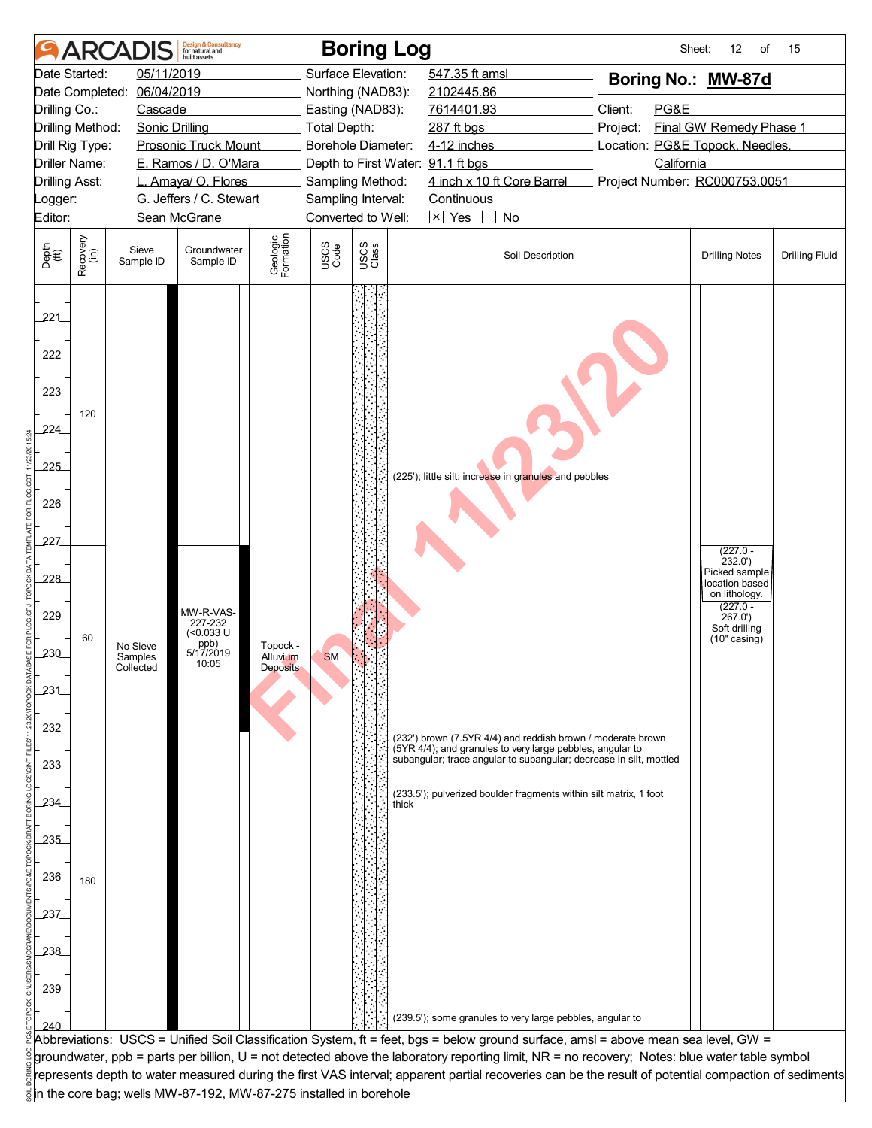|                                                                                                                                                                                                                                         |                                                    | <b>ARCADIS</b>                   | <b>Design &amp; Consultancy</b><br>for natural and<br><b>built</b> assets |                                  |                                                                                                                                        | <b>Boring Log</b>                      |                                                                                                                                                                                                                                                                                                                                                                                                                                                                                                          | Sheet:                                                                                                                        | 12<br>of                                                                                                                            | 15                    |
|-----------------------------------------------------------------------------------------------------------------------------------------------------------------------------------------------------------------------------------------|----------------------------------------------------|----------------------------------|---------------------------------------------------------------------------|----------------------------------|----------------------------------------------------------------------------------------------------------------------------------------|----------------------------------------|----------------------------------------------------------------------------------------------------------------------------------------------------------------------------------------------------------------------------------------------------------------------------------------------------------------------------------------------------------------------------------------------------------------------------------------------------------------------------------------------------------|-------------------------------------------------------------------------------------------------------------------------------|-------------------------------------------------------------------------------------------------------------------------------------|-----------------------|
| 05/11/2019<br>Date Started:<br>06/04/2019<br>Date Completed:<br>Drilling Co.:<br>Cascade<br>Drilling Method:<br><b>Sonic Drilling</b><br><b>Prosonic Truck Mount</b><br>Drill Rig Type:<br><b>Driller Name:</b><br>E. Ramos / D. O'Mara |                                                    |                                  |                                                                           |                                  | Surface Elevation:<br>Northing (NAD83):<br>Easting (NAD83):<br>Total Depth:<br>Borehole Diameter:<br>Depth to First Water: 91.1 ft bgs |                                        | 547.35 ft amsl<br>2102445.86<br>7614401.93<br>287 ft bgs<br>4-12 inches                                                                                                                                                                                                                                                                                                                                                                                                                                  | Boring No.: MW-87d<br>Client:<br>PG&E<br>Final GW Remedy Phase 1<br>Project:<br>Location: PG&E Topock, Needles,<br>California |                                                                                                                                     |                       |
| <b>Drilling Asst:</b>                                                                                                                                                                                                                   |                                                    |                                  | L. Amaya/ O. Flores                                                       |                                  |                                                                                                                                        | Sampling Method:<br>Sampling Interval: | 4 inch x 10 ft Core Barrel<br>Continuous                                                                                                                                                                                                                                                                                                                                                                                                                                                                 | Project Number: RC000753.0051                                                                                                 |                                                                                                                                     |                       |
| Editor:                                                                                                                                                                                                                                 | G. Jeffers / C. Stewart<br>Logger:<br>Sean McGrane |                                  |                                                                           |                                  |                                                                                                                                        | Converted to Well:                     | $\boxtimes$ Yes<br>No                                                                                                                                                                                                                                                                                                                                                                                                                                                                                    |                                                                                                                               |                                                                                                                                     |                       |
| Depth<br>$\widetilde{f(t)}$                                                                                                                                                                                                             | Recovery<br>(in)                                   | Sieve<br>Sample ID               | Groundwater<br>Sample ID                                                  | Geologic<br>Formation            | USCS<br>Code                                                                                                                           | USCS<br>Class                          | Soil Description                                                                                                                                                                                                                                                                                                                                                                                                                                                                                         |                                                                                                                               | <b>Drilling Notes</b>                                                                                                               | <b>Drilling Fluid</b> |
| 221<br>222<br>223<br>224<br>225<br>226<br>227_                                                                                                                                                                                          | 120                                                |                                  |                                                                           |                                  |                                                                                                                                        |                                        | (225'); little silt; increase in granules and pebbles                                                                                                                                                                                                                                                                                                                                                                                                                                                    |                                                                                                                               |                                                                                                                                     |                       |
| 228<br>229<br>230<br>231<br>232                                                                                                                                                                                                         | 60                                                 | No Sieve<br>Samples<br>Collected | MW-R-VAS-<br>227-232<br>(<0.033 U<br>ppb)<br>5/17/2019<br>10:05           | Topock -<br>Alluvium<br>Deposits | <b>SM</b>                                                                                                                              |                                        | (232') brown (7.5YR 4/4) and reddish brown / moderate brown                                                                                                                                                                                                                                                                                                                                                                                                                                              |                                                                                                                               | $(227.0 -$<br>232.0'<br>Picked sample<br>location based<br>on lithology.<br>$(227.0 -$<br>267.0'<br>Soft drilling<br>$(10"$ casing) |                       |
| 233<br>234<br>235<br>236<br>237                                                                                                                                                                                                         | 180                                                |                                  |                                                                           |                                  |                                                                                                                                        | thick                                  | (5YR 4/4); and granules to very large pebbles, angular to<br>subangular; trace angular to subangular; decrease in silt, mottled<br>(233.5'); pulverized boulder fragments within silt matrix, 1 foot                                                                                                                                                                                                                                                                                                     |                                                                                                                               |                                                                                                                                     |                       |
| 238<br>239<br>240                                                                                                                                                                                                                       |                                                    |                                  | in the core bag; wells MW-87-192, MW-87-275 installed in borehole         |                                  |                                                                                                                                        |                                        | (239.5'); some granules to very large pebbles, angular to<br>Abbreviations: USCS = Unified Soil Classification System, ft = feet, bgs = below ground surface, amsl = above mean sea level, GW =<br>groundwater, ppb = parts per billion, U = not detected above the laboratory reporting limit, NR = no recovery; Notes: blue water table symbol<br>represents depth to water measured during the first VAS interval; apparent partial recoveries can be the result of potential compaction of sediments |                                                                                                                               |                                                                                                                                     |                       |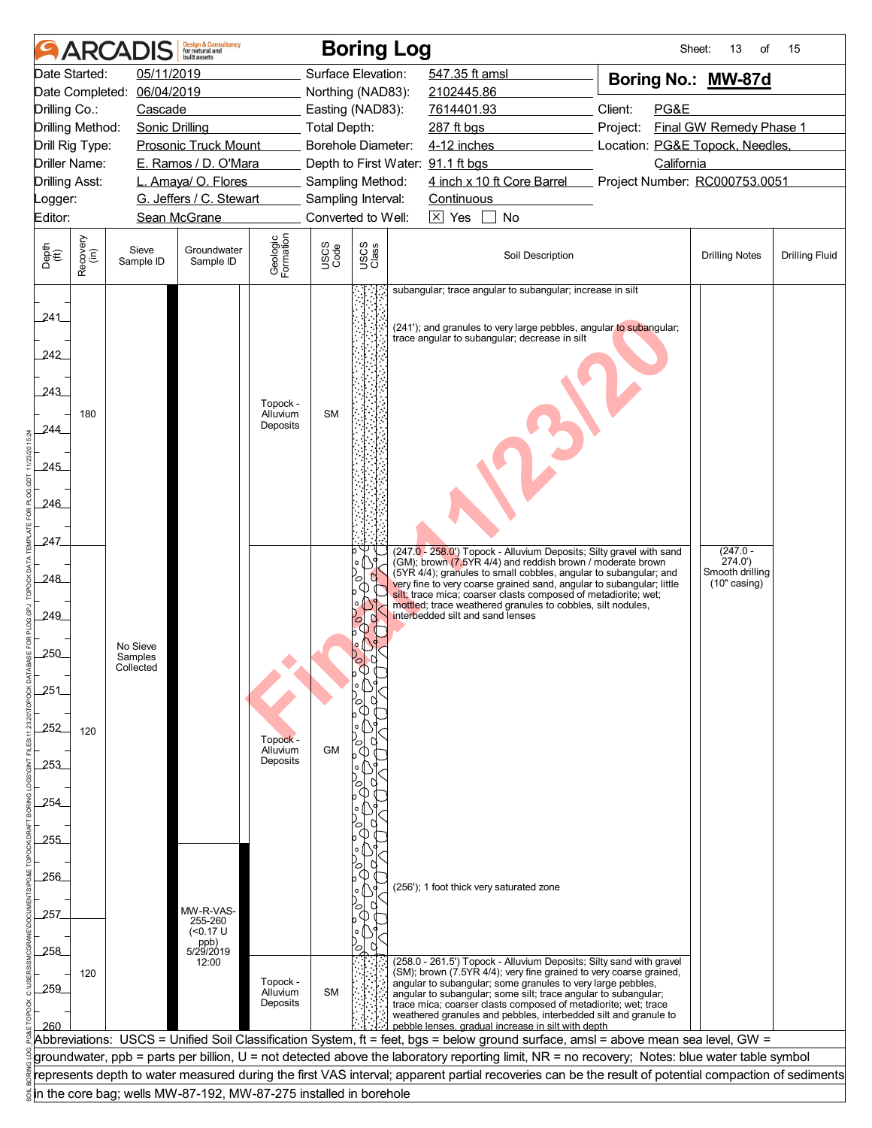|                                                |                  | <b>ARCADIS</b>                   | <b>Design &amp; Consultancy</b><br>for natural and<br><b>built</b> assets |                                  |              | <b>Boring Log</b>  |                                                                                                                                                                                                                                                                                                                                                                                                                                                    | Sheet:                          | 13<br>of                                                  | 15                    |
|------------------------------------------------|------------------|----------------------------------|---------------------------------------------------------------------------|----------------------------------|--------------|--------------------|----------------------------------------------------------------------------------------------------------------------------------------------------------------------------------------------------------------------------------------------------------------------------------------------------------------------------------------------------------------------------------------------------------------------------------------------------|---------------------------------|-----------------------------------------------------------|-----------------------|
| Date Started:                                  |                  | 05/11/2019                       |                                                                           |                                  |              | Surface Elevation: | 547.35 ft amsl                                                                                                                                                                                                                                                                                                                                                                                                                                     |                                 |                                                           |                       |
| 06/04/2019<br>Date Completed:                  |                  |                                  |                                                                           |                                  |              | Northing (NAD83):  | 2102445.86                                                                                                                                                                                                                                                                                                                                                                                                                                         | Boring No.: MW-87d              |                                                           |                       |
| Drilling Co.:                                  |                  | Cascade                          |                                                                           |                                  |              | Easting (NAD83):   | 7614401.93                                                                                                                                                                                                                                                                                                                                                                                                                                         | Client:<br>PG&E                 |                                                           |                       |
| Drilling Method:<br><b>Sonic Drilling</b>      |                  |                                  |                                                                           |                                  | Total Depth: |                    | 287 ft bgs                                                                                                                                                                                                                                                                                                                                                                                                                                         | Project:                        | Final GW Remedy Phase 1                                   |                       |
| Drill Rig Type:                                |                  |                                  | <b>Prosonic Truck Mount</b>                                               |                                  |              | Borehole Diameter: | 4-12 inches                                                                                                                                                                                                                                                                                                                                                                                                                                        | Location: PG&E Topock, Needles, |                                                           |                       |
| Driller Name:                                  |                  |                                  | E. Ramos / D. O'Mara                                                      |                                  |              |                    | Depth to First Water: 91.1 ft bgs                                                                                                                                                                                                                                                                                                                                                                                                                  | California                      |                                                           |                       |
| <b>Drilling Asst:</b>                          |                  |                                  | L. Amaya/ O. Flores                                                       |                                  |              | Sampling Method:   | 4 inch x 10 ft Core Barrel                                                                                                                                                                                                                                                                                                                                                                                                                         | Project Number: RC000753.0051   |                                                           |                       |
| _ogger:                                        |                  |                                  | G. Jeffers / C. Stewart                                                   |                                  |              | Sampling Interval: | Continuous                                                                                                                                                                                                                                                                                                                                                                                                                                         |                                 |                                                           |                       |
| Editor:                                        |                  |                                  | Sean McGrane                                                              |                                  |              | Converted to Well: | $\boxtimes$ Yes<br>$\pm$<br>No                                                                                                                                                                                                                                                                                                                                                                                                                     |                                 |                                                           |                       |
| Depth<br>(ft)                                  | Recovery<br>(in) | Sieve<br>Sample ID               | Groundwater<br>Sample ID                                                  | Geologic<br>Formation            | USCS<br>Code | USCS<br>Class      | Soil Description                                                                                                                                                                                                                                                                                                                                                                                                                                   |                                 | <b>Drilling Notes</b>                                     | <b>Drilling Fluid</b> |
| 241<br>242<br>243<br>244<br>245<br>246         | 180              |                                  | Topock -<br>Alluvium<br>Deposits                                          |                                  |              |                    | subangular; trace angular to subangular; increase in silt<br>(241'); and granules to very large pebbles, angular to subangular;<br>trace angular to subangular; decrease in silt                                                                                                                                                                                                                                                                   |                                 |                                                           |                       |
| 247<br>248<br>249_<br>250<br>251<br>252<br>253 | 120              | No Sieve<br>Samples<br>Collected |                                                                           | Topock -<br>Alluvium<br>Deposits | <b>GM</b>    |                    | (247.0 - 258.0') Topock - Alluvium Deposits; Silty gravel with sand<br>(GM); brown (7.5YR 4/4) and reddish brown / moderate brown<br>(5YR 4/4); granules to small cobbles, angular to subangular; and<br>very fine to very coarse grained sand, angular to subangular; little<br>silt; trace mica; coarser clasts composed of metadiorite; wet;<br>mottled; trace weathered granules to cobbles, silt nodules,<br>interbedded silt and sand lenses |                                 | $(247.0 -$<br>274.0'<br>Smooth drilling<br>$(10"$ casing) |                       |
| 254<br>255                                     |                  |                                  |                                                                           |                                  |              |                    |                                                                                                                                                                                                                                                                                                                                                                                                                                                    |                                 |                                                           |                       |
|                                                |                  |                                  |                                                                           |                                  |              |                    |                                                                                                                                                                                                                                                                                                                                                                                                                                                    |                                 |                                                           |                       |
| 256                                            |                  |                                  |                                                                           |                                  |              |                    | (256'); 1 foot thick very saturated zone                                                                                                                                                                                                                                                                                                                                                                                                           |                                 |                                                           |                       |
|                                                |                  |                                  |                                                                           |                                  |              |                    |                                                                                                                                                                                                                                                                                                                                                                                                                                                    |                                 |                                                           |                       |
| 257                                            |                  |                                  | MW-R-VAS-<br>255-260                                                      |                                  |              |                    |                                                                                                                                                                                                                                                                                                                                                                                                                                                    |                                 |                                                           |                       |
|                                                |                  |                                  | ( <sub>0.17</sub> U)<br>ppb)<br>5/29/2019                                 |                                  |              |                    |                                                                                                                                                                                                                                                                                                                                                                                                                                                    |                                 |                                                           |                       |
| 258<br>259                                     | 120              |                                  | 12:00                                                                     | Topock -<br>Alluvium<br>Deposits | <b>SM</b>    | $\circ$            | (258.0 - 261.5') Topock - Alluvium Deposits; Silty sand with gravel<br>(SM); brown (7.5YR 4/4); very fine grained to very coarse grained,<br>angular to subangular; some granules to very large pebbles,<br>angular to subangular; some silt; trace angular to subangular;<br>trace mica; coarser clasts composed of metadiorite; wet; trace<br>weathered granules and pebbles, interbedded silt and granule to                                    |                                 |                                                           |                       |
| 260                                            |                  |                                  |                                                                           |                                  |              |                    | pebble lenses, gradual increase in silt with depth                                                                                                                                                                                                                                                                                                                                                                                                 |                                 |                                                           |                       |
|                                                |                  |                                  |                                                                           |                                  |              |                    | Abbreviations: USCS = Unified Soil Classification System, ft = feet, bgs = below ground surface, amsl = above mean sea level, GW =                                                                                                                                                                                                                                                                                                                 |                                 |                                                           |                       |
|                                                |                  |                                  |                                                                           |                                  |              |                    | groundwater, ppb = parts per billion, U = not detected above the laboratory reporting limit, NR = no recovery; Notes: blue water table symbol                                                                                                                                                                                                                                                                                                      |                                 |                                                           |                       |
|                                                |                  |                                  |                                                                           |                                  |              |                    | represents depth to water measured during the first VAS interval; apparent partial recoveries can be the result of potential compaction of sediments                                                                                                                                                                                                                                                                                               |                                 |                                                           |                       |
|                                                |                  |                                  | in the core bag; wells MW-87-192, MW-87-275 installed in borehole         |                                  |              |                    |                                                                                                                                                                                                                                                                                                                                                                                                                                                    |                                 |                                                           |                       |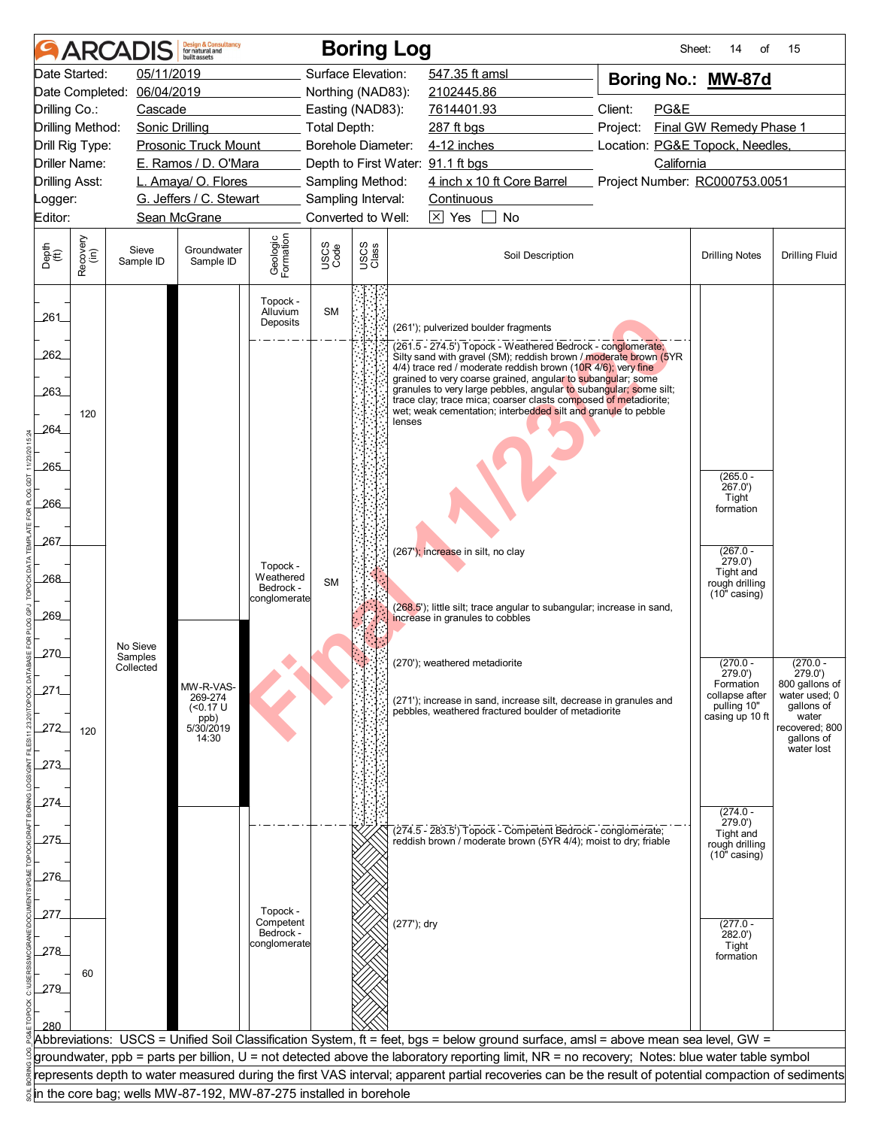|                                                |                  | <b>ARCADIS</b>        | <b>Design &amp; Consultancy</b><br>for natural and<br><b>built</b> assets |                                  |                    |               | <b>Boring Log</b>                                                                                                                                    | Sheet:                          | 14<br>of                       | 15                              |
|------------------------------------------------|------------------|-----------------------|---------------------------------------------------------------------------|----------------------------------|--------------------|---------------|------------------------------------------------------------------------------------------------------------------------------------------------------|---------------------------------|--------------------------------|---------------------------------|
| Date Started:                                  |                  | 05/11/2019            |                                                                           |                                  | Surface Elevation: |               | 547.35 ft amsl                                                                                                                                       | Boring No.: MW-87d              |                                |                                 |
| Date Completed:<br>06/04/2019                  |                  |                       |                                                                           |                                  | Northing (NAD83):  |               | 2102445.86                                                                                                                                           |                                 |                                |                                 |
| Drilling Co.:                                  |                  | Cascade               |                                                                           |                                  | Easting (NAD83):   |               | 7614401.93                                                                                                                                           | Client:<br>PG&E                 |                                |                                 |
| Drilling Method:                               |                  | <b>Sonic Drilling</b> |                                                                           |                                  | Total Depth:       |               | 287 ft bgs                                                                                                                                           | Project:                        | Final GW Remedy Phase 1        |                                 |
| Drill Rig Type:<br><b>Prosonic Truck Mount</b> |                  |                       |                                                                           |                                  | Borehole Diameter: |               | 4-12 inches                                                                                                                                          | Location: PG&E Topock, Needles, |                                |                                 |
| Driller Name:<br>E. Ramos / D. O'Mara          |                  |                       |                                                                           |                                  |                    |               | Depth to First Water: 91.1 ft bgs                                                                                                                    | California                      |                                |                                 |
| <b>Drilling Asst:</b>                          |                  |                       | L. Amaya/ O. Flores                                                       |                                  | Sampling Method:   |               | 4 inch x 10 ft Core Barrel                                                                                                                           | Project Number: RC000753.0051   |                                |                                 |
| _ogger:                                        |                  |                       | G. Jeffers / C. Stewart                                                   |                                  | Sampling Interval: |               | Continuous                                                                                                                                           |                                 |                                |                                 |
| Editor:                                        |                  |                       | Sean McGrane                                                              |                                  | Converted to Well: |               | $\boxed{\times}$ Yes<br>$\mathbf{1}$<br>No                                                                                                           |                                 |                                |                                 |
| Depth<br>(ft)                                  | Recovery<br>(in) | Sieve<br>Sample ID    | Groundwater<br>Sample ID                                                  | Geologic<br>Formation            | USCS<br>Code       | USCS<br>Class | Soil Description                                                                                                                                     |                                 | <b>Drilling Notes</b>          | <b>Drilling Fluid</b>           |
| 261                                            |                  |                       |                                                                           | Topock -<br>Alluvium<br>Deposits | <b>SM</b>          |               | (261'); pulverized boulder fragments                                                                                                                 |                                 |                                |                                 |
| 262                                            |                  |                       |                                                                           |                                  |                    |               | (261.5 - 274.5') Topock - Weathered Bedrock - conglomerate;                                                                                          |                                 |                                |                                 |
|                                                |                  |                       |                                                                           |                                  |                    |               | Silty sand with gravel (SM); reddish brown / moderate brown (5YR<br>4/4) trace red / moderate reddish brown (10R 4/6); very fine                     |                                 |                                |                                 |
| 263                                            |                  |                       |                                                                           |                                  |                    |               | grained to very coarse grained, angular to subangular; some<br>granules to very large pebbles, angular to subangular; some silt;                     |                                 |                                |                                 |
|                                                |                  |                       |                                                                           |                                  |                    |               | trace clay; trace mica; coarser clasts composed of metadiorite;<br>wet; weak cementation; interbedded silt and granule to pebble                     |                                 |                                |                                 |
| 264                                            | 120              |                       |                                                                           |                                  |                    |               | lenses                                                                                                                                               |                                 |                                |                                 |
|                                                |                  |                       |                                                                           |                                  |                    |               |                                                                                                                                                      |                                 |                                |                                 |
| 265                                            |                  |                       |                                                                           |                                  |                    |               |                                                                                                                                                      |                                 |                                |                                 |
|                                                |                  |                       |                                                                           |                                  |                    |               |                                                                                                                                                      |                                 | $(265.0 -$<br>267.0'           |                                 |
| 266                                            |                  |                       |                                                                           |                                  |                    |               |                                                                                                                                                      |                                 | Tight<br>formation             |                                 |
| 267_                                           |                  |                       |                                                                           |                                  |                    |               |                                                                                                                                                      |                                 |                                |                                 |
|                                                |                  |                       |                                                                           | Topock -                         |                    |               | (267'); increase in silt, no clay                                                                                                                    |                                 | $(267.0 -$<br>279.0'           |                                 |
| 268                                            |                  |                       |                                                                           | Weathered                        | <b>SM</b>          |               |                                                                                                                                                      |                                 | Tight and<br>rough drilling    |                                 |
|                                                |                  |                       |                                                                           | Bedrock -<br>conglomerate        |                    |               |                                                                                                                                                      |                                 | $(10"$ casing)                 |                                 |
| 269                                            |                  |                       |                                                                           |                                  |                    |               | (268.5); little silt; trace angular to subangular; increase in sand,<br>increase in granules to cobbles                                              |                                 |                                |                                 |
|                                                |                  |                       |                                                                           |                                  |                    |               |                                                                                                                                                      |                                 |                                |                                 |
| 270                                            |                  | No Sieve<br>Samples   |                                                                           |                                  |                    |               |                                                                                                                                                      |                                 |                                |                                 |
|                                                |                  | Collected             |                                                                           |                                  |                    |               | (270'); weathered metadiorite                                                                                                                        |                                 | $(270.0 -$<br>279.0')          | $(270.0 -$<br>279.0')           |
| 271                                            |                  |                       | MW-R-VAS-<br>269-274                                                      |                                  |                    |               |                                                                                                                                                      |                                 | Formation<br>collapse after    | 800 gallons of<br>water used; 0 |
|                                                |                  |                       | $($ <0.17 U                                                               |                                  |                    |               | (271'); increase in sand, increase silt, decrease in granules and<br>pebbles, weathered fractured boulder of metadiorite                             |                                 | pulling 10"<br>casing up 10 ft | gallons of<br>water             |
| 272                                            | 120              |                       | ppb)<br>5/30/2019<br>14:30                                                |                                  |                    |               |                                                                                                                                                      |                                 |                                | recovered; 800<br>gallons of    |
|                                                |                  |                       |                                                                           |                                  |                    |               |                                                                                                                                                      |                                 |                                | water lost                      |
| 273                                            |                  |                       |                                                                           |                                  |                    |               |                                                                                                                                                      |                                 |                                |                                 |
|                                                |                  |                       |                                                                           |                                  |                    |               |                                                                                                                                                      |                                 |                                |                                 |
| 274                                            |                  |                       |                                                                           |                                  |                    |               |                                                                                                                                                      |                                 | $(274.0 -$                     |                                 |
|                                                |                  |                       |                                                                           |                                  |                    |               | (274.5 - 283.5') Topock - Competent Bedrock - conglomerate;                                                                                          |                                 | 279.0'<br>Tight and            |                                 |
| 275                                            |                  |                       |                                                                           |                                  |                    |               | reddish brown / moderate brown (5YR 4/4); moist to dry; friable                                                                                      |                                 | rough drilling                 |                                 |
|                                                |                  |                       |                                                                           |                                  |                    |               |                                                                                                                                                      |                                 | $(10"$ casing)                 |                                 |
| 276                                            |                  |                       |                                                                           |                                  |                    |               |                                                                                                                                                      |                                 |                                |                                 |
|                                                |                  |                       |                                                                           |                                  |                    |               |                                                                                                                                                      |                                 |                                |                                 |
| 277                                            |                  |                       |                                                                           | Topock -<br>Competent            |                    |               | (277'); dry                                                                                                                                          |                                 | $(277.0 -$                     |                                 |
|                                                |                  |                       |                                                                           | Bedrock -<br>conglomerate        |                    |               |                                                                                                                                                      |                                 | 282.0'<br>Tight                |                                 |
| 278                                            |                  |                       |                                                                           |                                  |                    |               |                                                                                                                                                      |                                 | formation                      |                                 |
|                                                | 60               |                       |                                                                           |                                  |                    |               |                                                                                                                                                      |                                 |                                |                                 |
| 279                                            |                  |                       |                                                                           |                                  |                    |               |                                                                                                                                                      |                                 |                                |                                 |
|                                                |                  |                       |                                                                           |                                  |                    |               |                                                                                                                                                      |                                 |                                |                                 |
| 280                                            |                  |                       |                                                                           |                                  |                    |               | Abbreviations: USCS = Unified Soil Classification System, ft = feet, bgs = below ground surface, amsl = above mean sea level, GW =                   |                                 |                                |                                 |
|                                                |                  |                       |                                                                           |                                  |                    |               | groundwater, ppb = parts per billion, U = not detected above the laboratory reporting limit, NR = no recovery; Notes: blue water table symbol        |                                 |                                |                                 |
|                                                |                  |                       |                                                                           |                                  |                    |               | represents depth to water measured during the first VAS interval; apparent partial recoveries can be the result of potential compaction of sediments |                                 |                                |                                 |
|                                                |                  |                       | in the core bag; wells MW-87-192, MW-87-275 installed in borehole         |                                  |                    |               |                                                                                                                                                      |                                 |                                |                                 |
|                                                |                  |                       |                                                                           |                                  |                    |               |                                                                                                                                                      |                                 |                                |                                 |